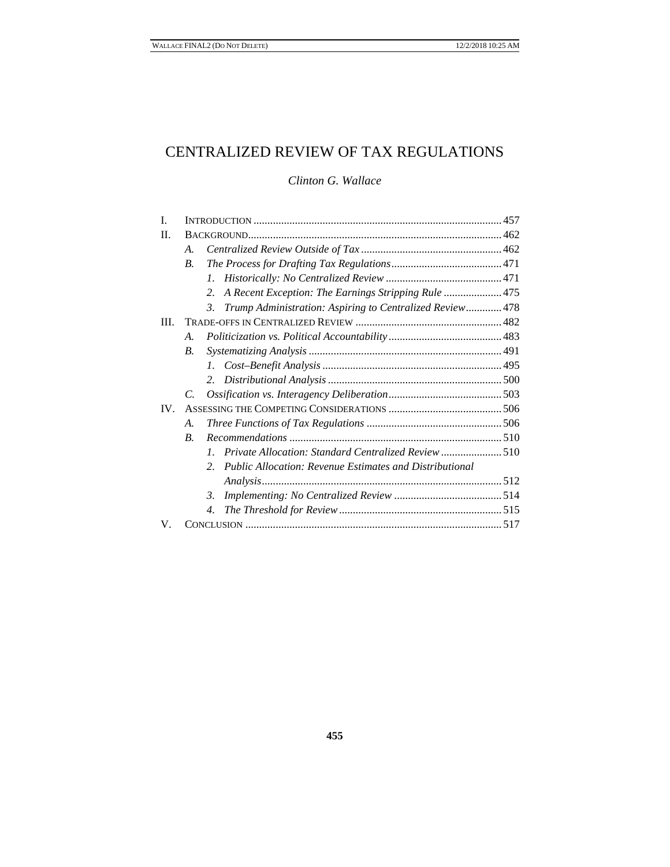# CENTRALIZED REVIEW OF TAX REGULATIONS

## *Clinton G. Wallace*

| L    |                    |                                                                           |  |
|------|--------------------|---------------------------------------------------------------------------|--|
| П.   |                    |                                                                           |  |
|      | A.                 |                                                                           |  |
|      | $\overline{B}$ .   |                                                                           |  |
|      |                    | $\mathcal{I}$ .                                                           |  |
|      |                    | A Recent Exception: The Earnings Stripping Rule  475<br>2.                |  |
|      |                    | Trump Administration: Aspiring to Centralized Review 478<br>$\mathcal{E}$ |  |
| III. |                    |                                                                           |  |
|      | A.                 |                                                                           |  |
|      | <i>B</i> .         |                                                                           |  |
|      |                    | 1.                                                                        |  |
|      |                    | $2^{\circ}$                                                               |  |
|      | $\mathcal{C}$      |                                                                           |  |
| IV.  |                    |                                                                           |  |
|      | А.                 |                                                                           |  |
|      | $\boldsymbol{B}$ . |                                                                           |  |
|      |                    | Private Allocation: Standard Centralized Review 510<br>$\mathcal{I}$ .    |  |
|      |                    | <b>Public Allocation: Revenue Estimates and Distributional</b><br>2.      |  |
|      |                    |                                                                           |  |
|      |                    | 3.                                                                        |  |
|      |                    | 4.                                                                        |  |
| V.   |                    |                                                                           |  |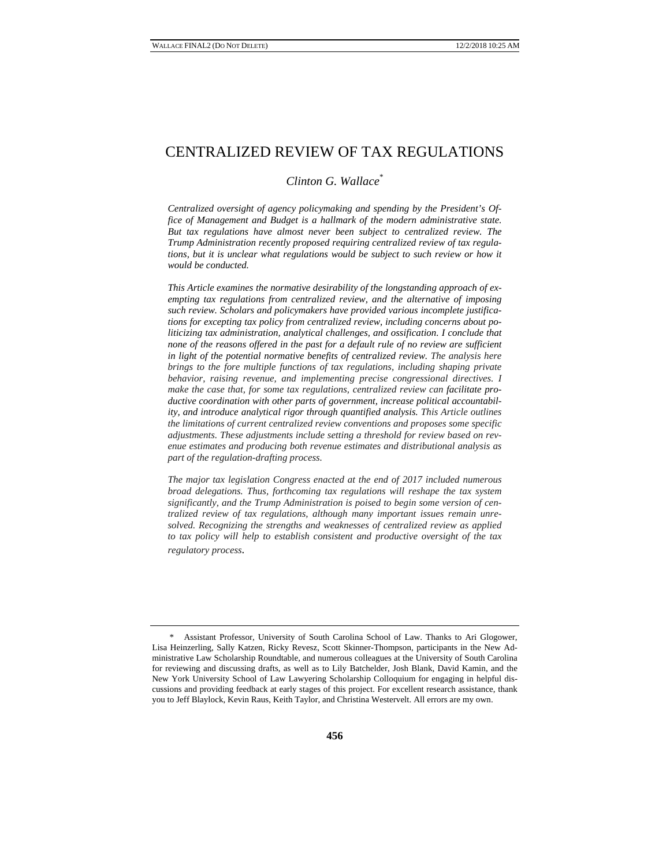# CENTRALIZED REVIEW OF TAX REGULATIONS

#### *Clinton G. Wallace*\*

*Centralized oversight of agency policymaking and spending by the President's Office of Management and Budget is a hallmark of the modern administrative state. But tax regulations have almost never been subject to centralized review. The Trump Administration recently proposed requiring centralized review of tax regulations, but it is unclear what regulations would be subject to such review or how it would be conducted.* 

*This Article examines the normative desirability of the longstanding approach of exempting tax regulations from centralized review, and the alternative of imposing such review. Scholars and policymakers have provided various incomplete justifications for excepting tax policy from centralized review, including concerns about politicizing tax administration, analytical challenges, and ossification. I conclude that none of the reasons offered in the past for a default rule of no review are sufficient in light of the potential normative benefits of centralized review. The analysis here brings to the fore multiple functions of tax regulations, including shaping private behavior, raising revenue, and implementing precise congressional directives. I make the case that, for some tax regulations, centralized review can facilitate productive coordination with other parts of government, increase political accountability, and introduce analytical rigor through quantified analysis. This Article outlines the limitations of current centralized review conventions and proposes some specific adjustments. These adjustments include setting a threshold for review based on revenue estimates and producing both revenue estimates and distributional analysis as part of the regulation-drafting process.* 

*The major tax legislation Congress enacted at the end of 2017 included numerous broad delegations. Thus, forthcoming tax regulations will reshape the tax system significantly, and the Trump Administration is poised to begin some version of centralized review of tax regulations, although many important issues remain unresolved. Recognizing the strengths and weaknesses of centralized review as applied to tax policy will help to establish consistent and productive oversight of the tax regulatory process.* 

<sup>\*</sup> Assistant Professor, University of South Carolina School of Law. Thanks to Ari Glogower, Lisa Heinzerling, Sally Katzen, Ricky Revesz, Scott Skinner-Thompson, participants in the New Administrative Law Scholarship Roundtable, and numerous colleagues at the University of South Carolina for reviewing and discussing drafts, as well as to Lily Batchelder, Josh Blank, David Kamin, and the New York University School of Law Lawyering Scholarship Colloquium for engaging in helpful discussions and providing feedback at early stages of this project. For excellent research assistance, thank you to Jeff Blaylock, Kevin Raus, Keith Taylor, and Christina Westervelt. All errors are my own.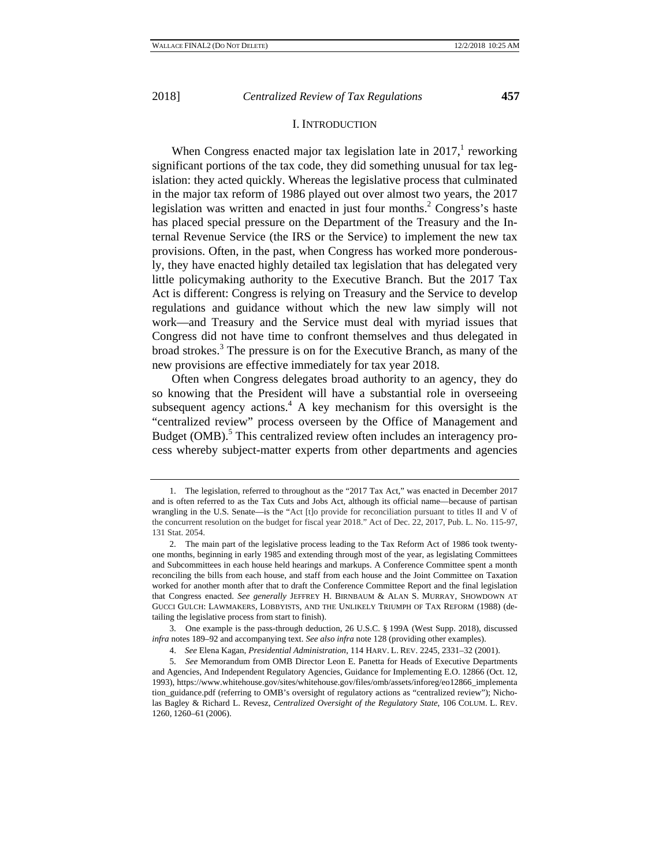#### I. INTRODUCTION

When Congress enacted major tax legislation late in  $2017$ ,<sup>1</sup> reworking significant portions of the tax code, they did something unusual for tax legislation: they acted quickly. Whereas the legislative process that culminated in the major tax reform of 1986 played out over almost two years, the 2017 legislation was written and enacted in just four months.<sup>2</sup> Congress's haste has placed special pressure on the Department of the Treasury and the Internal Revenue Service (the IRS or the Service) to implement the new tax provisions. Often, in the past, when Congress has worked more ponderously, they have enacted highly detailed tax legislation that has delegated very little policymaking authority to the Executive Branch. But the 2017 Tax Act is different: Congress is relying on Treasury and the Service to develop regulations and guidance without which the new law simply will not work—and Treasury and the Service must deal with myriad issues that Congress did not have time to confront themselves and thus delegated in broad strokes.<sup>3</sup> The pressure is on for the Executive Branch, as many of the new provisions are effective immediately for tax year 2018.

Often when Congress delegates broad authority to an agency, they do so knowing that the President will have a substantial role in overseeing subsequent agency actions. $4$  A key mechanism for this oversight is the "centralized review" process overseen by the Office of Management and Budget (OMB).<sup>5</sup> This centralized review often includes an interagency process whereby subject-matter experts from other departments and agencies

<sup>1.</sup> The legislation, referred to throughout as the "2017 Tax Act," was enacted in December 2017 and is often referred to as the Tax Cuts and Jobs Act, although its official name—because of partisan wrangling in the U.S. Senate—is the "Act [t]o provide for reconciliation pursuant to titles II and V of the concurrent resolution on the budget for fiscal year 2018." Act of Dec. 22, 2017, Pub. L. No. 115-97, 131 Stat. 2054.

<sup>2.</sup> The main part of the legislative process leading to the Tax Reform Act of 1986 took twentyone months, beginning in early 1985 and extending through most of the year, as legislating Committees and Subcommittees in each house held hearings and markups. A Conference Committee spent a month reconciling the bills from each house, and staff from each house and the Joint Committee on Taxation worked for another month after that to draft the Conference Committee Report and the final legislation that Congress enacted. *See generally* JEFFREY H. BIRNBAUM & ALAN S. MURRAY, SHOWDOWN AT GUCCI GULCH: LAWMAKERS, LOBBYISTS, AND THE UNLIKELY TRIUMPH OF TAX REFORM (1988) (detailing the legislative process from start to finish).

<sup>3.</sup> One example is the pass-through deduction, 26 U.S.C. § 199A (West Supp. 2018), discussed *infra* notes 189–92 and accompanying text. *See also infra* note 128 (providing other examples).

<sup>4.</sup> *See* Elena Kagan, *Presidential Administration*, 114 HARV. L. REV. 2245, 2331–32 (2001).

<sup>5.</sup> *See* Memorandum from OMB Director Leon E. Panetta for Heads of Executive Departments and Agencies, And Independent Regulatory Agencies, Guidance for Implementing E.O. 12866 (Oct. 12, 1993), https://www.whitehouse.gov/sites/whitehouse.gov/files/omb/assets/inforeg/eo12866\_implementa tion\_guidance.pdf (referring to OMB's oversight of regulatory actions as "centralized review"); Nicholas Bagley & Richard L. Revesz, *Centralized Oversight of the Regulatory State*, 106 COLUM. L. REV. 1260, 1260–61 (2006).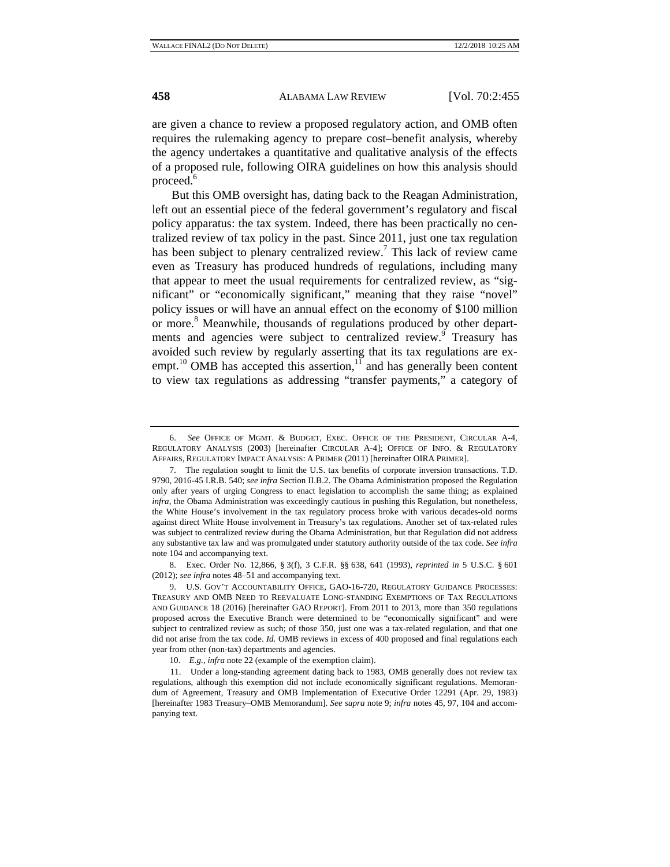are given a chance to review a proposed regulatory action, and OMB often requires the rulemaking agency to prepare cost–benefit analysis, whereby the agency undertakes a quantitative and qualitative analysis of the effects of a proposed rule, following OIRA guidelines on how this analysis should proceed.<sup>6</sup>

But this OMB oversight has, dating back to the Reagan Administration, left out an essential piece of the federal government's regulatory and fiscal policy apparatus: the tax system. Indeed, there has been practically no centralized review of tax policy in the past. Since 2011, just one tax regulation has been subject to plenary centralized review.<sup>7</sup> This lack of review came even as Treasury has produced hundreds of regulations, including many that appear to meet the usual requirements for centralized review, as "significant" or "economically significant," meaning that they raise "novel" policy issues or will have an annual effect on the economy of \$100 million or more.<sup>8</sup> Meanwhile, thousands of regulations produced by other departments and agencies were subject to centralized review. <sup>9</sup> Treasury has avoided such review by regularly asserting that its tax regulations are exempt.<sup>10</sup> OMB has accepted this assertion, $1\overline{1}$  and has generally been content to view tax regulations as addressing "transfer payments," a category of

8. Exec. Order No. 12,866, § 3(f), 3 C.F.R. §§ 638, 641 (1993), *reprinted in* 5 U.S.C. § 601 (2012); *see infra* notes 48–51 and accompanying text.

9. U.S. GOV'T ACCOUNTABILITY OFFICE, GAO-16-720, REGULATORY GUIDANCE PROCESSES: TREASURY AND OMB NEED TO REEVALUATE LONG-STANDING EXEMPTIONS OF TAX REGULATIONS AND GUIDANCE 18 (2016) [hereinafter GAO REPORT]. From 2011 to 2013, more than 350 regulations proposed across the Executive Branch were determined to be "economically significant" and were subject to centralized review as such; of those 350, just one was a tax-related regulation, and that one did not arise from the tax code. *Id.* OMB reviews in excess of 400 proposed and final regulations each year from other (non-tax) departments and agencies.

<sup>6.</sup> *See* OFFICE OF MGMT. & BUDGET, EXEC. OFFICE OF THE PRESIDENT, CIRCULAR A-4, REGULATORY ANALYSIS (2003) [hereinafter CIRCULAR A-4]; OFFICE OF INFO. & REGULATORY AFFAIRS, REGULATORY IMPACT ANALYSIS: A PRIMER (2011) [hereinafter OIRA PRIMER].

<sup>7.</sup> The regulation sought to limit the U.S. tax benefits of corporate inversion transactions. T.D. 9790, 2016-45 I.R.B. 540; *see infra* Section II.B.2. The Obama Administration proposed the Regulation only after years of urging Congress to enact legislation to accomplish the same thing; as explained *infra*, the Obama Administration was exceedingly cautious in pushing this Regulation, but nonetheless, the White House's involvement in the tax regulatory process broke with various decades-old norms against direct White House involvement in Treasury's tax regulations. Another set of tax-related rules was subject to centralized review during the Obama Administration, but that Regulation did not address any substantive tax law and was promulgated under statutory authority outside of the tax code. *See infra*  note 104 and accompanying text.

<sup>10.</sup> *E.g.*, *infra* note 22 (example of the exemption claim).

<sup>11.</sup> Under a long-standing agreement dating back to 1983, OMB generally does not review tax regulations, although this exemption did not include economically significant regulations. Memorandum of Agreement, Treasury and OMB Implementation of Executive Order 12291 (Apr. 29, 1983) [hereinafter 1983 Treasury–OMB Memorandum]. *See supra* note 9; *infra* notes 45, 97, 104 and accompanying text.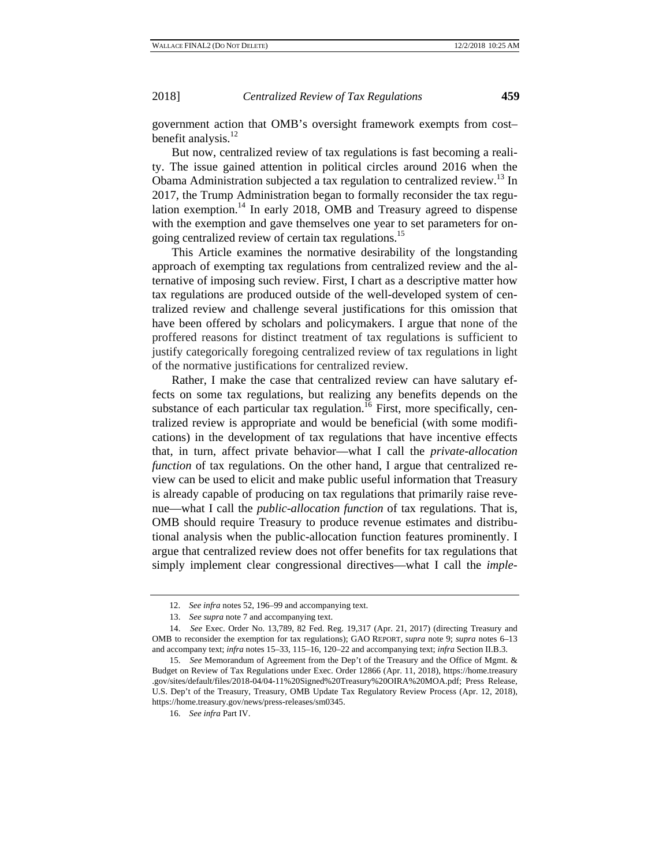government action that OMB's oversight framework exempts from cost– benefit analysis. $^{12}$ 

But now, centralized review of tax regulations is fast becoming a reality. The issue gained attention in political circles around 2016 when the Obama Administration subjected a tax regulation to centralized review.<sup>13</sup> In 2017, the Trump Administration began to formally reconsider the tax regulation exemption.14 In early 2018, OMB and Treasury agreed to dispense with the exemption and gave themselves one year to set parameters for ongoing centralized review of certain tax regulations.<sup>15</sup>

This Article examines the normative desirability of the longstanding approach of exempting tax regulations from centralized review and the alternative of imposing such review. First, I chart as a descriptive matter how tax regulations are produced outside of the well-developed system of centralized review and challenge several justifications for this omission that have been offered by scholars and policymakers. I argue that none of the proffered reasons for distinct treatment of tax regulations is sufficient to justify categorically foregoing centralized review of tax regulations in light of the normative justifications for centralized review.

Rather, I make the case that centralized review can have salutary effects on some tax regulations, but realizing any benefits depends on the substance of each particular tax regulation.<sup>16</sup> First, more specifically, centralized review is appropriate and would be beneficial (with some modifications) in the development of tax regulations that have incentive effects that, in turn, affect private behavior—what I call the *private-allocation function* of tax regulations. On the other hand, I argue that centralized review can be used to elicit and make public useful information that Treasury is already capable of producing on tax regulations that primarily raise revenue—what I call the *public-allocation function* of tax regulations. That is, OMB should require Treasury to produce revenue estimates and distributional analysis when the public-allocation function features prominently. I argue that centralized review does not offer benefits for tax regulations that simply implement clear congressional directives—what I call the *imple-*

16. *See infra* Part IV.

<sup>12.</sup> *See infra* notes 52, 196–99 and accompanying text.

<sup>13.</sup> *See supra* note 7 and accompanying text.

<sup>14.</sup> *See* Exec. Order No. 13,789, 82 Fed. Reg. 19,317 (Apr. 21, 2017) (directing Treasury and OMB to reconsider the exemption for tax regulations); GAO REPORT, *supra* note 9; *supra* notes 6–13 and accompany text; *infra* notes 15–33, 115–16, 120–22 and accompanying text; *infra* Section II.B.3.

<sup>15.</sup> *See* Memorandum of Agreement from the Dep't of the Treasury and the Office of Mgmt. & Budget on Review of Tax Regulations under Exec. Order 12866 (Apr. 11, 2018), https://home.treasury .gov/sites/default/files/2018-04/04-11%20Signed%20Treasury%20OIRA%20MOA.pdf; Press Release, U.S. Dep't of the Treasury, Treasury, OMB Update Tax Regulatory Review Process (Apr. 12, 2018), https://home.treasury.gov/news/press-releases/sm0345.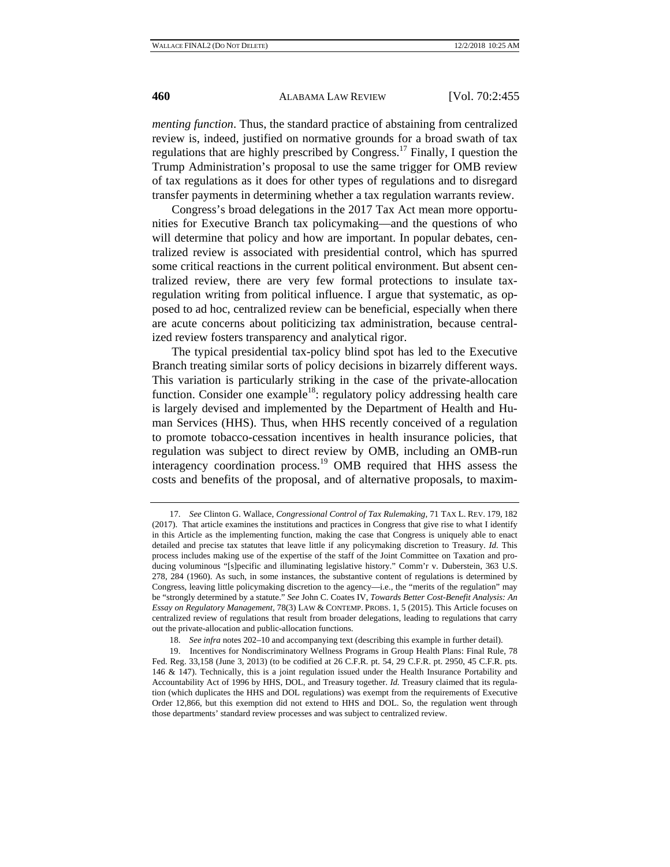*menting function*. Thus, the standard practice of abstaining from centralized review is, indeed, justified on normative grounds for a broad swath of tax regulations that are highly prescribed by Congress.17 Finally, I question the Trump Administration's proposal to use the same trigger for OMB review of tax regulations as it does for other types of regulations and to disregard transfer payments in determining whether a tax regulation warrants review.

Congress's broad delegations in the 2017 Tax Act mean more opportunities for Executive Branch tax policymaking—and the questions of who will determine that policy and how are important. In popular debates, centralized review is associated with presidential control, which has spurred some critical reactions in the current political environment. But absent centralized review, there are very few formal protections to insulate taxregulation writing from political influence. I argue that systematic, as opposed to ad hoc, centralized review can be beneficial, especially when there are acute concerns about politicizing tax administration, because centralized review fosters transparency and analytical rigor.

The typical presidential tax-policy blind spot has led to the Executive Branch treating similar sorts of policy decisions in bizarrely different ways. This variation is particularly striking in the case of the private-allocation function. Consider one example<sup>18</sup>: regulatory policy addressing health care is largely devised and implemented by the Department of Health and Human Services (HHS). Thus, when HHS recently conceived of a regulation to promote tobacco-cessation incentives in health insurance policies, that regulation was subject to direct review by OMB, including an OMB-run interagency coordination process.19 OMB required that HHS assess the costs and benefits of the proposal, and of alternative proposals, to maxim-

<sup>17.</sup> *See* Clinton G. Wallace, *Congressional Control of Tax Rulemaking*, 71 TAX L. REV. 179, 182 (2017). That article examines the institutions and practices in Congress that give rise to what I identify in this Article as the implementing function, making the case that Congress is uniquely able to enact detailed and precise tax statutes that leave little if any policymaking discretion to Treasury. *Id.* This process includes making use of the expertise of the staff of the Joint Committee on Taxation and producing voluminous "[s]pecific and illuminating legislative history." Comm'r v. Duberstein, 363 U.S. 278, 284 (1960). As such, in some instances, the substantive content of regulations is determined by Congress, leaving little policymaking discretion to the agency—i.e., the "merits of the regulation" may be "strongly determined by a statute." *See* John C. Coates IV, *Towards Better Cost-Benefit Analysis: An Essay on Regulatory Management*, 78(3) LAW & CONTEMP. PROBS. 1, 5 (2015). This Article focuses on centralized review of regulations that result from broader delegations, leading to regulations that carry out the private-allocation and public-allocation functions.

<sup>18.</sup> *See infra* notes 202–10 and accompanying text (describing this example in further detail).

<sup>19.</sup> Incentives for Nondiscriminatory Wellness Programs in Group Health Plans: Final Rule, 78 Fed. Reg. 33,158 (June 3, 2013) (to be codified at 26 C.F.R. pt. 54, 29 C.F.R. pt. 2950, 45 C.F.R. pts. 146 & 147). Technically, this is a joint regulation issued under the Health Insurance Portability and Accountability Act of 1996 by HHS, DOL, and Treasury together. *Id.* Treasury claimed that its regulation (which duplicates the HHS and DOL regulations) was exempt from the requirements of Executive Order 12,866, but this exemption did not extend to HHS and DOL. So, the regulation went through those departments' standard review processes and was subject to centralized review.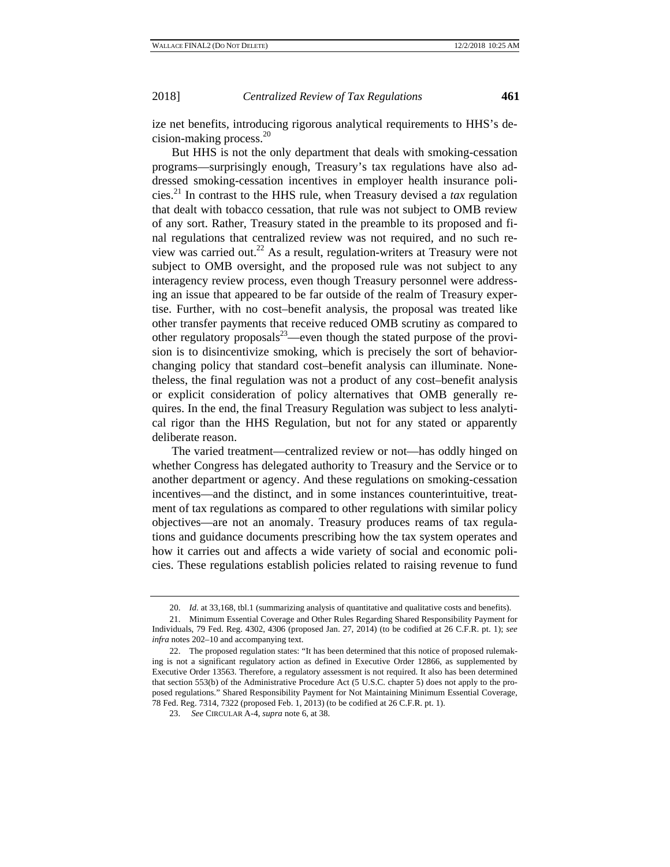ize net benefits, introducing rigorous analytical requirements to HHS's decision-making process. $20$ 

But HHS is not the only department that deals with smoking-cessation programs—surprisingly enough, Treasury's tax regulations have also addressed smoking-cessation incentives in employer health insurance policies.21 In contrast to the HHS rule, when Treasury devised a *tax* regulation that dealt with tobacco cessation, that rule was not subject to OMB review of any sort. Rather, Treasury stated in the preamble to its proposed and final regulations that centralized review was not required, and no such review was carried out.22 As a result, regulation-writers at Treasury were not subject to OMB oversight, and the proposed rule was not subject to any interagency review process, even though Treasury personnel were addressing an issue that appeared to be far outside of the realm of Treasury expertise. Further, with no cost–benefit analysis, the proposal was treated like other transfer payments that receive reduced OMB scrutiny as compared to other regulatory proposals $^{23}$ —even though the stated purpose of the provision is to disincentivize smoking, which is precisely the sort of behaviorchanging policy that standard cost–benefit analysis can illuminate. Nonetheless, the final regulation was not a product of any cost–benefit analysis or explicit consideration of policy alternatives that OMB generally requires. In the end, the final Treasury Regulation was subject to less analytical rigor than the HHS Regulation, but not for any stated or apparently deliberate reason.

The varied treatment—centralized review or not—has oddly hinged on whether Congress has delegated authority to Treasury and the Service or to another department or agency. And these regulations on smoking-cessation incentives—and the distinct, and in some instances counterintuitive, treatment of tax regulations as compared to other regulations with similar policy objectives—are not an anomaly. Treasury produces reams of tax regulations and guidance documents prescribing how the tax system operates and how it carries out and affects a wide variety of social and economic policies. These regulations establish policies related to raising revenue to fund

<sup>20.</sup> *Id.* at 33,168, tbl.1 (summarizing analysis of quantitative and qualitative costs and benefits).

<sup>21.</sup> Minimum Essential Coverage and Other Rules Regarding Shared Responsibility Payment for Individuals, 79 Fed. Reg. 4302, 4306 (proposed Jan. 27, 2014) (to be codified at 26 C.F.R. pt. 1); *see infra* notes 202–10 and accompanying text.

<sup>22.</sup> The proposed regulation states: "It has been determined that this notice of proposed rulemaking is not a significant regulatory action as defined in Executive Order 12866, as supplemented by Executive Order 13563. Therefore, a regulatory assessment is not required. It also has been determined that section 553(b) of the Administrative Procedure Act (5 U.S.C. chapter 5) does not apply to the proposed regulations." Shared Responsibility Payment for Not Maintaining Minimum Essential Coverage, 78 Fed. Reg. 7314, 7322 (proposed Feb. 1, 2013) (to be codified at 26 C.F.R. pt. 1).

<sup>23.</sup> *See* CIRCULAR A-4, *supra* note 6, at 38.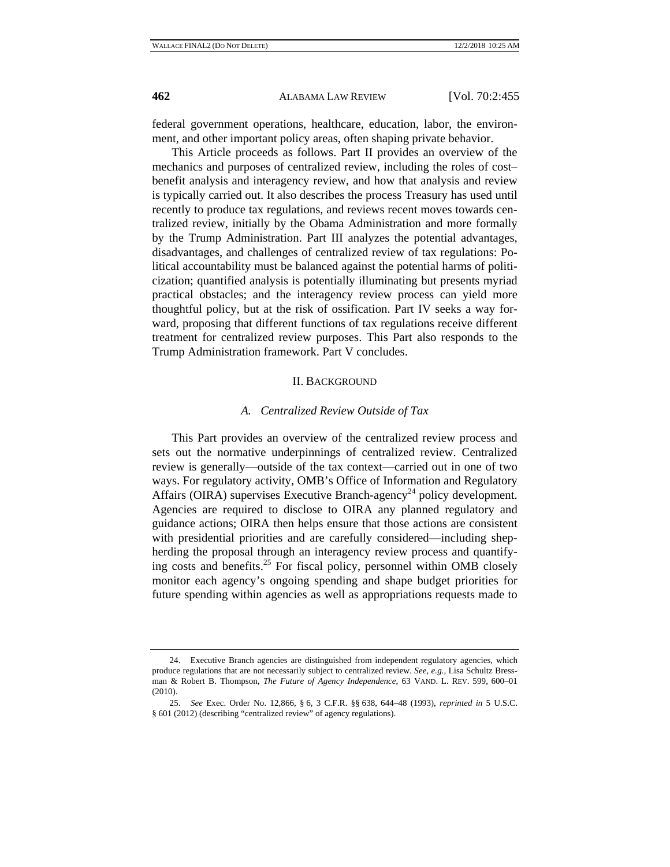federal government operations, healthcare, education, labor, the environment, and other important policy areas, often shaping private behavior.

This Article proceeds as follows. Part II provides an overview of the mechanics and purposes of centralized review, including the roles of cost– benefit analysis and interagency review, and how that analysis and review is typically carried out. It also describes the process Treasury has used until recently to produce tax regulations, and reviews recent moves towards centralized review, initially by the Obama Administration and more formally by the Trump Administration. Part III analyzes the potential advantages, disadvantages, and challenges of centralized review of tax regulations: Political accountability must be balanced against the potential harms of politicization; quantified analysis is potentially illuminating but presents myriad practical obstacles; and the interagency review process can yield more thoughtful policy, but at the risk of ossification. Part IV seeks a way forward, proposing that different functions of tax regulations receive different treatment for centralized review purposes. This Part also responds to the Trump Administration framework. Part V concludes.

#### II. BACKGROUND

#### *A. Centralized Review Outside of Tax*

This Part provides an overview of the centralized review process and sets out the normative underpinnings of centralized review. Centralized review is generally—outside of the tax context—carried out in one of two ways. For regulatory activity, OMB's Office of Information and Regulatory Affairs (OIRA) supervises Executive Branch-agency<sup>24</sup> policy development. Agencies are required to disclose to OIRA any planned regulatory and guidance actions; OIRA then helps ensure that those actions are consistent with presidential priorities and are carefully considered—including shepherding the proposal through an interagency review process and quantifying costs and benefits.25 For fiscal policy, personnel within OMB closely monitor each agency's ongoing spending and shape budget priorities for future spending within agencies as well as appropriations requests made to

<sup>24.</sup> Executive Branch agencies are distinguished from independent regulatory agencies, which produce regulations that are not necessarily subject to centralized review. *See, e.g.*, Lisa Schultz Bressman & Robert B. Thompson, *The Future of Agency Independence*, 63 VAND. L. REV. 599, 600–01 (2010).

<sup>25.</sup> *See* Exec. Order No. 12,866, § 6, 3 C.F.R. §§ 638, 644–48 (1993), *reprinted in* 5 U.S.C. § 601 (2012) (describing "centralized review" of agency regulations).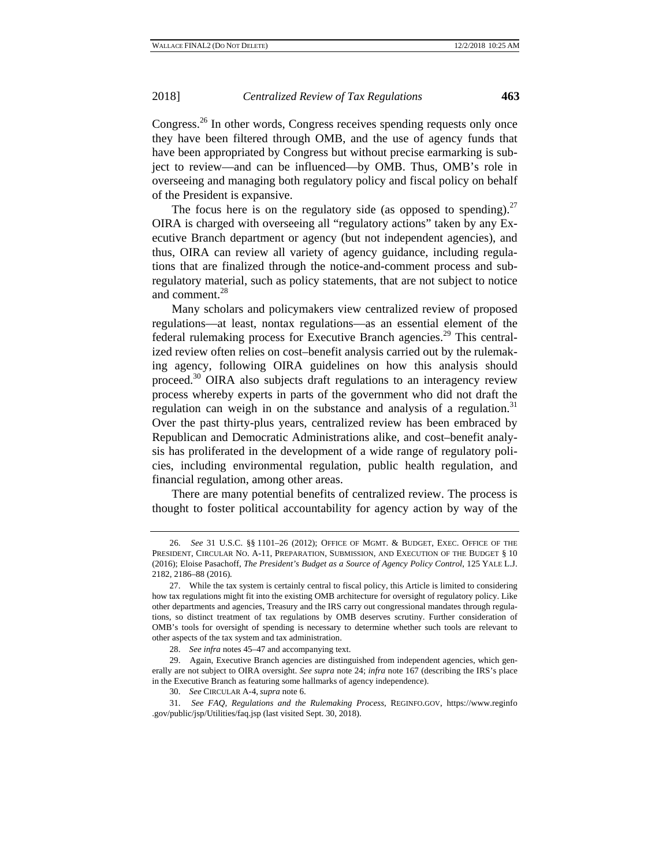Congress.<sup>26</sup> In other words, Congress receives spending requests only once they have been filtered through OMB, and the use of agency funds that have been appropriated by Congress but without precise earmarking is subject to review—and can be influenced—by OMB. Thus, OMB's role in overseeing and managing both regulatory policy and fiscal policy on behalf of the President is expansive.

The focus here is on the regulatory side (as opposed to spending).<sup>27</sup> OIRA is charged with overseeing all "regulatory actions" taken by any Executive Branch department or agency (but not independent agencies), and thus, OIRA can review all variety of agency guidance, including regulations that are finalized through the notice-and-comment process and subregulatory material, such as policy statements, that are not subject to notice and comment.<sup>28</sup>

Many scholars and policymakers view centralized review of proposed regulations—at least, nontax regulations—as an essential element of the federal rulemaking process for Executive Branch agencies.<sup>29</sup> This centralized review often relies on cost–benefit analysis carried out by the rulemaking agency, following OIRA guidelines on how this analysis should proceed.30 OIRA also subjects draft regulations to an interagency review process whereby experts in parts of the government who did not draft the regulation can weigh in on the substance and analysis of a regulation.<sup>31</sup> Over the past thirty-plus years, centralized review has been embraced by Republican and Democratic Administrations alike, and cost–benefit analysis has proliferated in the development of a wide range of regulatory policies, including environmental regulation, public health regulation, and financial regulation, among other areas.

There are many potential benefits of centralized review. The process is thought to foster political accountability for agency action by way of the

<sup>26.</sup> *See* 31 U.S.C. §§ 1101–26 (2012); OFFICE OF MGMT. & BUDGET, EXEC. OFFICE OF THE PRESIDENT, CIRCULAR NO. A-11, PREPARATION, SUBMISSION, AND EXECUTION OF THE BUDGET § 10 (2016); Eloise Pasachoff, *The President's Budget as a Source of Agency Policy Control*, 125 YALE L.J. 2182, 2186–88 (2016)*.*

<sup>27.</sup> While the tax system is certainly central to fiscal policy, this Article is limited to considering how tax regulations might fit into the existing OMB architecture for oversight of regulatory policy. Like other departments and agencies, Treasury and the IRS carry out congressional mandates through regulations, so distinct treatment of tax regulations by OMB deserves scrutiny. Further consideration of OMB's tools for oversight of spending is necessary to determine whether such tools are relevant to other aspects of the tax system and tax administration.

<sup>28.</sup> *See infra* notes 45–47 and accompanying text.

<sup>29.</sup> Again, Executive Branch agencies are distinguished from independent agencies, which generally are not subject to OIRA oversight. *See supra* note 24; *infra* note 167 (describing the IRS's place in the Executive Branch as featuring some hallmarks of agency independence).

<sup>30.</sup> *See* CIRCULAR A-4, *supra* note 6.

<sup>31.</sup> *See FAQ, Regulations and the Rulemaking Process*, REGINFO.GOV, https://www.reginfo .gov/public/jsp/Utilities/faq.jsp (last visited Sept. 30, 2018).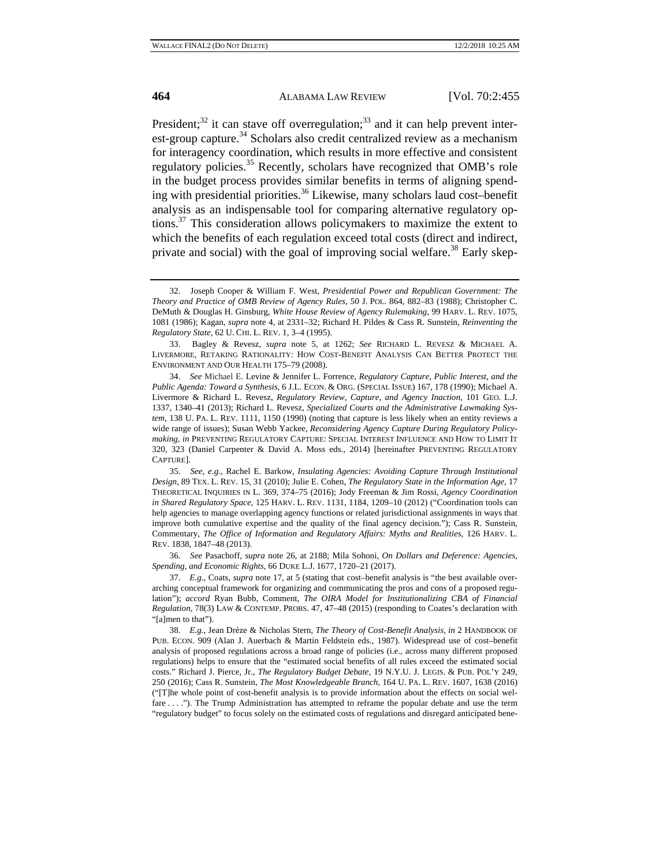President; $^{32}$  it can stave off overregulation; $^{33}$  and it can help prevent interest-group capture. $34$  Scholars also credit centralized review as a mechanism for interagency coordination, which results in more effective and consistent regulatory policies.<sup>35</sup> Recently, scholars have recognized that OMB's role in the budget process provides similar benefits in terms of aligning spending with presidential priorities.<sup>36</sup> Likewise, many scholars laud cost–benefit analysis as an indispensable tool for comparing alternative regulatory options.37 This consideration allows policymakers to maximize the extent to which the benefits of each regulation exceed total costs (direct and indirect, private and social) with the goal of improving social welfare.<sup>38</sup> Early skep-

<sup>32.</sup> Joseph Cooper & William F. West, *Presidential Power and Republican Government: The Theory and Practice of OMB Review of Agency Rules*, 50 J. POL. 864, 882–83 (1988); Christopher C. DeMuth & Douglas H. Ginsburg, *White House Review of Agency Rulemaking*, 99 HARV. L. REV. 1075, 1081 (1986); Kagan, *supra* note 4, at 2331–32; Richard H. Pildes & Cass R. Sunstein, *Reinventing the Regulatory State*, 62 U. CHI. L. REV. 1, 3–4 (1995).

<sup>33.</sup> Bagley & Revesz, *supra* note 5, at 1262; *See* RICHARD L. REVESZ & MICHAEL A. LIVERMORE, RETAKING RATIONALITY: HOW COST-BENEFIT ANALYSIS CAN BETTER PROTECT THE ENVIRONMENT AND OUR HEALTH 175–79 (2008).

<sup>34.</sup> *See* Michael E. Levine & Jennifer L. Forrence, *Regulatory Capture, Public Interest, and the Public Agenda: Toward a Synthesis*, 6 J.L. ECON. & ORG. (SPECIAL ISSUE) 167, 178 (1990); Michael A. Livermore & Richard L. Revesz, *Regulatory Review, Capture, and Agency Inaction*, 101 GEO. L.J. 1337, 1340–41 (2013); Richard L. Revesz, *Specialized Courts and the Administrative Lawmaking System*, 138 U. PA. L. REV. 1111, 1150 (1990) (noting that capture is less likely when an entity reviews a wide range of issues); Susan Webb Yackee, *Reconsidering Agency Capture During Regulatory Policymaking*, *in* PREVENTING REGULATORY CAPTURE: SPECIAL INTEREST INFLUENCE AND HOW TO LIMIT IT 320, 323 (Daniel Carpenter & David A. Moss eds., 2014) [hereinafter PREVENTING REGULATORY CAPTURE].

<sup>35.</sup> *See, e.g.*, Rachel E. Barkow, *Insulating Agencies: Avoiding Capture Through Institutional Design*, 89 TEX. L. REV. 15, 31 (2010); Julie E. Cohen, *The Regulatory State in the Information Age*, 17 THEORETICAL INQUIRIES IN L. 369, 374–75 (2016); Jody Freeman & Jim Rossi, *Agency Coordination in Shared Regulatory Space*, 125 HARV. L. REV. 1131, 1184, 1209–10 (2012) ("Coordination tools can help agencies to manage overlapping agency functions or related jurisdictional assignments in ways that improve both cumulative expertise and the quality of the final agency decision."); Cass R. Sunstein, Commentary, *The Office of Information and Regulatory Affairs: Myths and Realities*, 126 HARV. L. REV. 1838, 1847–48 (2013).

<sup>36.</sup> *See* Pasachoff, *supra* note 26, at 2188; Mila Sohoni, *On Dollars and Deference: Agencies, Spending, and Economic Rights*, 66 DUKE L.J. 1677, 1720–21 (2017).

<sup>37.</sup> *E.g.*, Coats, *supra* note 17, at 5 (stating that cost–benefit analysis is "the best available overarching conceptual framework for organizing and communicating the pros and cons of a proposed regulation"); *accord* Ryan Bubb, Comment, *The OIRA Model for Institutionalizing CBA of Financial Regulation*, 78(3) LAW & CONTEMP. PROBS. 47, 47–48 (2015) (responding to Coates's declaration with "[a]men to that").

<sup>38.</sup> *E.g.*, Jean Drèze & Nicholas Stern, *The Theory of Cost-Benefit Analysis*, *in* 2 HANDBOOK OF PUB. ECON. 909 (Alan J. Auerbach & Martin Feldstein eds., 1987). Widespread use of cost–benefit analysis of proposed regulations across a broad range of policies (i.e., across many different proposed regulations) helps to ensure that the "estimated social benefits of all rules exceed the estimated social costs." Richard J. Pierce, Jr., *The Regulatory Budget Debate*, 19 N.Y.U. J. LEGIS. & PUB. POL'Y 249, 250 (2016); Cass R. Sunstein, *The Most Knowledgeable Branch*, 164 U. PA. L. REV. 1607, 1638 (2016) ("[T]he whole point of cost-benefit analysis is to provide information about the effects on social welfare . . . ."). The Trump Administration has attempted to reframe the popular debate and use the term "regulatory budget" to focus solely on the estimated costs of regulations and disregard anticipated bene-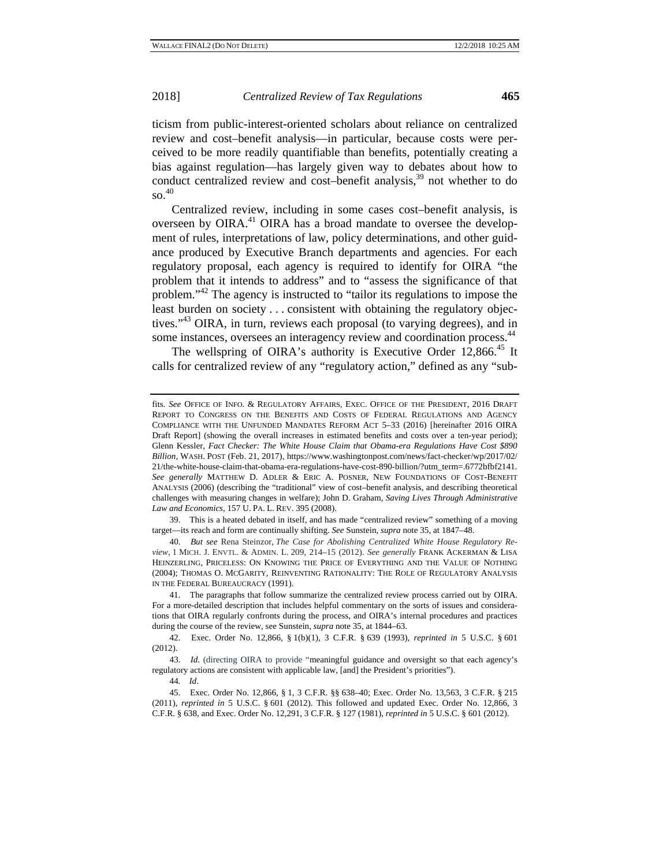ticism from public-interest-oriented scholars about reliance on centralized review and cost–benefit analysis—in particular, because costs were perceived to be more readily quantifiable than benefits, potentially creating a bias against regulation—has largely given way to debates about how to conduct centralized review and cost–benefit analysis,<sup>39</sup> not whether to do  $\,$  so.  $^{40}$ 

Centralized review, including in some cases cost–benefit analysis, is overseen by OIRA.<sup>41</sup> OIRA has a broad mandate to oversee the development of rules, interpretations of law, policy determinations, and other guidance produced by Executive Branch departments and agencies. For each regulatory proposal, each agency is required to identify for OIRA "the problem that it intends to address" and to "assess the significance of that problem."42 The agency is instructed to "tailor its regulations to impose the least burden on society . . . consistent with obtaining the regulatory objectives."<sup>43</sup> OIRA, in turn, reviews each proposal (to varying degrees), and in some instances, oversees an interagency review and coordination process.<sup>44</sup>

The wellspring of OIRA's authority is Executive Order 12,866.<sup>45</sup> It calls for centralized review of any "regulatory action," defined as any "sub-

39. This is a heated debated in itself, and has made "centralized review" something of a moving target—its reach and form are continually shifting. *See* Sunstein, *supra* note 35, at 1847–48.

40. *But see* Rena Steinzor, *The Case for Abolishing Centralized White House Regulatory Review*, 1 MICH. J. ENVTL. & ADMIN. L. 209, 214–15 (2012). *See generally* FRANK ACKERMAN & LISA HEINZERLING, PRICELESS: ON KNOWING THE PRICE OF EVERYTHING AND THE VALUE OF NOTHING (2004); THOMAS O. MCGARITY, REINVENTING RATIONALITY: THE ROLE OF REGULATORY ANALYSIS IN THE FEDERAL BUREAUCRACY (1991).

41. The paragraphs that follow summarize the centralized review process carried out by OIRA. For a more-detailed description that includes helpful commentary on the sorts of issues and considerations that OIRA regularly confronts during the process, and OIRA's internal procedures and practices during the course of the review, see Sunstein, *supra* note 35, at 1844–63.

42. Exec. Order No. 12,866, § 1(b)(1), 3 C.F.R. § 639 (1993), *reprinted in* 5 U.S.C. § 601 (2012).

43. *Id*. (directing OIRA to provide "meaningful guidance and oversight so that each agency's regulatory actions are consistent with applicable law, [and] the President's priorities").

44*. Id*.

45. Exec. Order No. 12,866, § 1, 3 C.F.R. §§ 638–40; Exec. Order No. 13,563, 3 C.F.R. § 215 (2011), *reprinted in* 5 U.S.C. § 601 (2012). This followed and updated Exec. Order No. 12,866, 3 C.F.R. § 638, and Exec. Order No. 12,291, 3 C.F.R. § 127 (1981), *reprinted in* 5 U.S.C. § 601 (2012).

fits. *See* OFFICE OF INFO. & REGULATORY AFFAIRS, EXEC. OFFICE OF THE PRESIDENT, 2016 DRAFT REPORT TO CONGRESS ON THE BENEFITS AND COSTS OF FEDERAL REGULATIONS AND AGENCY COMPLIANCE WITH THE UNFUNDED MANDATES REFORM ACT 5–33 (2016) [hereinafter 2016 OIRA Draft Report] (showing the overall increases in estimated benefits and costs over a ten-year period); Glenn Kessler, *Fact Checker: The White House Claim that Obama-era Regulations Have Cost \$890 Billion*, WASH. POST (Feb. 21, 2017), https://www.washingtonpost.com/news/fact-checker/wp/2017/02/ 21/the-white-house-claim-that-obama-era-regulations-have-cost-890-billion/?utm\_term=.6772bfbf2141. *See generally* MATTHEW D. ADLER & ERIC A. POSNER, NEW FOUNDATIONS OF COST-BENEFIT ANALYSIS (2006) (describing the "traditional" view of cost–benefit analysis, and describing theoretical challenges with measuring changes in welfare); John D. Graham, *Saving Lives Through Administrative Law and Economics*, 157 U. PA. L. REV. 395 (2008).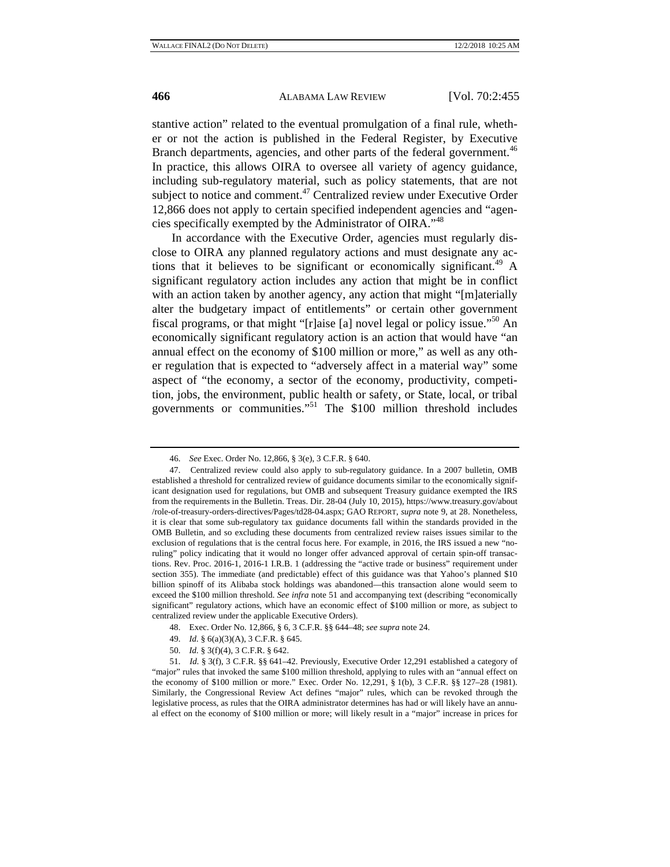stantive action" related to the eventual promulgation of a final rule, whether or not the action is published in the Federal Register, by Executive Branch departments, agencies, and other parts of the federal government.<sup>46</sup> In practice, this allows OIRA to oversee all variety of agency guidance, including sub-regulatory material, such as policy statements, that are not subject to notice and comment.<sup>47</sup> Centralized review under Executive Order 12,866 does not apply to certain specified independent agencies and "agencies specifically exempted by the Administrator of OIRA."<sup>48</sup>

In accordance with the Executive Order, agencies must regularly disclose to OIRA any planned regulatory actions and must designate any actions that it believes to be significant or economically significant.<sup>49</sup> A significant regulatory action includes any action that might be in conflict with an action taken by another agency, any action that might "[m]aterially alter the budgetary impact of entitlements" or certain other government fiscal programs, or that might "[r]aise [a] novel legal or policy issue."<sup>50</sup> An economically significant regulatory action is an action that would have "an annual effect on the economy of \$100 million or more," as well as any other regulation that is expected to "adversely affect in a material way" some aspect of "the economy, a sector of the economy, productivity, competition, jobs, the environment, public health or safety, or State, local, or tribal governments or communities."51 The \$100 million threshold includes

- 48. Exec. Order No. 12,866, § 6, 3 C.F.R. §§ 644–48; *see supra* note 24.
- 49. *Id.* § 6(a)(3)(A), 3 C.F.R. § 645.
- 50. *Id.* § 3(f)(4), 3 C.F.R. § 642.

<sup>46.</sup> *See* Exec. Order No. 12,866, § 3(e), 3 C.F.R. § 640.

<sup>47.</sup> Centralized review could also apply to sub-regulatory guidance. In a 2007 bulletin, OMB established a threshold for centralized review of guidance documents similar to the economically significant designation used for regulations, but OMB and subsequent Treasury guidance exempted the IRS from the requirements in the Bulletin. Treas. Dir. 28-04 (July 10, 2015), https://www.treasury.gov/about /role-of-treasury-orders-directives/Pages/td28-04.aspx; GAO REPORT, *supra* note 9, at 28. Nonetheless, it is clear that some sub-regulatory tax guidance documents fall within the standards provided in the OMB Bulletin, and so excluding these documents from centralized review raises issues similar to the exclusion of regulations that is the central focus here. For example, in 2016, the IRS issued a new "noruling" policy indicating that it would no longer offer advanced approval of certain spin-off transactions. Rev. Proc. 2016-1, 2016-1 I.R.B. 1 (addressing the "active trade or business" requirement under section 355). The immediate (and predictable) effect of this guidance was that Yahoo's planned \$10 billion spinoff of its Alibaba stock holdings was abandoned—this transaction alone would seem to exceed the \$100 million threshold. *See infra* note 51 and accompanying text (describing "economically significant" regulatory actions, which have an economic effect of \$100 million or more, as subject to centralized review under the applicable Executive Orders).

<sup>51.</sup> *Id.* § 3(f), 3 C.F.R. §§ 641–42. Previously, Executive Order 12,291 established a category of "major" rules that invoked the same \$100 million threshold, applying to rules with an "annual effect on the economy of \$100 million or more." Exec. Order No. 12,291, § 1(b), 3 C.F.R. §§ 127–28 (1981). Similarly, the Congressional Review Act defines "major" rules, which can be revoked through the legislative process, as rules that the OIRA administrator determines has had or will likely have an annual effect on the economy of \$100 million or more; will likely result in a "major" increase in prices for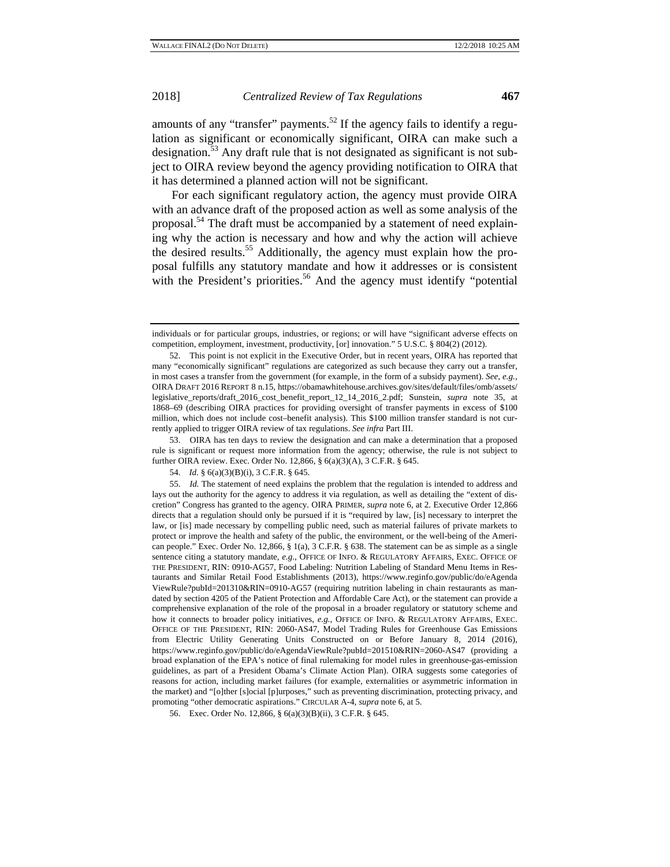amounts of any "transfer" payments.<sup>52</sup> If the agency fails to identify a regulation as significant or economically significant, OIRA can make such a designation.<sup>53</sup> Any draft rule that is not designated as significant is not subject to OIRA review beyond the agency providing notification to OIRA that it has determined a planned action will not be significant.

For each significant regulatory action, the agency must provide OIRA with an advance draft of the proposed action as well as some analysis of the proposal.<sup>54</sup> The draft must be accompanied by a statement of need explaining why the action is necessary and how and why the action will achieve the desired results.55 Additionally, the agency must explain how the proposal fulfills any statutory mandate and how it addresses or is consistent with the President's priorities.<sup>56</sup> And the agency must identify "potential

53. OIRA has ten days to review the designation and can make a determination that a proposed rule is significant or request more information from the agency; otherwise, the rule is not subject to further OIRA review. Exec. Order No. 12,866, § 6(a)(3)(A), 3 C.F.R. § 645.

individuals or for particular groups, industries, or regions; or will have "significant adverse effects on competition, employment, investment, productivity, [or] innovation." 5 U.S.C. § 804(2) (2012).

<sup>52.</sup> This point is not explicit in the Executive Order, but in recent years, OIRA has reported that many "economically significant" regulations are categorized as such because they carry out a transfer, in most cases a transfer from the government (for example, in the form of a subsidy payment). *See, e.g.*, OIRA DRAFT 2016 REPORT 8 n.15, https://obamawhitehouse.archives.gov/sites/default/files/omb/assets/ legislative\_reports/draft\_2016\_cost\_benefit\_report\_12\_14\_2016\_2.pdf; Sunstein, *supra* note 35, at 1868–69 (describing OIRA practices for providing oversight of transfer payments in excess of \$100 million, which does not include cost–benefit analysis). This \$100 million transfer standard is not currently applied to trigger OIRA review of tax regulations. *See infra* Part III.

<sup>54.</sup> *Id.* § 6(a)(3)(B)(i), 3 C.F.R. § 645.

<sup>55.</sup> *Id.* The statement of need explains the problem that the regulation is intended to address and lays out the authority for the agency to address it via regulation, as well as detailing the "extent of discretion" Congress has granted to the agency. OIRA PRIMER, *supra* note 6, at 2. Executive Order 12,866 directs that a regulation should only be pursued if it is "required by law, [is] necessary to interpret the law, or [is] made necessary by compelling public need, such as material failures of private markets to protect or improve the health and safety of the public, the environment, or the well-being of the American people." Exec. Order No. 12,866, § 1(a), 3 C.F.R. § 638. The statement can be as simple as a single sentence citing a statutory mandate, *e.g.*, OFFICE OF INFO. & REGULATORY AFFAIRS, EXEC. OFFICE OF THE PRESIDENT, RIN: 0910-AG57, Food Labeling: Nutrition Labeling of Standard Menu Items in Restaurants and Similar Retail Food Establishments (2013), https://www.reginfo.gov/public/do/eAgenda ViewRule?pubId=201310&RIN=0910-AG57 (requiring nutrition labeling in chain restaurants as mandated by section 4205 of the Patient Protection and Affordable Care Act), or the statement can provide a comprehensive explanation of the role of the proposal in a broader regulatory or statutory scheme and how it connects to broader policy initiatives, *e.g.*, OFFICE OF INFO. & REGULATORY AFFAIRS, EXEC. OFFICE OF THE PRESIDENT, RIN: 2060-AS47, Model Trading Rules for Greenhouse Gas Emissions from Electric Utility Generating Units Constructed on or Before January 8, 2014 (2016), https://www.reginfo.gov/public/do/eAgendaViewRule?pubId=201510&RIN=2060-AS47 (providing a broad explanation of the EPA's notice of final rulemaking for model rules in greenhouse-gas-emission guidelines, as part of a President Obama's Climate Action Plan). OIRA suggests some categories of reasons for action, including market failures (for example, externalities or asymmetric information in the market) and "[o]ther [s]ocial [p]urposes," such as preventing discrimination, protecting privacy, and promoting "other democratic aspirations." CIRCULAR A-4, *supra* note 6, at 5.

<sup>56.</sup> Exec. Order No. 12,866, § 6(a)(3)(B)(ii), 3 C.F.R. § 645.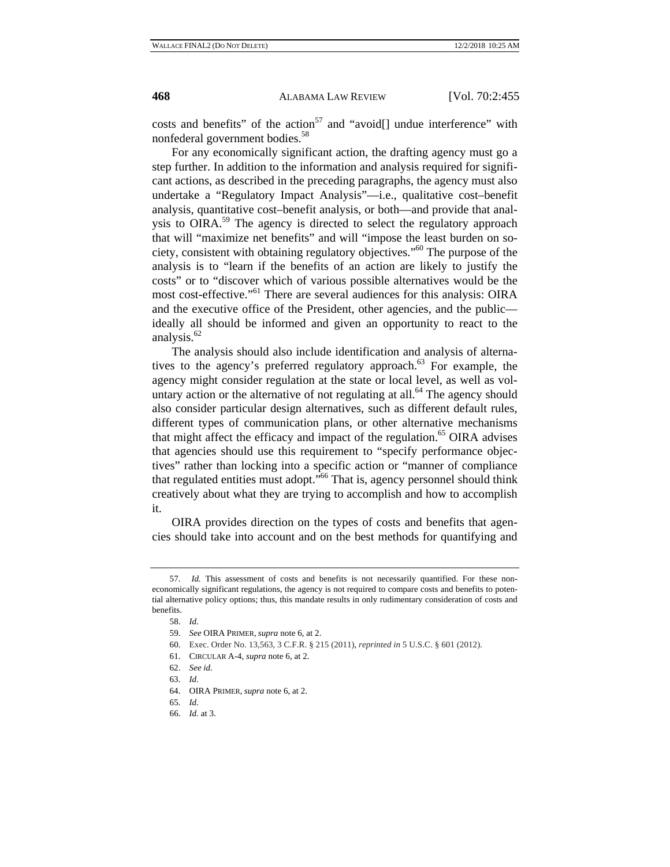costs and benefits" of the action<sup>57</sup> and "avoid[] undue interference" with nonfederal government bodies.<sup>58</sup>

For any economically significant action, the drafting agency must go a step further. In addition to the information and analysis required for significant actions, as described in the preceding paragraphs, the agency must also undertake a "Regulatory Impact Analysis"—i.e., qualitative cost–benefit analysis, quantitative cost–benefit analysis, or both—and provide that analysis to OIRA.<sup>59</sup> The agency is directed to select the regulatory approach that will "maximize net benefits" and will "impose the least burden on society, consistent with obtaining regulatory objectives."60 The purpose of the analysis is to "learn if the benefits of an action are likely to justify the costs" or to "discover which of various possible alternatives would be the most cost-effective."<sup>61</sup> There are several audiences for this analysis: OIRA and the executive office of the President, other agencies, and the public ideally all should be informed and given an opportunity to react to the analysis.<sup>62</sup>

The analysis should also include identification and analysis of alternatives to the agency's preferred regulatory approach.<sup>63</sup> For example, the agency might consider regulation at the state or local level, as well as voluntary action or the alternative of not regulating at all.<sup>64</sup> The agency should also consider particular design alternatives, such as different default rules, different types of communication plans, or other alternative mechanisms that might affect the efficacy and impact of the regulation.<sup>65</sup> OIRA advises that agencies should use this requirement to "specify performance objectives" rather than locking into a specific action or "manner of compliance that regulated entities must adopt."66 That is, agency personnel should think creatively about what they are trying to accomplish and how to accomplish it.

OIRA provides direction on the types of costs and benefits that agencies should take into account and on the best methods for quantifying and

<sup>57.</sup> *Id.* This assessment of costs and benefits is not necessarily quantified. For these noneconomically significant regulations, the agency is not required to compare costs and benefits to potential alternative policy options; thus, this mandate results in only rudimentary consideration of costs and benefits.

<sup>58.</sup> *Id.*

<sup>59.</sup> *See* OIRA PRIMER, *supra* note 6, at 2.

<sup>60.</sup> Exec. Order No. 13,563, 3 C.F.R. § 215 (2011), *reprinted in* 5 U.S.C. § 601 (2012).

<sup>61.</sup> CIRCULAR A-4, *supra* note 6, at 2.

<sup>62.</sup> *See id.* 

<sup>63.</sup> *Id.*

<sup>64.</sup> OIRA PRIMER, *supra* note 6, at 2.

<sup>65.</sup> *Id.* 

<sup>66.</sup> *Id.* at 3.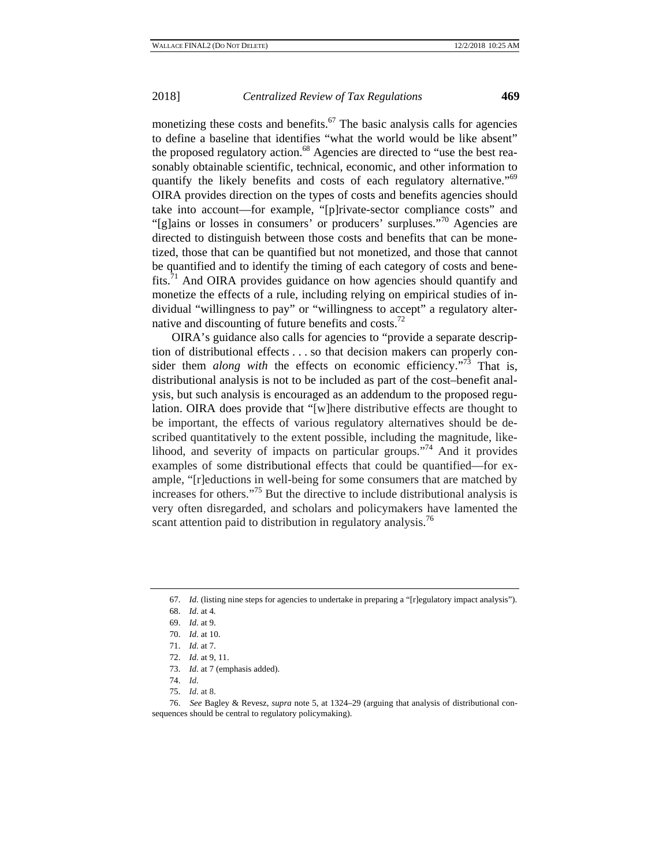monetizing these costs and benefits.<sup>67</sup> The basic analysis calls for agencies to define a baseline that identifies "what the world would be like absent" the proposed regulatory action.<sup>68</sup> Agencies are directed to "use the best reasonably obtainable scientific, technical, economic, and other information to quantify the likely benefits and costs of each regulatory alternative.<sup>"69</sup> OIRA provides direction on the types of costs and benefits agencies should take into account—for example, "[p]rivate-sector compliance costs" and "[g]ains or losses in consumers' or producers' surpluses."<sup>70</sup> Agencies are directed to distinguish between those costs and benefits that can be monetized, those that can be quantified but not monetized, and those that cannot be quantified and to identify the timing of each category of costs and benefits. $\frac{71}{1}$  And OIRA provides guidance on how agencies should quantify and monetize the effects of a rule, including relying on empirical studies of individual "willingness to pay" or "willingness to accept" a regulatory alternative and discounting of future benefits and costs.<sup>72</sup>

OIRA's guidance also calls for agencies to "provide a separate description of distributional effects . . . so that decision makers can properly consider them *along with* the effects on economic efficiency."<sup>73</sup> That is, distributional analysis is not to be included as part of the cost–benefit analysis, but such analysis is encouraged as an addendum to the proposed regulation. OIRA does provide that "[w]here distributive effects are thought to be important, the effects of various regulatory alternatives should be described quantitatively to the extent possible, including the magnitude, likelihood, and severity of impacts on particular groups."74 And it provides examples of some distributional effects that could be quantified—for example, "[r]eductions in well-being for some consumers that are matched by increases for others."75 But the directive to include distributional analysis is very often disregarded, and scholars and policymakers have lamented the scant attention paid to distribution in regulatory analysis.<sup>76</sup>

<sup>67.</sup> *Id.* (listing nine steps for agencies to undertake in preparing a "[r]egulatory impact analysis").

<sup>68.</sup> *Id.* at 4*.*

<sup>69.</sup> *Id.* at 9.

<sup>70.</sup> *Id.* at 10.

<sup>71.</sup> *Id.* at 7.

<sup>72.</sup> *Id.* at 9, 11.

<sup>73.</sup> *Id.* at 7 (emphasis added).

<sup>74.</sup> *Id.*

<sup>75.</sup> *Id.* at 8.

<sup>76.</sup> *See* Bagley & Revesz, *supra* note 5, at 1324–29 (arguing that analysis of distributional consequences should be central to regulatory policymaking).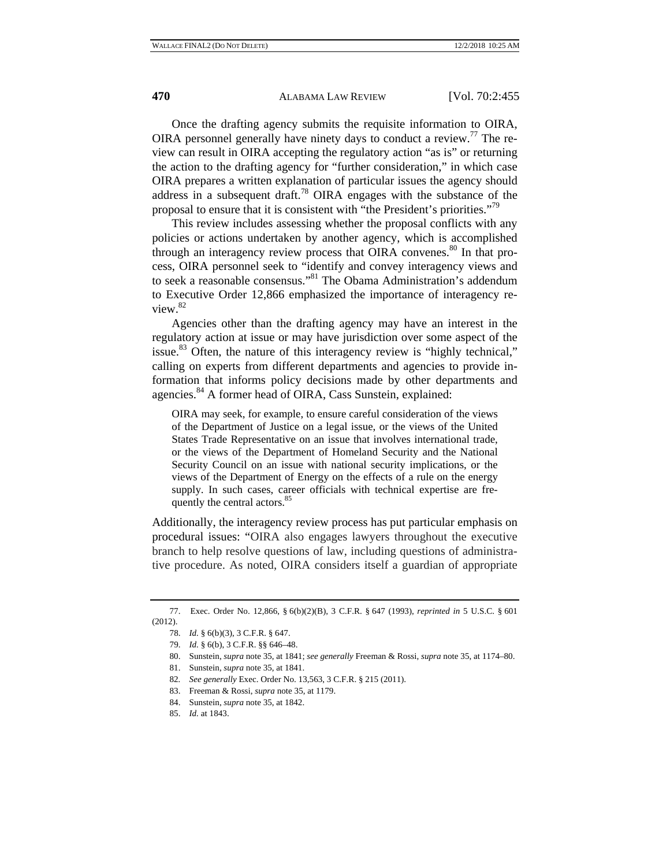Once the drafting agency submits the requisite information to OIRA, OIRA personnel generally have ninety days to conduct a review.<sup>77</sup> The review can result in OIRA accepting the regulatory action "as is" or returning the action to the drafting agency for "further consideration," in which case OIRA prepares a written explanation of particular issues the agency should address in a subsequent draft.78 OIRA engages with the substance of the proposal to ensure that it is consistent with "the President's priorities."<sup>79</sup>

This review includes assessing whether the proposal conflicts with any policies or actions undertaken by another agency, which is accomplished through an interagency review process that OIRA convenes.<sup>80</sup> In that process, OIRA personnel seek to "identify and convey interagency views and to seek a reasonable consensus."<sup>81</sup> The Obama Administration's addendum to Executive Order 12,866 emphasized the importance of interagency review.<sup>82</sup>

Agencies other than the drafting agency may have an interest in the regulatory action at issue or may have jurisdiction over some aspect of the issue.<sup>83</sup> Often, the nature of this interagency review is "highly technical," calling on experts from different departments and agencies to provide information that informs policy decisions made by other departments and agencies.<sup>84</sup> A former head of OIRA, Cass Sunstein, explained:

OIRA may seek, for example, to ensure careful consideration of the views of the Department of Justice on a legal issue, or the views of the United States Trade Representative on an issue that involves international trade, or the views of the Department of Homeland Security and the National Security Council on an issue with national security implications, or the views of the Department of Energy on the effects of a rule on the energy supply. In such cases, career officials with technical expertise are frequently the central actors.<sup>85</sup>

Additionally, the interagency review process has put particular emphasis on procedural issues: "OIRA also engages lawyers throughout the executive branch to help resolve questions of law, including questions of administrative procedure. As noted, OIRA considers itself a guardian of appropriate

<sup>77.</sup> Exec. Order No. 12,866, § 6(b)(2)(B), 3 C.F.R. § 647 (1993), *reprinted in* 5 U.S.C. § 601 (2012).

<sup>78.</sup> *Id.* § 6(b)(3), 3 C.F.R. § 647.

<sup>79.</sup> *Id.* § 6(b), 3 C.F.R. §§ 646–48.

<sup>80.</sup> Sunstein, *supra* note 35, at 1841; *see generally* Freeman & Rossi, *supra* note 35, at 1174–80.

<sup>81.</sup> Sunstein, *supra* note 35, at 1841.

<sup>82</sup>*. See generally* Exec. Order No. 13,563, 3 C.F.R. § 215 (2011).

<sup>83.</sup> Freeman & Rossi, *supra* note 35, at 1179.

<sup>84.</sup> Sunstein, *supra* note 35, at 1842.

<sup>85.</sup> *Id.* at 1843.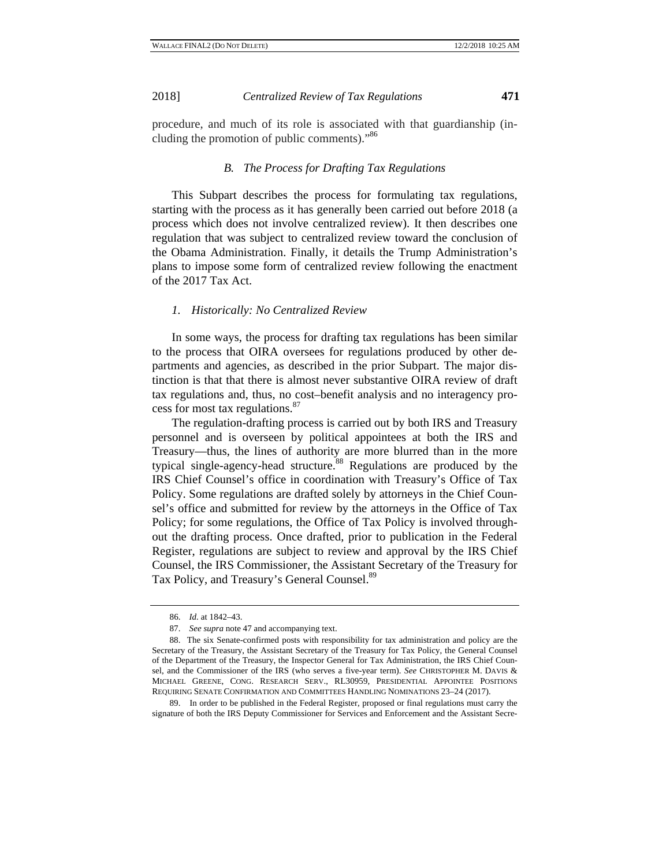procedure, and much of its role is associated with that guardianship (including the promotion of public comments)."<sup>86</sup>

#### *B. The Process for Drafting Tax Regulations*

This Subpart describes the process for formulating tax regulations, starting with the process as it has generally been carried out before 2018 (a process which does not involve centralized review). It then describes one regulation that was subject to centralized review toward the conclusion of the Obama Administration. Finally, it details the Trump Administration's plans to impose some form of centralized review following the enactment of the 2017 Tax Act.

#### *1. Historically: No Centralized Review*

In some ways, the process for drafting tax regulations has been similar to the process that OIRA oversees for regulations produced by other departments and agencies, as described in the prior Subpart. The major distinction is that that there is almost never substantive OIRA review of draft tax regulations and, thus, no cost–benefit analysis and no interagency process for most tax regulations.<sup>87</sup>

The regulation-drafting process is carried out by both IRS and Treasury personnel and is overseen by political appointees at both the IRS and Treasury—thus, the lines of authority are more blurred than in the more typical single-agency-head structure.<sup>88</sup> Regulations are produced by the IRS Chief Counsel's office in coordination with Treasury's Office of Tax Policy. Some regulations are drafted solely by attorneys in the Chief Counsel's office and submitted for review by the attorneys in the Office of Tax Policy; for some regulations, the Office of Tax Policy is involved throughout the drafting process. Once drafted, prior to publication in the Federal Register, regulations are subject to review and approval by the IRS Chief Counsel, the IRS Commissioner, the Assistant Secretary of the Treasury for Tax Policy, and Treasury's General Counsel.<sup>89</sup>

89. In order to be published in the Federal Register, proposed or final regulations must carry the signature of both the IRS Deputy Commissioner for Services and Enforcement and the Assistant Secre-

<sup>86.</sup> *Id.* at 1842–43.

<sup>87.</sup> *See supra* note 47 and accompanying text.

<sup>88.</sup> The six Senate-confirmed posts with responsibility for tax administration and policy are the Secretary of the Treasury, the Assistant Secretary of the Treasury for Tax Policy, the General Counsel of the Department of the Treasury, the Inspector General for Tax Administration, the IRS Chief Counsel, and the Commissioner of the IRS (who serves a five-year term). *See* CHRISTOPHER M. DAVIS & MICHAEL GREENE, CONG. RESEARCH SERV., RL30959, PRESIDENTIAL APPOINTEE POSITIONS REQUIRING SENATE CONFIRMATION AND COMMITTEES HANDLING NOMINATIONS 23–24 (2017).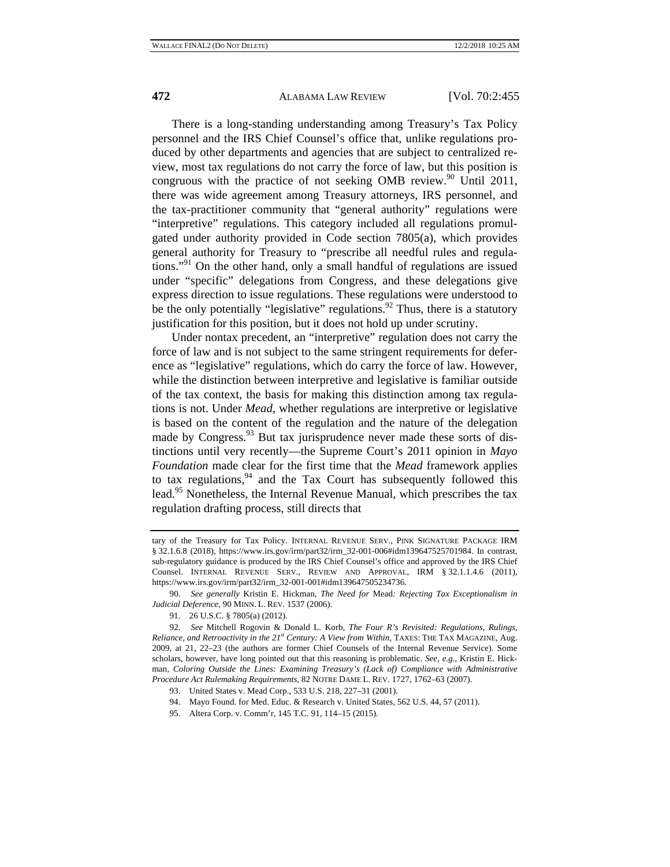There is a long-standing understanding among Treasury's Tax Policy personnel and the IRS Chief Counsel's office that, unlike regulations produced by other departments and agencies that are subject to centralized review, most tax regulations do not carry the force of law, but this position is congruous with the practice of not seeking OMB review.<sup>90</sup> Until 2011, there was wide agreement among Treasury attorneys, IRS personnel, and the tax-practitioner community that "general authority" regulations were "interpretive" regulations. This category included all regulations promulgated under authority provided in Code section 7805(a), which provides general authority for Treasury to "prescribe all needful rules and regulations."<sup>91</sup> On the other hand, only a small handful of regulations are issued under "specific" delegations from Congress, and these delegations give express direction to issue regulations. These regulations were understood to be the only potentially "legislative" regulations.<sup>92</sup> Thus, there is a statutory justification for this position, but it does not hold up under scrutiny.

Under nontax precedent, an "interpretive" regulation does not carry the force of law and is not subject to the same stringent requirements for deference as "legislative" regulations, which do carry the force of law. However, while the distinction between interpretive and legislative is familiar outside of the tax context, the basis for making this distinction among tax regulations is not. Under *Mead*, whether regulations are interpretive or legislative is based on the content of the regulation and the nature of the delegation made by Congress. $93$  But tax jurisprudence never made these sorts of distinctions until very recently—the Supreme Court's 2011 opinion in *Mayo Foundation* made clear for the first time that the *Mead* framework applies to tax regulations, $94$  and the Tax Court has subsequently followed this lead.<sup>95</sup> Nonetheless, the Internal Revenue Manual, which prescribes the tax regulation drafting process, still directs that

95. Altera Corp. v. Comm'r, 145 T.C. 91, 114–15 (2015).

tary of the Treasury for Tax Policy. INTERNAL REVENUE SERV., PINK SIGNATURE PACKAGE IRM § 32.1.6.8 (2018), https://www.irs.gov/irm/part32/irm\_32-001-006#idm139647525701984. In contrast, sub-regulatory guidance is produced by the IRS Chief Counsel's office and approved by the IRS Chief Counsel. INTERNAL REVENUE SERV., REVIEW AND APPROVAL, IRM § 32.1.1.4.6 (2011), https://www.irs.gov/irm/part32/irm\_32-001-001#idm139647505234736.

<sup>90.</sup> *See generally* Kristin E. Hickman, *The Need for* Mead*: Rejecting Tax Exceptionalism in Judicial Deference*, 90 MINN. L. REV. 1537 (2006).

<sup>91. 26</sup> U.S.C. § 7805(a) (2012).

<sup>92.</sup> *See* Mitchell Rogovin & Donald L. Korb, *The Four R's Revisited: Regulations, Rulings, Reliance, and Retroactivity in the 21<sup>st</sup> Century: A View from Within, TAXES: THE TAX MAGAZINE, Aug.* 2009, at 21, 22*–*23 (the authors are former Chief Counsels of the Internal Revenue Service). Some scholars, however, have long pointed out that this reasoning is problematic. *See, e.g.*, Kristin E. Hickman, *Coloring Outside the Lines: Examining Treasury's (Lack of) Compliance with Administrative Procedure Act Rulemaking Requirements*, 82 NOTRE DAME L. REV. 1727, 1762*–*63 (2007).

<sup>93.</sup> United States v. Mead Corp., 533 U.S. 218, 227–31 (2001).

<sup>94.</sup> Mayo Found. for Med. Educ. & Research v. United States, 562 U.S. 44, 57 (2011).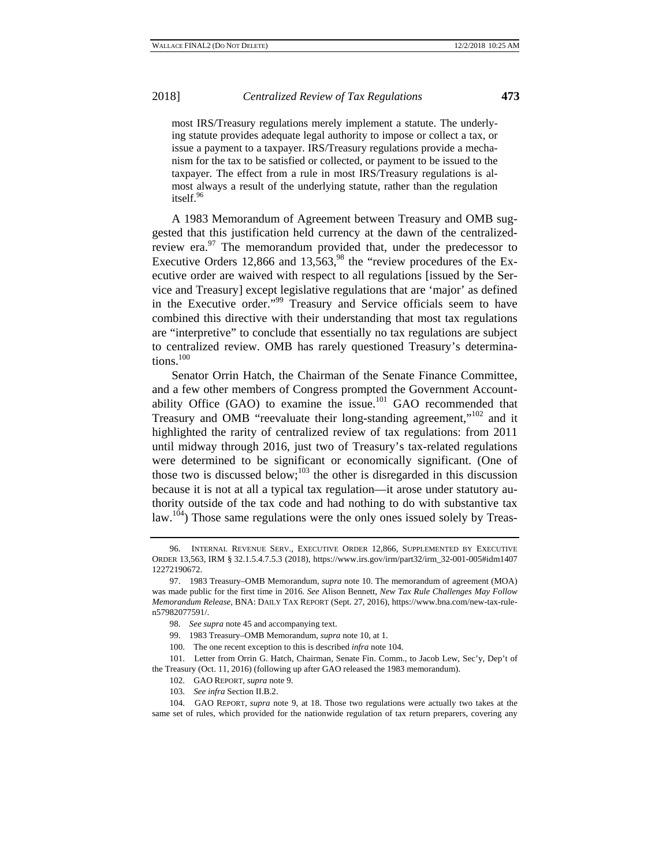most IRS/Treasury regulations merely implement a statute. The underlying statute provides adequate legal authority to impose or collect a tax, or issue a payment to a taxpayer. IRS/Treasury regulations provide a mechanism for the tax to be satisfied or collected, or payment to be issued to the taxpayer. The effect from a rule in most IRS/Treasury regulations is almost always a result of the underlying statute, rather than the regulation itself.<sup>96</sup>

A 1983 Memorandum of Agreement between Treasury and OMB suggested that this justification held currency at the dawn of the centralizedreview era. $\frac{97}{10}$  The memorandum provided that, under the predecessor to Executive Orders 12,866 and 13,563,<sup>98</sup> the "review procedures of the Executive order are waived with respect to all regulations [issued by the Service and Treasury] except legislative regulations that are 'major' as defined in the Executive order."99 Treasury and Service officials seem to have combined this directive with their understanding that most tax regulations are "interpretive" to conclude that essentially no tax regulations are subject to centralized review. OMB has rarely questioned Treasury's determinations.<sup>100</sup>

Senator Orrin Hatch, the Chairman of the Senate Finance Committee, and a few other members of Congress prompted the Government Accountability Office (GAO) to examine the issue.<sup>101</sup> GAO recommended that Treasury and OMB "reevaluate their long-standing agreement,"102 and it highlighted the rarity of centralized review of tax regulations: from 2011 until midway through 2016, just two of Treasury's tax-related regulations were determined to be significant or economically significant. (One of those two is discussed below; $^{103}$  the other is disregarded in this discussion because it is not at all a typical tax regulation—it arose under statutory authority outside of the tax code and had nothing to do with substantive tax law.<sup>104</sup>) Those same regulations were the only ones issued solely by Treas-

- 99. 1983 Treasury–OMB Memorandum, *supra* note 10, at 1.
- 100. The one recent exception to this is described *infra* note 104.

- 102. GAO REPORT, *supra* note 9.
- 103. *See infra* Section II.B.2.

<sup>96.</sup> INTERNAL REVENUE SERV., EXECUTIVE ORDER 12,866, SUPPLEMENTED BY EXECUTIVE ORDER 13,563, IRM § 32.1.5.4.7.5.3 (2018), https://www.irs.gov/irm/part32/irm\_32-001-005#idm1407 12272190672.

<sup>97. 1983</sup> Treasury–OMB Memorandum, *supra* note 10. The memorandum of agreement (MOA) was made public for the first time in 2016. *See* Alison Bennett, *New Tax Rule Challenges May Follow Memorandum Release*, BNA: DAILY TAX REPORT (Sept. 27, 2016), https://www.bna.com/new-tax-rulen57982077591/.

<sup>98.</sup> *See supra* note 45 and accompanying text.

<sup>101.</sup> Letter from Orrin G. Hatch, Chairman, Senate Fin. Comm., to Jacob Lew, Sec'y, Dep't of the Treasury (Oct. 11, 2016) (following up after GAO released the 1983 memorandum).

<sup>104.</sup> GAO REPORT, *supra* note 9, at 18. Those two regulations were actually two takes at the same set of rules, which provided for the nationwide regulation of tax return preparers, covering any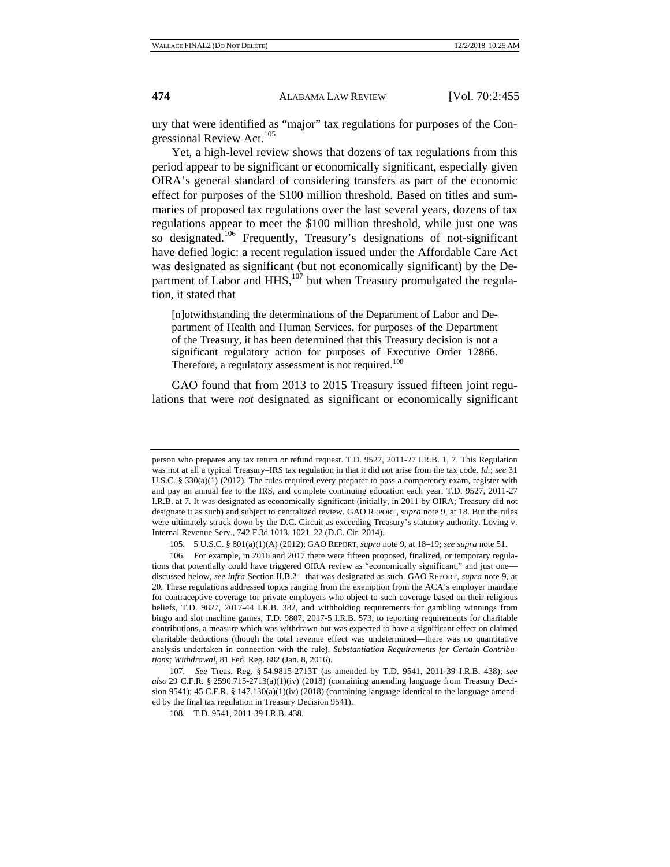ury that were identified as "major" tax regulations for purposes of the Congressional Review Act.<sup>105</sup>

Yet, a high-level review shows that dozens of tax regulations from this period appear to be significant or economically significant, especially given OIRA's general standard of considering transfers as part of the economic effect for purposes of the \$100 million threshold. Based on titles and summaries of proposed tax regulations over the last several years, dozens of tax regulations appear to meet the \$100 million threshold, while just one was so designated.<sup>106</sup> Frequently, Treasury's designations of not-significant have defied logic: a recent regulation issued under the Affordable Care Act was designated as significant (but not economically significant) by the Department of Labor and  $HHS$ ,<sup>107</sup> but when Treasury promulgated the regulation, it stated that

[n]otwithstanding the determinations of the Department of Labor and Department of Health and Human Services, for purposes of the Department of the Treasury, it has been determined that this Treasury decision is not a significant regulatory action for purposes of Executive Order 12866. Therefore, a regulatory assessment is not required.<sup>108</sup>

GAO found that from 2013 to 2015 Treasury issued fifteen joint regulations that were *not* designated as significant or economically significant

105. 5 U.S.C. § 801(a)(1)(A) (2012); GAO REPORT, *supra* note 9, at 18–19; *see supra* note 51.

107. *See* Treas. Reg. § 54.9815-2713T (as amended by T.D. 9541, 2011-39 I.R.B. 438); *see also* 29 C.F.R. § 2590.715-2713(a)(1)(iv) (2018) (containing amending language from Treasury Decision 9541); 45 C.F.R. § 147.130(a)(1)(iv) (2018) (containing language identical to the language amended by the final tax regulation in Treasury Decision 9541).

person who prepares any tax return or refund request. T.D. 9527, 2011-27 I.R.B. 1, 7. This Regulation was not at all a typical Treasury–IRS tax regulation in that it did not arise from the tax code. *Id.*; *see* 31 U.S.C. § 330(a)(1) (2012). The rules required every preparer to pass a competency exam, register with and pay an annual fee to the IRS, and complete continuing education each year. T.D. 9527, 2011-27 I.R.B. at 7. It was designated as economically significant (initially, in 2011 by OIRA; Treasury did not designate it as such) and subject to centralized review. GAO REPORT, *supra* note 9, at 18. But the rules were ultimately struck down by the D.C. Circuit as exceeding Treasury's statutory authority. Loving v. Internal Revenue Serv., 742 F.3d 1013, 1021–22 (D.C. Cir. 2014).

<sup>106.</sup> For example, in 2016 and 2017 there were fifteen proposed, finalized, or temporary regulations that potentially could have triggered OIRA review as "economically significant," and just onediscussed below, *see infra* Section II.B.2—that was designated as such. GAO REPORT, *supra* note 9, at 20. These regulations addressed topics ranging from the exemption from the ACA's employer mandate for contraceptive coverage for private employers who object to such coverage based on their religious beliefs, T.D. 9827, 2017-44 I.R.B. 382, and withholding requirements for gambling winnings from bingo and slot machine games, T.D. 9807, 2017-5 I.R.B. 573, to reporting requirements for charitable contributions, a measure which was withdrawn but was expected to have a significant effect on claimed charitable deductions (though the total revenue effect was undetermined—there was no quantitative analysis undertaken in connection with the rule). *Substantiation Requirements for Certain Contributions; Withdrawal*, 81 Fed. Reg. 882 (Jan. 8, 2016).

<sup>108.</sup> T.D. 9541, 2011-39 I.R.B. 438.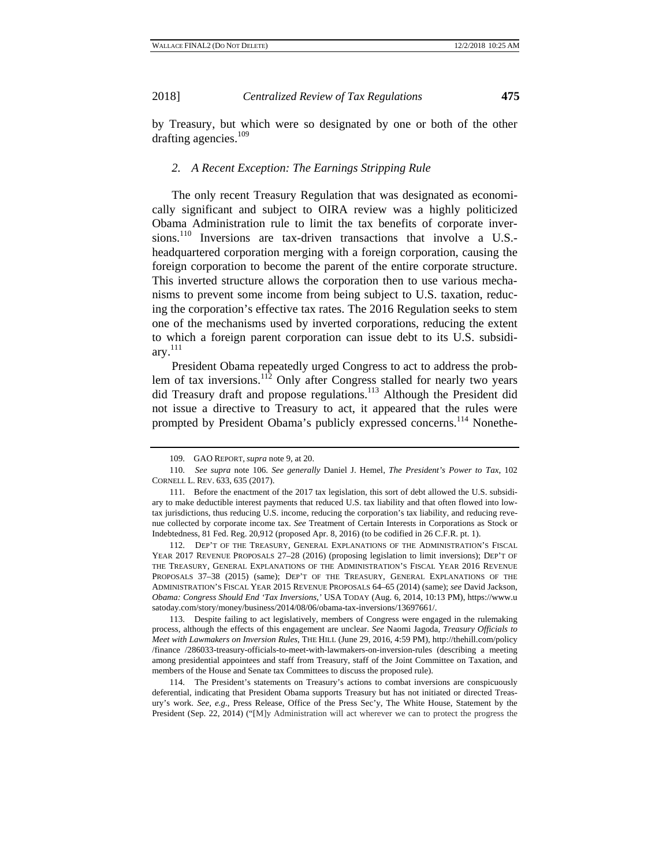#### *2. A Recent Exception: The Earnings Stripping Rule*

The only recent Treasury Regulation that was designated as economically significant and subject to OIRA review was a highly politicized Obama Administration rule to limit the tax benefits of corporate inversions.<sup>110</sup> Inversions are tax-driven transactions that involve a U.S.headquartered corporation merging with a foreign corporation, causing the foreign corporation to become the parent of the entire corporate structure. This inverted structure allows the corporation then to use various mechanisms to prevent some income from being subject to U.S. taxation, reducing the corporation's effective tax rates. The 2016 Regulation seeks to stem one of the mechanisms used by inverted corporations, reducing the extent to which a foreign parent corporation can issue debt to its U.S. subsidi $arv.<sup>111</sup>$ 

President Obama repeatedly urged Congress to act to address the problem of tax inversions.<sup>112</sup> Only after Congress stalled for nearly two years did Treasury draft and propose regulations.<sup>113</sup> Although the President did not issue a directive to Treasury to act, it appeared that the rules were prompted by President Obama's publicly expressed concerns.<sup>114</sup> Nonethe-

112. DEP'T OF THE TREASURY, GENERAL EXPLANATIONS OF THE ADMINISTRATION'S FISCAL YEAR 2017 REVENUE PROPOSALS 27–28 (2016) (proposing legislation to limit inversions); DEP'T OF THE TREASURY, GENERAL EXPLANATIONS OF THE ADMINISTRATION'S FISCAL YEAR 2016 REVENUE PROPOSALS 37–38 (2015) (same); DEP'T OF THE TREASURY, GENERAL EXPLANATIONS OF THE ADMINISTRATION'S FISCAL YEAR 2015 REVENUE PROPOSALS 64–65 (2014) (same); *see* David Jackson, *Obama: Congress Should End 'Tax Inversions*,*'* USA TODAY (Aug. 6, 2014, 10:13 PM), https://www.u satoday.com/story/money/business/2014/08/06/obama-tax-inversions/13697661/.

113. Despite failing to act legislatively, members of Congress were engaged in the rulemaking process, although the effects of this engagement are unclear. *See* Naomi Jagoda, *Treasury Officials to Meet with Lawmakers on Inversion Rules*, THE HILL (June 29, 2016, 4:59 PM), http://thehill.com/policy /finance /286033-treasury-officials-to-meet-with-lawmakers-on-inversion-rules (describing a meeting among presidential appointees and staff from Treasury, staff of the Joint Committee on Taxation, and members of the House and Senate tax Committees to discuss the proposed rule).

114. The President's statements on Treasury's actions to combat inversions are conspicuously deferential, indicating that President Obama supports Treasury but has not initiated or directed Treasury's work. *See, e.g.*, Press Release, Office of the Press Sec'y, The White House, Statement by the President (Sep. 22, 2014) ("[M]y Administration will act wherever we can to protect the progress the

<sup>109.</sup> GAO REPORT, *supra* note 9, at 20.

<sup>110.</sup> *See supra* note 106. *See generally* Daniel J. Hemel, *The President's Power to Tax*, 102 CORNELL L. REV. 633, 635 (2017).

<sup>111.</sup> Before the enactment of the 2017 tax legislation, this sort of debt allowed the U.S. subsidiary to make deductible interest payments that reduced U.S. tax liability and that often flowed into lowtax jurisdictions, thus reducing U.S. income, reducing the corporation's tax liability, and reducing revenue collected by corporate income tax. *See* Treatment of Certain Interests in Corporations as Stock or Indebtedness, 81 Fed. Reg. 20,912 (proposed Apr. 8, 2016) (to be codified in 26 C.F.R. pt. 1).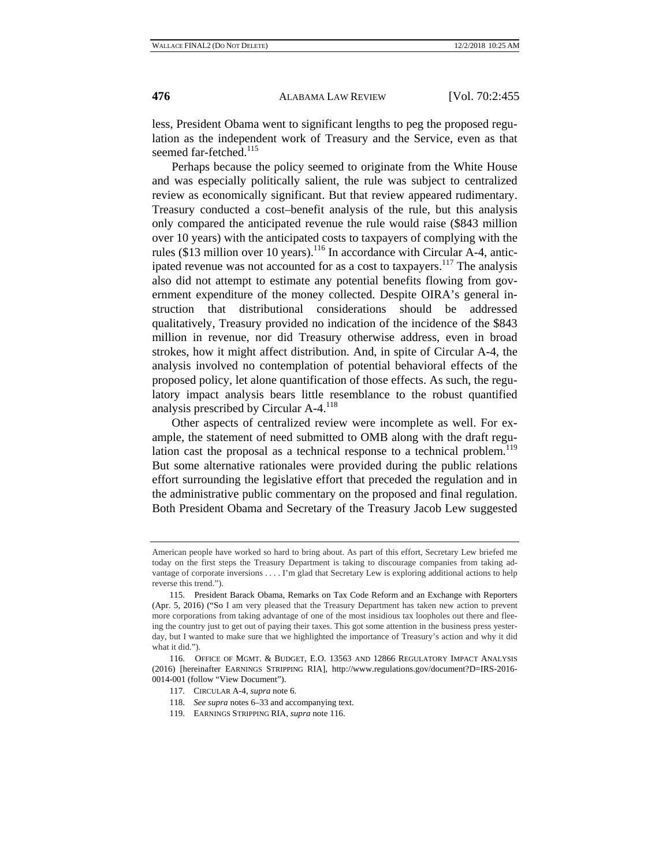less, President Obama went to significant lengths to peg the proposed regulation as the independent work of Treasury and the Service, even as that seemed far-fetched.<sup>115</sup>

Perhaps because the policy seemed to originate from the White House and was especially politically salient, the rule was subject to centralized review as economically significant. But that review appeared rudimentary. Treasury conducted a cost–benefit analysis of the rule, but this analysis only compared the anticipated revenue the rule would raise (\$843 million over 10 years) with the anticipated costs to taxpayers of complying with the rules (\$13 million over 10 years).116 In accordance with Circular A-4, anticipated revenue was not accounted for as a cost to taxpayers.<sup>117</sup> The analysis also did not attempt to estimate any potential benefits flowing from government expenditure of the money collected. Despite OIRA's general instruction that distributional considerations should be addressed qualitatively, Treasury provided no indication of the incidence of the \$843 million in revenue, nor did Treasury otherwise address, even in broad strokes, how it might affect distribution. And, in spite of Circular A-4, the analysis involved no contemplation of potential behavioral effects of the proposed policy, let alone quantification of those effects. As such, the regulatory impact analysis bears little resemblance to the robust quantified analysis prescribed by Circular  $A-4$ .<sup>118</sup>

Other aspects of centralized review were incomplete as well. For example, the statement of need submitted to OMB along with the draft regulation cast the proposal as a technical response to a technical problem.<sup>119</sup> But some alternative rationales were provided during the public relations effort surrounding the legislative effort that preceded the regulation and in the administrative public commentary on the proposed and final regulation. Both President Obama and Secretary of the Treasury Jacob Lew suggested

- 118. *See supra* notes 6–33 and accompanying text.
- 119. EARNINGS STRIPPING RIA, *supra* note 116.

American people have worked so hard to bring about. As part of this effort, Secretary Lew briefed me today on the first steps the Treasury Department is taking to discourage companies from taking advantage of corporate inversions . . . . I'm glad that Secretary Lew is exploring additional actions to help reverse this trend.").

<sup>115.</sup> President Barack Obama, Remarks on Tax Code Reform and an Exchange with Reporters (Apr. 5, 2016) ("So I am very pleased that the Treasury Department has taken new action to prevent more corporations from taking advantage of one of the most insidious tax loopholes out there and fleeing the country just to get out of paying their taxes. This got some attention in the business press yesterday, but I wanted to make sure that we highlighted the importance of Treasury's action and why it did what it did.").

<sup>116.</sup> OFFICE OF MGMT. & BUDGET, E.O. 13563 AND 12866 REGULATORY IMPACT ANALYSIS (2016) [hereinafter EARNINGS STRIPPING RIA], http://www.regulations.gov/document?D=IRS-2016- 0014-001 (follow "View Document").

<sup>117.</sup> CIRCULAR A-4, *supra* note 6.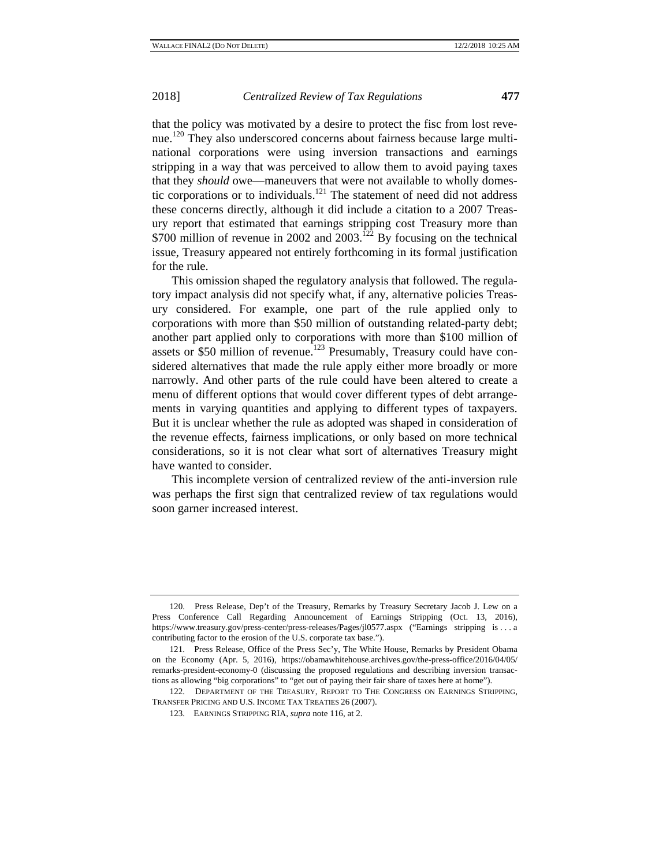that the policy was motivated by a desire to protect the fisc from lost revenue.<sup>120</sup> They also underscored concerns about fairness because large multinational corporations were using inversion transactions and earnings stripping in a way that was perceived to allow them to avoid paying taxes that they *should* owe—maneuvers that were not available to wholly domestic corporations or to individuals.<sup>121</sup> The statement of need did not address these concerns directly, although it did include a citation to a 2007 Treasury report that estimated that earnings stripping cost Treasury more than \$700 million of revenue in 2002 and 2003.<sup>122</sup> By focusing on the technical issue, Treasury appeared not entirely forthcoming in its formal justification for the rule.

This omission shaped the regulatory analysis that followed. The regulatory impact analysis did not specify what, if any, alternative policies Treasury considered. For example, one part of the rule applied only to corporations with more than \$50 million of outstanding related-party debt; another part applied only to corporations with more than \$100 million of assets or \$50 million of revenue.<sup>123</sup> Presumably, Treasury could have considered alternatives that made the rule apply either more broadly or more narrowly. And other parts of the rule could have been altered to create a menu of different options that would cover different types of debt arrangements in varying quantities and applying to different types of taxpayers. But it is unclear whether the rule as adopted was shaped in consideration of the revenue effects, fairness implications, or only based on more technical considerations, so it is not clear what sort of alternatives Treasury might have wanted to consider.

This incomplete version of centralized review of the anti-inversion rule was perhaps the first sign that centralized review of tax regulations would soon garner increased interest.

<sup>120.</sup> Press Release, Dep't of the Treasury, Remarks by Treasury Secretary Jacob J. Lew on a Press Conference Call Regarding Announcement of Earnings Stripping (Oct. 13, 2016), https://www.treasury.gov/press-center/press-releases/Pages/jl0577.aspx ("Earnings stripping is . . . a contributing factor to the erosion of the U.S. corporate tax base.").

<sup>121.</sup> Press Release, Office of the Press Sec'y, The White House, Remarks by President Obama on the Economy (Apr. 5, 2016), https://obamawhitehouse.archives.gov/the-press-office/2016/04/05/ remarks-president-economy-0 (discussing the proposed regulations and describing inversion transactions as allowing "big corporations" to "get out of paying their fair share of taxes here at home").

<sup>122.</sup> DEPARTMENT OF THE TREASURY, REPORT TO THE CONGRESS ON EARNINGS STRIPPING, TRANSFER PRICING AND U.S. INCOME TAX TREATIES 26 (2007).

<sup>123.</sup> EARNINGS STRIPPING RIA, *supra* note 116, at 2.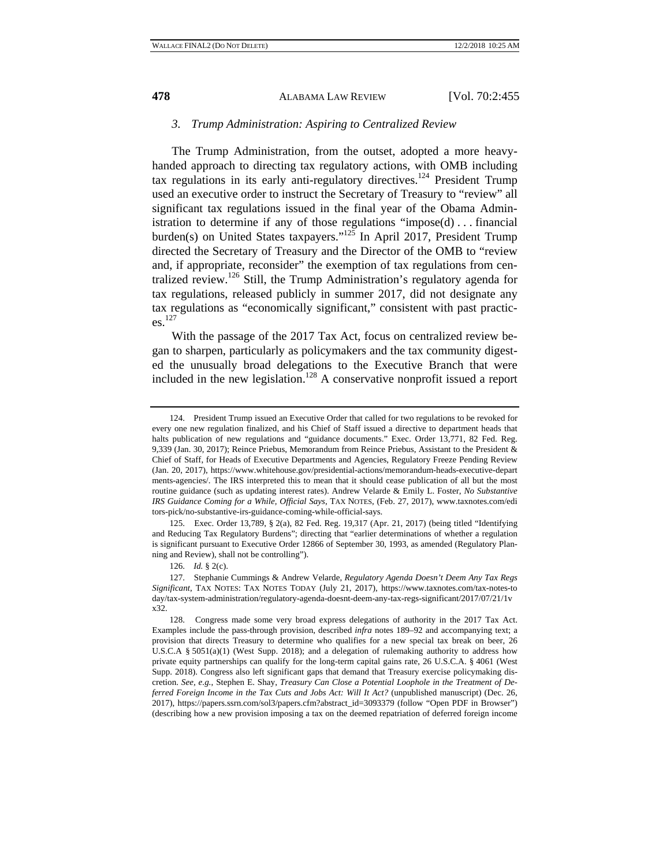#### *3. Trump Administration: Aspiring to Centralized Review*

The Trump Administration, from the outset, adopted a more heavyhanded approach to directing tax regulatory actions, with OMB including tax regulations in its early anti-regulatory directives.124 President Trump used an executive order to instruct the Secretary of Treasury to "review" all significant tax regulations issued in the final year of the Obama Administration to determine if any of those regulations "impose(d) . . . financial burden(s) on United States taxpayers." $125$  In April 2017, President Trump directed the Secretary of Treasury and the Director of the OMB to "review and, if appropriate, reconsider" the exemption of tax regulations from centralized review.<sup>126</sup> Still, the Trump Administration's regulatory agenda for tax regulations, released publicly in summer 2017, did not designate any tax regulations as "economically significant," consistent with past practic $es<sup>127</sup>$ 

With the passage of the 2017 Tax Act, focus on centralized review began to sharpen, particularly as policymakers and the tax community digested the unusually broad delegations to the Executive Branch that were included in the new legislation.128 A conservative nonprofit issued a report

<sup>124.</sup> President Trump issued an Executive Order that called for two regulations to be revoked for every one new regulation finalized, and his Chief of Staff issued a directive to department heads that halts publication of new regulations and "guidance documents." Exec. Order 13,771, 82 Fed. Reg. 9,339 (Jan. 30, 2017); Reince Priebus, Memorandum from Reince Priebus, Assistant to the President & Chief of Staff, for Heads of Executive Departments and Agencies, Regulatory Freeze Pending Review (Jan. 20, 2017), https://www.whitehouse.gov/presidential-actions/memorandum-heads-executive-depart ments-agencies/. The IRS interpreted this to mean that it should cease publication of all but the most routine guidance (such as updating interest rates). Andrew Velarde & Emily L. Foster, *No Substantive IRS Guidance Coming for a While, Official Says*, TAX NOTES, (Feb. 27, 2017), www.taxnotes.com/edi tors-pick/no-substantive-irs-guidance-coming-while-official-says.

<sup>125.</sup> Exec. Order 13,789, § 2(a), 82 Fed. Reg. 19,317 (Apr. 21, 2017) (being titled "Identifying and Reducing Tax Regulatory Burdens"; directing that "earlier determinations of whether a regulation is significant pursuant to Executive Order 12866 of September 30, 1993, as amended (Regulatory Planning and Review), shall not be controlling").

<sup>126.</sup> *Id.* § 2(c).

<sup>127.</sup> Stephanie Cummings & Andrew Velarde, *Regulatory Agenda Doesn't Deem Any Tax Regs Significant*, TAX NOTES: TAX NOTES TODAY (July 21, 2017), https://www.taxnotes.com/tax-notes-to day/tax-system-administration/regulatory-agenda-doesnt-deem-any-tax-regs-significant/2017/07/21/1v x32.

<sup>128.</sup> Congress made some very broad express delegations of authority in the 2017 Tax Act. Examples include the pass-through provision, described *infra* notes 189–92 and accompanying text; a provision that directs Treasury to determine who qualifies for a new special tax break on beer, 26 U.S.C.A § 5051(a)(1) (West Supp. 2018); and a delegation of rulemaking authority to address how private equity partnerships can qualify for the long-term capital gains rate, 26 U.S.C.A. § 4061 (West Supp. 2018). Congress also left significant gaps that demand that Treasury exercise policymaking discretion. *See, e.g.*, Stephen E. Shay, *Treasury Can Close a Potential Loophole in the Treatment of Deferred Foreign Income in the Tax Cuts and Jobs Act: Will It Act?* (unpublished manuscript) (Dec. 26, 2017), https://papers.ssrn.com/sol3/papers.cfm?abstract\_id=3093379 (follow "Open PDF in Browser") (describing how a new provision imposing a tax on the deemed repatriation of deferred foreign income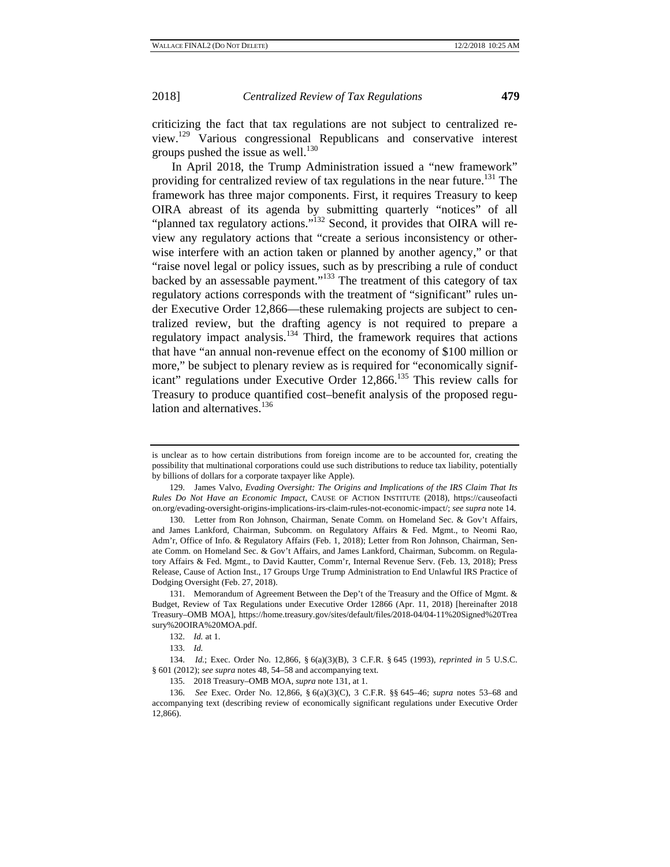criticizing the fact that tax regulations are not subject to centralized review.129 Various congressional Republicans and conservative interest groups pushed the issue as well. $^{130}$ 

In April 2018, the Trump Administration issued a "new framework" providing for centralized review of tax regulations in the near future.<sup>131</sup> The framework has three major components. First, it requires Treasury to keep OIRA abreast of its agenda by submitting quarterly "notices" of all "planned tax regulatory actions."<sup>132</sup> Second, it provides that OIRA will review any regulatory actions that "create a serious inconsistency or otherwise interfere with an action taken or planned by another agency," or that "raise novel legal or policy issues, such as by prescribing a rule of conduct backed by an assessable payment."<sup>133</sup> The treatment of this category of tax regulatory actions corresponds with the treatment of "significant" rules under Executive Order 12,866—these rulemaking projects are subject to centralized review, but the drafting agency is not required to prepare a regulatory impact analysis. $134$  Third, the framework requires that actions that have "an annual non-revenue effect on the economy of \$100 million or more," be subject to plenary review as is required for "economically significant" regulations under Executive Order 12,866.<sup>135</sup> This review calls for Treasury to produce quantified cost–benefit analysis of the proposed regulation and alternatives.<sup>136</sup>

132. *Id.* at 1.

133. *Id.*

is unclear as to how certain distributions from foreign income are to be accounted for, creating the possibility that multinational corporations could use such distributions to reduce tax liability, potentially by billions of dollars for a corporate taxpayer like Apple).

<sup>129.</sup> James Valvo, *Evading Oversight: The Origins and Implications of the IRS Claim That Its Rules Do Not Have an Economic Impact*, CAUSE OF ACTION INSTITUTE (2018), https://causeofacti on.org/evading-oversight-origins-implications-irs-claim-rules-not-economic-impact/; *see supra* note 14.

<sup>130.</sup> Letter from Ron Johnson, Chairman, Senate Comm. on Homeland Sec. & Gov't Affairs, and James Lankford, Chairman, Subcomm. on Regulatory Affairs & Fed. Mgmt., to Neomi Rao, Adm'r, Office of Info. & Regulatory Affairs (Feb. 1, 2018); Letter from Ron Johnson, Chairman, Senate Comm. on Homeland Sec. & Gov't Affairs, and James Lankford, Chairman, Subcomm. on Regulatory Affairs & Fed. Mgmt., to David Kautter, Comm'r, Internal Revenue Serv. (Feb. 13, 2018); Press Release, Cause of Action Inst., 17 Groups Urge Trump Administration to End Unlawful IRS Practice of Dodging Oversight (Feb. 27, 2018).

<sup>131.</sup> Memorandum of Agreement Between the Dep't of the Treasury and the Office of Mgmt. & Budget, Review of Tax Regulations under Executive Order 12866 (Apr. 11, 2018) [hereinafter 2018 Treasury–OMB MOA], https://home.treasury.gov/sites/default/files/2018-04/04-11%20Signed%20Trea sury%20OIRA%20MOA.pdf.

<sup>134.</sup> *Id.*; Exec. Order No. 12,866, § 6(a)(3)(B), 3 C.F.R. § 645 (1993), *reprinted in* 5 U.S.C. § 601 (2012); *see supra* notes 48, 54–58 and accompanying text.

<sup>135. 2018</sup> Treasury–OMB MOA, *supra* note 131, at 1.

<sup>136.</sup> *See* Exec. Order No. 12,866, § 6(a)(3)(C), 3 C.F.R. §§ 645–46; *supra* notes 53–68 and accompanying text (describing review of economically significant regulations under Executive Order 12,866).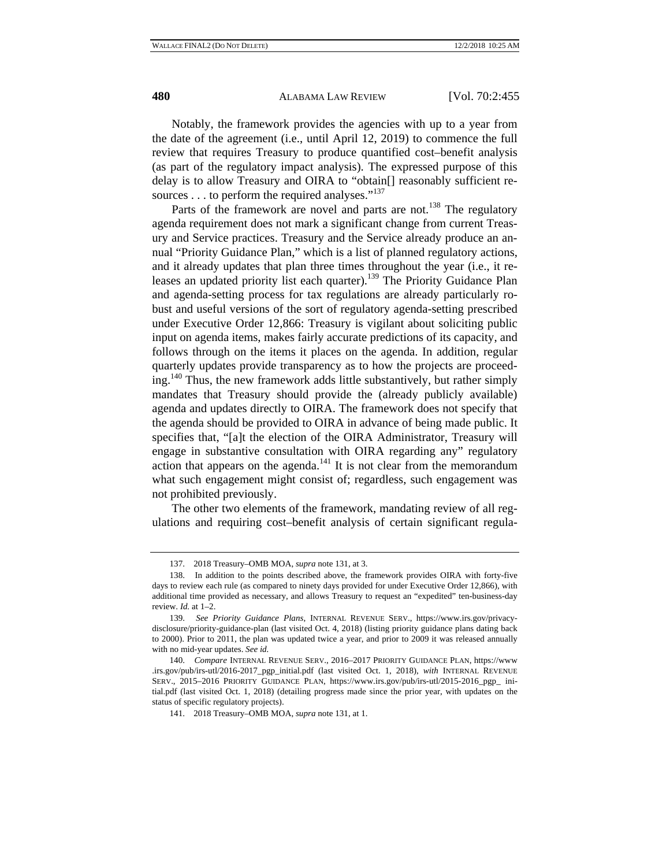Notably, the framework provides the agencies with up to a year from the date of the agreement (i.e., until April 12, 2019) to commence the full review that requires Treasury to produce quantified cost–benefit analysis (as part of the regulatory impact analysis). The expressed purpose of this delay is to allow Treasury and OIRA to "obtain[] reasonably sufficient resources  $\dots$  to perform the required analyses."<sup>137</sup>

Parts of the framework are novel and parts are not.<sup>138</sup> The regulatory agenda requirement does not mark a significant change from current Treasury and Service practices. Treasury and the Service already produce an annual "Priority Guidance Plan," which is a list of planned regulatory actions, and it already updates that plan three times throughout the year (i.e., it releases an updated priority list each quarter).<sup>139</sup> The Priority Guidance Plan and agenda-setting process for tax regulations are already particularly robust and useful versions of the sort of regulatory agenda-setting prescribed under Executive Order 12,866: Treasury is vigilant about soliciting public input on agenda items, makes fairly accurate predictions of its capacity, and follows through on the items it places on the agenda. In addition, regular quarterly updates provide transparency as to how the projects are proceeding.140 Thus, the new framework adds little substantively, but rather simply mandates that Treasury should provide the (already publicly available) agenda and updates directly to OIRA. The framework does not specify that the agenda should be provided to OIRA in advance of being made public. It specifies that, "[a]t the election of the OIRA Administrator, Treasury will engage in substantive consultation with OIRA regarding any" regulatory action that appears on the agenda.<sup>141</sup> It is not clear from the memorandum what such engagement might consist of; regardless, such engagement was not prohibited previously.

The other two elements of the framework, mandating review of all regulations and requiring cost–benefit analysis of certain significant regula-

<sup>137. 2018</sup> Treasury–OMB MOA, *supra* note 131, at 3.

<sup>138.</sup> In addition to the points described above, the framework provides OIRA with forty-five days to review each rule (as compared to ninety days provided for under Executive Order 12,866), with additional time provided as necessary, and allows Treasury to request an "expedited" ten-business-day review. *Id.* at 1–2.

<sup>139.</sup> *See Priority Guidance Plans*, INTERNAL REVENUE SERV., https://www.irs.gov/privacydisclosure/priority-guidance-plan (last visited Oct. 4, 2018) (listing priority guidance plans dating back to 2000). Prior to 2011, the plan was updated twice a year, and prior to 2009 it was released annually with no mid-year updates. *See id.* 

<sup>140.</sup> *Compare* INTERNAL REVENUE SERV., 2016–2017 PRIORITY GUIDANCE PLAN, https://www .irs.gov/pub/irs-utl/2016-2017\_pgp\_initial.pdf (last visited Oct. 1, 2018), *with* INTERNAL REVENUE SERV., 2015–2016 PRIORITY GUIDANCE PLAN, https://www.irs.gov/pub/irs-utl/2015-2016\_pgp\_ initial.pdf (last visited Oct. 1, 2018) (detailing progress made since the prior year, with updates on the status of specific regulatory projects).

<sup>141. 2018</sup> Treasury–OMB MOA, *supra* note 131, at 1.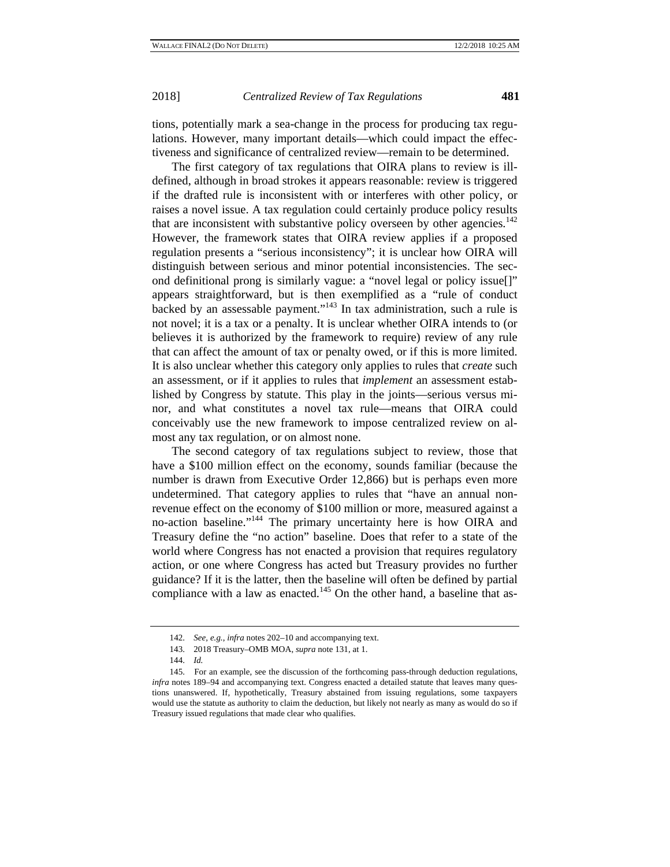tions, potentially mark a sea-change in the process for producing tax regulations. However, many important details—which could impact the effectiveness and significance of centralized review—remain to be determined.

The first category of tax regulations that OIRA plans to review is illdefined, although in broad strokes it appears reasonable: review is triggered if the drafted rule is inconsistent with or interferes with other policy, or raises a novel issue. A tax regulation could certainly produce policy results that are inconsistent with substantive policy overseen by other agencies.<sup>142</sup> However, the framework states that OIRA review applies if a proposed regulation presents a "serious inconsistency"; it is unclear how OIRA will distinguish between serious and minor potential inconsistencies. The second definitional prong is similarly vague: a "novel legal or policy issue[]" appears straightforward, but is then exemplified as a "rule of conduct backed by an assessable payment."<sup>143</sup> In tax administration, such a rule is not novel; it is a tax or a penalty. It is unclear whether OIRA intends to (or believes it is authorized by the framework to require) review of any rule that can affect the amount of tax or penalty owed, or if this is more limited. It is also unclear whether this category only applies to rules that *create* such an assessment, or if it applies to rules that *implement* an assessment established by Congress by statute. This play in the joints—serious versus minor, and what constitutes a novel tax rule—means that OIRA could conceivably use the new framework to impose centralized review on almost any tax regulation, or on almost none.

The second category of tax regulations subject to review, those that have a \$100 million effect on the economy, sounds familiar (because the number is drawn from Executive Order 12,866) but is perhaps even more undetermined. That category applies to rules that "have an annual nonrevenue effect on the economy of \$100 million or more, measured against a no-action baseline."144 The primary uncertainty here is how OIRA and Treasury define the "no action" baseline. Does that refer to a state of the world where Congress has not enacted a provision that requires regulatory action, or one where Congress has acted but Treasury provides no further guidance? If it is the latter, then the baseline will often be defined by partial compliance with a law as enacted.<sup>145</sup> On the other hand, a baseline that as-

<sup>142.</sup> *See, e.g.*, *infra* notes 202–10 and accompanying text.

<sup>143. 2018</sup> Treasury–OMB MOA, *supra* note 131, at 1.

<sup>144.</sup> *Id.*

<sup>145.</sup> For an example, see the discussion of the forthcoming pass-through deduction regulations, *infra* notes 189–94 and accompanying text. Congress enacted a detailed statute that leaves many questions unanswered. If, hypothetically, Treasury abstained from issuing regulations, some taxpayers would use the statute as authority to claim the deduction, but likely not nearly as many as would do so if Treasury issued regulations that made clear who qualifies.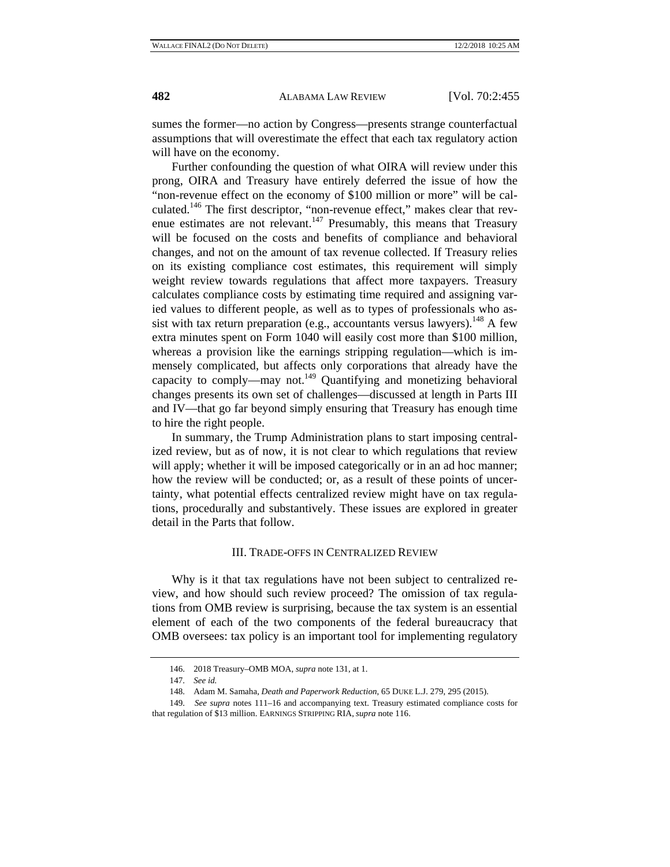sumes the former—no action by Congress—presents strange counterfactual assumptions that will overestimate the effect that each tax regulatory action will have on the economy.

Further confounding the question of what OIRA will review under this prong, OIRA and Treasury have entirely deferred the issue of how the "non-revenue effect on the economy of \$100 million or more" will be calculated.<sup>146</sup> The first descriptor, "non-revenue effect," makes clear that revenue estimates are not relevant.<sup>147</sup> Presumably, this means that Treasury will be focused on the costs and benefits of compliance and behavioral changes, and not on the amount of tax revenue collected. If Treasury relies on its existing compliance cost estimates, this requirement will simply weight review towards regulations that affect more taxpayers. Treasury calculates compliance costs by estimating time required and assigning varied values to different people, as well as to types of professionals who assist with tax return preparation (e.g., accountants versus lawyers).<sup>148</sup> A few extra minutes spent on Form 1040 will easily cost more than \$100 million, whereas a provision like the earnings stripping regulation—which is immensely complicated, but affects only corporations that already have the capacity to comply—may not.<sup>149</sup> Quantifying and monetizing behavioral changes presents its own set of challenges—discussed at length in Parts III and IV—that go far beyond simply ensuring that Treasury has enough time to hire the right people.

In summary, the Trump Administration plans to start imposing centralized review, but as of now, it is not clear to which regulations that review will apply; whether it will be imposed categorically or in an ad hoc manner; how the review will be conducted; or, as a result of these points of uncertainty, what potential effects centralized review might have on tax regulations, procedurally and substantively. These issues are explored in greater detail in the Parts that follow.

#### III. TRADE-OFFS IN CENTRALIZED REVIEW

Why is it that tax regulations have not been subject to centralized review, and how should such review proceed? The omission of tax regulations from OMB review is surprising, because the tax system is an essential element of each of the two components of the federal bureaucracy that OMB oversees: tax policy is an important tool for implementing regulatory

<sup>146. 2018</sup> Treasury–OMB MOA, *supra* note 131, at 1.

<sup>147.</sup> *See id.*

<sup>148.</sup> Adam M. Samaha, *Death and Paperwork Reduction*, 65 DUKE L.J. 279, 295 (2015).

<sup>149.</sup> *See supra* notes 111–16 and accompanying text. Treasury estimated compliance costs for that regulation of \$13 million. EARNINGS STRIPPING RIA, *supra* note 116.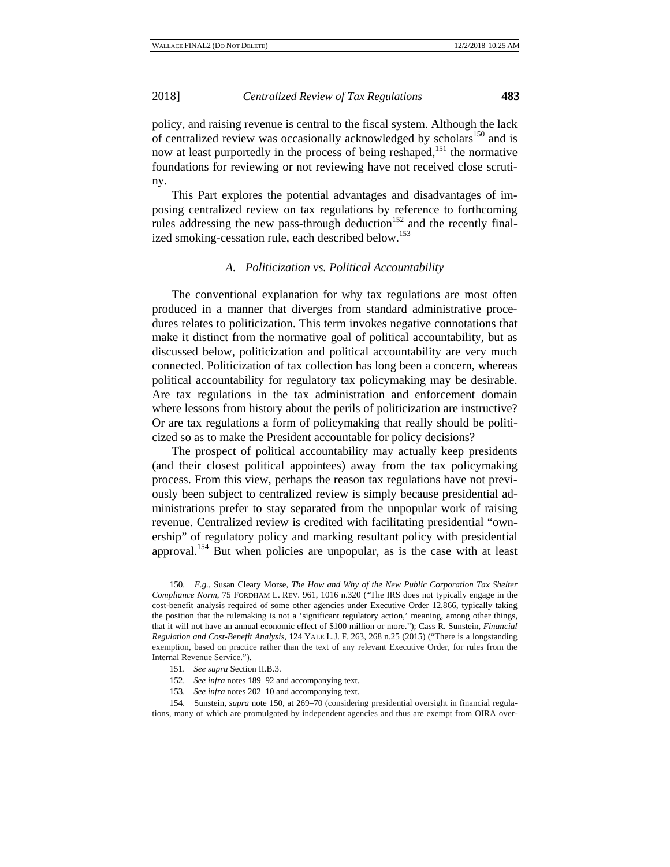policy, and raising revenue is central to the fiscal system. Although the lack of centralized review was occasionally acknowledged by scholars<sup>150</sup> and is now at least purportedly in the process of being reshaped,<sup>151</sup> the normative foundations for reviewing or not reviewing have not received close scrutiny.

This Part explores the potential advantages and disadvantages of imposing centralized review on tax regulations by reference to forthcoming rules addressing the new pass-through deduction<sup>152</sup> and the recently finalized smoking-cessation rule, each described below.<sup>153</sup>

#### *A. Politicization vs. Political Accountability*

The conventional explanation for why tax regulations are most often produced in a manner that diverges from standard administrative procedures relates to politicization. This term invokes negative connotations that make it distinct from the normative goal of political accountability, but as discussed below, politicization and political accountability are very much connected. Politicization of tax collection has long been a concern, whereas political accountability for regulatory tax policymaking may be desirable. Are tax regulations in the tax administration and enforcement domain where lessons from history about the perils of politicization are instructive? Or are tax regulations a form of policymaking that really should be politicized so as to make the President accountable for policy decisions?

The prospect of political accountability may actually keep presidents (and their closest political appointees) away from the tax policymaking process. From this view, perhaps the reason tax regulations have not previously been subject to centralized review is simply because presidential administrations prefer to stay separated from the unpopular work of raising revenue. Centralized review is credited with facilitating presidential "ownership" of regulatory policy and marking resultant policy with presidential approval.154 But when policies are unpopular, as is the case with at least

- 152. *See infra* notes 189–92 and accompanying text.
- 153. *See infra* notes 202–10 and accompanying text.

154. Sunstein, *supra* note 150, at 269–70 (considering presidential oversight in financial regulations, many of which are promulgated by independent agencies and thus are exempt from OIRA over-

<sup>150.</sup> *E.g.*, Susan Cleary Morse, *The How and Why of the New Public Corporation Tax Shelter Compliance Norm*, 75 FORDHAM L. REV. 961, 1016 n.320 ("The IRS does not typically engage in the cost-benefit analysis required of some other agencies under Executive Order 12,866, typically taking the position that the rulemaking is not a 'significant regulatory action,' meaning, among other things, that it will not have an annual economic effect of \$100 million or more."); Cass R. Sunstein, *Financial Regulation and Cost-Benefit Analysis*, 124 YALE L.J. F. 263, 268 n.25 (2015) ("There is a longstanding exemption, based on practice rather than the text of any relevant Executive Order, for rules from the Internal Revenue Service.").

<sup>151.</sup> *See supra* Section II.B.3.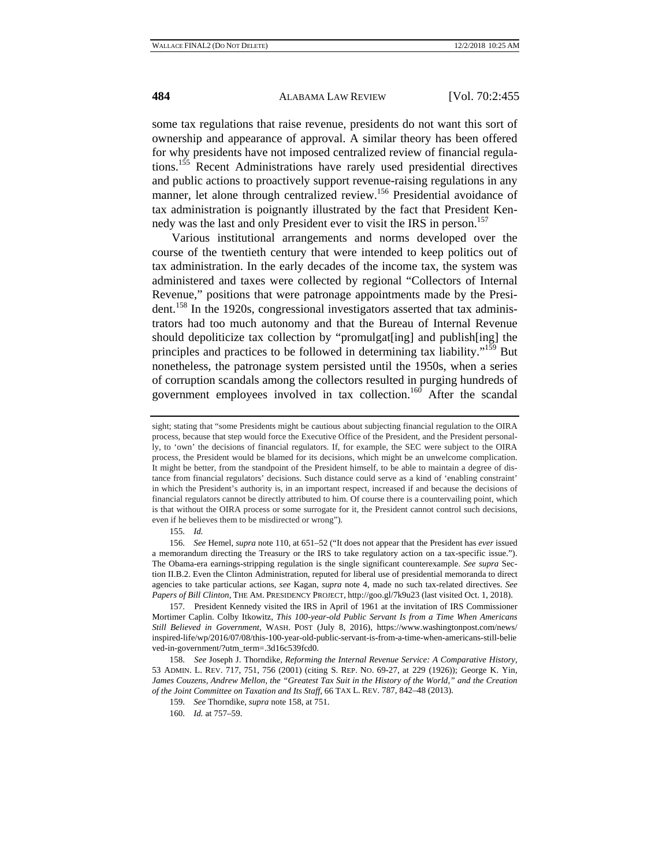some tax regulations that raise revenue, presidents do not want this sort of ownership and appearance of approval. A similar theory has been offered for why presidents have not imposed centralized review of financial regulations.155 Recent Administrations have rarely used presidential directives and public actions to proactively support revenue-raising regulations in any manner, let alone through centralized review.<sup>156</sup> Presidential avoidance of tax administration is poignantly illustrated by the fact that President Kennedy was the last and only President ever to visit the IRS in person.<sup>157</sup>

Various institutional arrangements and norms developed over the course of the twentieth century that were intended to keep politics out of tax administration. In the early decades of the income tax, the system was administered and taxes were collected by regional "Collectors of Internal Revenue," positions that were patronage appointments made by the President.<sup>158</sup> In the 1920s, congressional investigators asserted that tax administrators had too much autonomy and that the Bureau of Internal Revenue should depoliticize tax collection by "promulgat[ing] and publish[ing] the principles and practices to be followed in determining tax liability."159 But nonetheless, the patronage system persisted until the 1950s, when a series of corruption scandals among the collectors resulted in purging hundreds of government employees involved in tax collection.<sup>160</sup> After the scandal

155. *Id.* 

sight; stating that "some Presidents might be cautious about subjecting financial regulation to the OIRA process, because that step would force the Executive Office of the President, and the President personally, to 'own' the decisions of financial regulators. If, for example, the SEC were subject to the OIRA process, the President would be blamed for its decisions, which might be an unwelcome complication. It might be better, from the standpoint of the President himself, to be able to maintain a degree of distance from financial regulators' decisions. Such distance could serve as a kind of 'enabling constraint' in which the President's authority is, in an important respect, increased if and because the decisions of financial regulators cannot be directly attributed to him. Of course there is a countervailing point, which is that without the OIRA process or some surrogate for it, the President cannot control such decisions, even if he believes them to be misdirected or wrong").

<sup>156.</sup> *See* Hemel, *supra* note 110, at 651–52 ("It does not appear that the President has *ever* issued a memorandum directing the Treasury or the IRS to take regulatory action on a tax-specific issue."). The Obama-era earnings-stripping regulation is the single significant counterexample. *See supra* Section II.B.2. Even the Clinton Administration, reputed for liberal use of presidential memoranda to direct agencies to take particular actions, *see* Kagan, *supra* note 4, made no such tax-related directives. *See Papers of Bill Clinton*, THE AM. PRESIDENCY PROJECT, http://goo.gl/7k9u23 (last visited Oct. 1, 2018).

<sup>157.</sup> President Kennedy visited the IRS in April of 1961 at the invitation of IRS Commissioner Mortimer Caplin. Colby Itkowitz, *This 100-year-old Public Servant Is from a Time When Americans Still Believed in Government*, WASH. POST (July 8, 2016), https://www.washingtonpost.com/news/ inspired-life/wp/2016/07/08/this-100-year-old-public-servant-is-from-a-time-when-americans-still-belie ved-in-government/?utm\_term=.3d16c539fcd0.

<sup>158.</sup> *See* Joseph J. Thorndike, *Reforming the Internal Revenue Service: A Comparative History*, 53 ADMIN. L. REV. 717, 751, 756 (2001) (citing S. REP. NO. 69-27, at 229 (1926)); George K. Yin, *James Couzens, Andrew Mellon, the "Greatest Tax Suit in the History of the World," and the Creation of the Joint Committee on Taxation and Its Staff*, 66 TAX L. REV. 787, 842–48 (2013).

<sup>159.</sup> *See* Thorndike, *supra* note 158, at 751.

<sup>160.</sup> *Id.* at 757–59.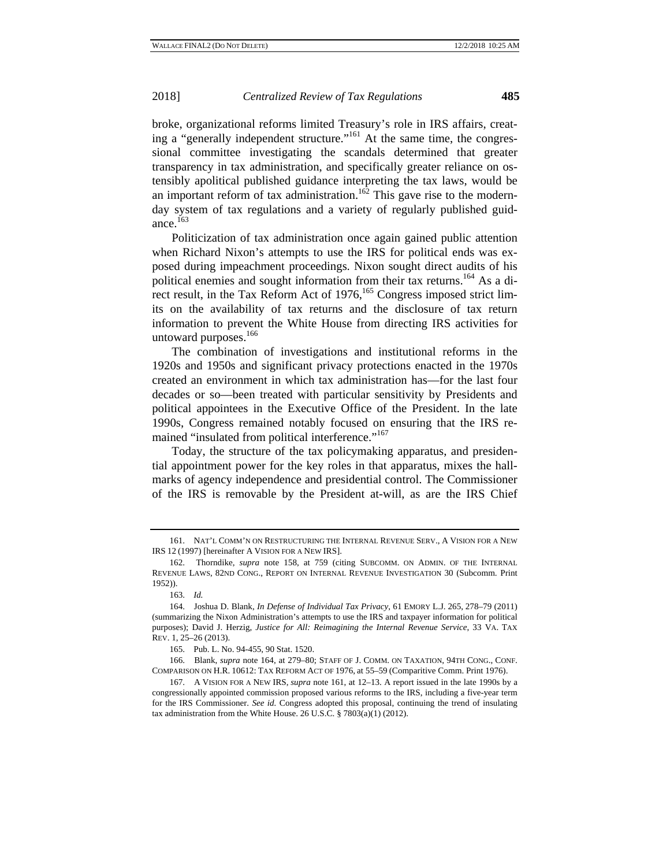broke, organizational reforms limited Treasury's role in IRS affairs, creating a "generally independent structure."161 At the same time, the congressional committee investigating the scandals determined that greater transparency in tax administration, and specifically greater reliance on ostensibly apolitical published guidance interpreting the tax laws, would be an important reform of tax administration.<sup>162</sup> This gave rise to the modernday system of tax regulations and a variety of regularly published guidance  $^{163}$ 

Politicization of tax administration once again gained public attention when Richard Nixon's attempts to use the IRS for political ends was exposed during impeachment proceedings. Nixon sought direct audits of his political enemies and sought information from their tax returns.<sup>164</sup> As a direct result, in the Tax Reform Act of 1976,<sup>165</sup> Congress imposed strict limits on the availability of tax returns and the disclosure of tax return information to prevent the White House from directing IRS activities for untoward purposes.<sup>166</sup>

The combination of investigations and institutional reforms in the 1920s and 1950s and significant privacy protections enacted in the 1970s created an environment in which tax administration has—for the last four decades or so—been treated with particular sensitivity by Presidents and political appointees in the Executive Office of the President. In the late 1990s, Congress remained notably focused on ensuring that the IRS remained "insulated from political interference."<sup>167</sup>

Today, the structure of the tax policymaking apparatus, and presidential appointment power for the key roles in that apparatus, mixes the hallmarks of agency independence and presidential control. The Commissioner of the IRS is removable by the President at-will, as are the IRS Chief

<sup>161.</sup> NAT'L COMM'N ON RESTRUCTURING THE INTERNAL REVENUE SERV., A VISION FOR A NEW IRS 12 (1997) [hereinafter A VISION FOR A NEW IRS].

<sup>162.</sup> Thorndike, *supra* note 158, at 759 (citing SUBCOMM. ON ADMIN. OF THE INTERNAL REVENUE LAWS, 82ND CONG., REPORT ON INTERNAL REVENUE INVESTIGATION 30 (Subcomm. Print 1952)).

<sup>163.</sup> *Id.* 

<sup>164.</sup> Joshua D. Blank, *In Defense of Individual Tax Privacy*, 61 EMORY L.J. 265, 278–79 (2011) (summarizing the Nixon Administration's attempts to use the IRS and taxpayer information for political purposes); David J. Herzig, *Justice for All: Reimagining the Internal Revenue Service*, 33 VA. TAX REV. 1, 25–26 (2013).

<sup>165.</sup> Pub. L. No. 94-455, 90 Stat. 1520.

<sup>166.</sup> Blank, *supra* note 164, at 279–80; STAFF OF J. COMM. ON TAXATION, 94TH CONG., CONF. COMPARISON ON H.R. 10612: TAX REFORM ACT OF 1976, at 55–59 (Comparitive Comm. Print 1976).

<sup>167.</sup> A VISION FOR A NEW IRS, *supra* note 161, at 12–13. A report issued in the late 1990s by a congressionally appointed commission proposed various reforms to the IRS, including a five-year term for the IRS Commissioner. *See id.* Congress adopted this proposal, continuing the trend of insulating tax administration from the White House. 26 U.S.C. § 7803(a)(1) (2012).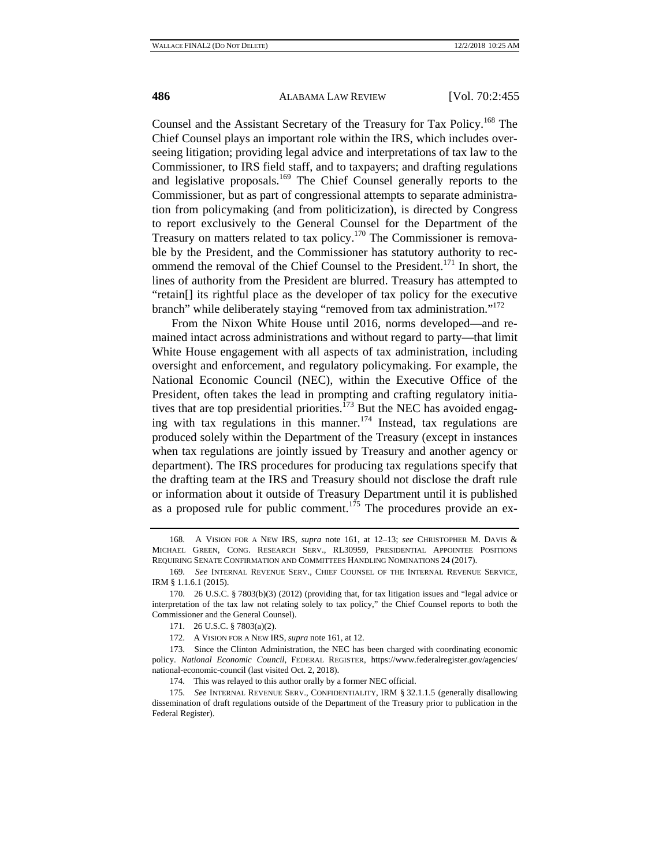Counsel and the Assistant Secretary of the Treasury for Tax Policy.168 The Chief Counsel plays an important role within the IRS, which includes overseeing litigation; providing legal advice and interpretations of tax law to the Commissioner, to IRS field staff, and to taxpayers; and drafting regulations and legislative proposals.169 The Chief Counsel generally reports to the Commissioner, but as part of congressional attempts to separate administration from policymaking (and from politicization), is directed by Congress to report exclusively to the General Counsel for the Department of the Treasury on matters related to tax policy.<sup>170</sup> The Commissioner is removable by the President, and the Commissioner has statutory authority to recommend the removal of the Chief Counsel to the President.<sup>171</sup> In short, the lines of authority from the President are blurred. Treasury has attempted to "retain[] its rightful place as the developer of tax policy for the executive branch" while deliberately staying "removed from tax administration."<sup>172</sup>

From the Nixon White House until 2016, norms developed—and remained intact across administrations and without regard to party—that limit White House engagement with all aspects of tax administration, including oversight and enforcement, and regulatory policymaking. For example, the National Economic Council (NEC), within the Executive Office of the President, often takes the lead in prompting and crafting regulatory initiatives that are top presidential priorities. $^{173}$  But the NEC has avoided engaging with tax regulations in this manner.<sup>174</sup> Instead, tax regulations are produced solely within the Department of the Treasury (except in instances when tax regulations are jointly issued by Treasury and another agency or department). The IRS procedures for producing tax regulations specify that the drafting team at the IRS and Treasury should not disclose the draft rule or information about it outside of Treasury Department until it is published as a proposed rule for public comment.<sup>175</sup> The procedures provide an ex-

<sup>168.</sup> A VISION FOR A NEW IRS, *supra* note 161, at 12–13; *see* CHRISTOPHER M. DAVIS & MICHAEL GREEN, CONG. RESEARCH SERV., RL30959, PRESIDENTIAL APPOINTEE POSITIONS REQUIRING SENATE CONFIRMATION AND COMMITTEES HANDLING NOMINATIONS 24 (2017).

<sup>169.</sup> *See* INTERNAL REVENUE SERV., CHIEF COUNSEL OF THE INTERNAL REVENUE SERVICE, IRM § 1.1.6.1 (2015).

<sup>170. 26</sup> U.S.C. § 7803(b)(3) (2012) (providing that, for tax litigation issues and "legal advice or interpretation of the tax law not relating solely to tax policy," the Chief Counsel reports to both the Commissioner and the General Counsel).

<sup>171. 26</sup> U.S.C. § 7803(a)(2).

<sup>172.</sup> A VISION FOR A NEW IRS, *supra* note 161, at 12.

<sup>173.</sup> Since the Clinton Administration, the NEC has been charged with coordinating economic policy. *National Economic Council*, FEDERAL REGISTER, https://www.federalregister.gov/agencies/ national-economic-council (last visited Oct. 2, 2018).

<sup>174.</sup> This was relayed to this author orally by a former NEC official.

<sup>175.</sup> *See* INTERNAL REVENUE SERV., CONFIDENTIALITY, IRM § 32.1.1.5 (generally disallowing dissemination of draft regulations outside of the Department of the Treasury prior to publication in the Federal Register).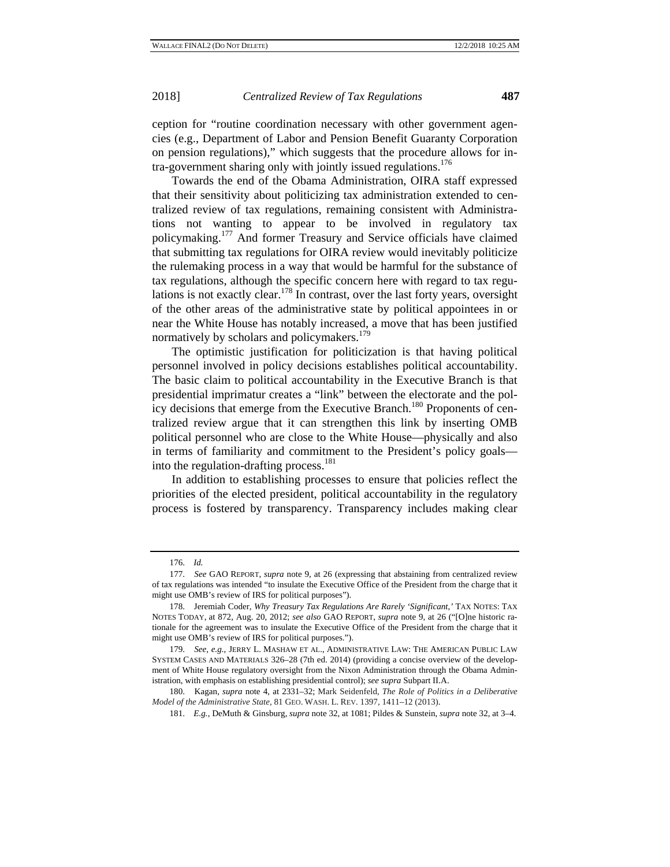ception for "routine coordination necessary with other government agencies (e.g., Department of Labor and Pension Benefit Guaranty Corporation on pension regulations)," which suggests that the procedure allows for in $tra$ -government sharing only with jointly issued regulations.<sup>176</sup>

Towards the end of the Obama Administration, OIRA staff expressed that their sensitivity about politicizing tax administration extended to centralized review of tax regulations, remaining consistent with Administrations not wanting to appear to be involved in regulatory tax policymaking.177 And former Treasury and Service officials have claimed that submitting tax regulations for OIRA review would inevitably politicize the rulemaking process in a way that would be harmful for the substance of tax regulations, although the specific concern here with regard to tax regulations is not exactly clear.<sup>178</sup> In contrast, over the last forty years, oversight of the other areas of the administrative state by political appointees in or near the White House has notably increased, a move that has been justified normatively by scholars and policymakers.<sup>179</sup>

The optimistic justification for politicization is that having political personnel involved in policy decisions establishes political accountability. The basic claim to political accountability in the Executive Branch is that presidential imprimatur creates a "link" between the electorate and the policy decisions that emerge from the Executive Branch.<sup>180</sup> Proponents of centralized review argue that it can strengthen this link by inserting OMB political personnel who are close to the White House—physically and also in terms of familiarity and commitment to the President's policy goals into the regulation-drafting process. $181$ 

In addition to establishing processes to ensure that policies reflect the priorities of the elected president, political accountability in the regulatory process is fostered by transparency. Transparency includes making clear

<sup>176.</sup> *Id.*

<sup>177.</sup> *See* GAO REPORT, *supra* note 9, at 26 (expressing that abstaining from centralized review of tax regulations was intended "to insulate the Executive Office of the President from the charge that it might use OMB's review of IRS for political purposes").

<sup>178.</sup> Jeremiah Coder, *Why Treasury Tax Regulations Are Rarely 'Significant*,*'* TAX NOTES: TAX NOTES TODAY, at 872, Aug. 20, 2012; *see also* GAO REPORT, *supra* note 9, at 26 ("[O]ne historic rationale for the agreement was to insulate the Executive Office of the President from the charge that it might use OMB's review of IRS for political purposes.").

<sup>179.</sup> *See, e.g.*, JERRY L. MASHAW ET AL., ADMINISTRATIVE LAW: THE AMERICAN PUBLIC LAW SYSTEM CASES AND MATERIALS 326–28 (7th ed. 2014) (providing a concise overview of the development of White House regulatory oversight from the Nixon Administration through the Obama Administration, with emphasis on establishing presidential control); *see supra* Subpart II.A.

<sup>180.</sup> Kagan, *supra* note 4, at 2331–32; Mark Seidenfeld, *The Role of Politics in a Deliberative Model of the Administrative State*, 81 GEO. WASH. L. REV. 1397, 1411–12 (2013).

<sup>181.</sup> *E.g.*, DeMuth & Ginsburg, *supra* note 32, at 1081; Pildes & Sunstein, *supra* note 32*,* at 3–4.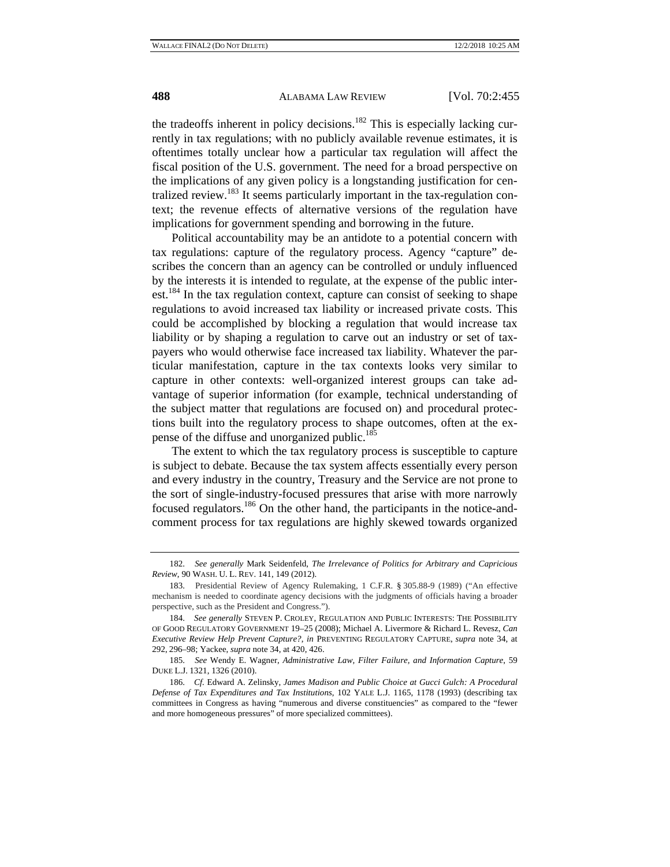the tradeoffs inherent in policy decisions.<sup>182</sup> This is especially lacking currently in tax regulations; with no publicly available revenue estimates, it is oftentimes totally unclear how a particular tax regulation will affect the fiscal position of the U.S. government. The need for a broad perspective on the implications of any given policy is a longstanding justification for centralized review.<sup>183</sup> It seems particularly important in the tax-regulation context; the revenue effects of alternative versions of the regulation have implications for government spending and borrowing in the future.

Political accountability may be an antidote to a potential concern with tax regulations: capture of the regulatory process. Agency "capture" describes the concern than an agency can be controlled or unduly influenced by the interests it is intended to regulate, at the expense of the public interest.<sup>184</sup> In the tax regulation context, capture can consist of seeking to shape regulations to avoid increased tax liability or increased private costs. This could be accomplished by blocking a regulation that would increase tax liability or by shaping a regulation to carve out an industry or set of taxpayers who would otherwise face increased tax liability. Whatever the particular manifestation, capture in the tax contexts looks very similar to capture in other contexts: well-organized interest groups can take advantage of superior information (for example, technical understanding of the subject matter that regulations are focused on) and procedural protections built into the regulatory process to shape outcomes, often at the expense of the diffuse and unorganized public.<sup>185</sup>

The extent to which the tax regulatory process is susceptible to capture is subject to debate. Because the tax system affects essentially every person and every industry in the country, Treasury and the Service are not prone to the sort of single-industry-focused pressures that arise with more narrowly focused regulators.186 On the other hand, the participants in the notice-andcomment process for tax regulations are highly skewed towards organized

<sup>182.</sup> *See generally* Mark Seidenfeld, *The Irrelevance of Politics for Arbitrary and Capricious Review*, 90 WASH. U. L. REV. 141, 149 (2012).

<sup>183.</sup> Presidential Review of Agency Rulemaking, 1 C.F.R. § 305.88-9 (1989) ("An effective mechanism is needed to coordinate agency decisions with the judgments of officials having a broader perspective, such as the President and Congress.").

<sup>184.</sup> *See generally* STEVEN P. CROLEY, REGULATION AND PUBLIC INTERESTS: THE POSSIBILITY OF GOOD REGULATORY GOVERNMENT 19–25 (2008); Michael A. Livermore & Richard L. Revesz, *Can Executive Review Help Prevent Capture?*, *in* PREVENTING REGULATORY CAPTURE, *supra* note 34, at 292, 296–98; Yackee, *supra* note 34, at 420, 426.

<sup>185.</sup> *See* Wendy E. Wagner, *Administrative Law, Filter Failure, and Information Capture*, 59 DUKE L.J. 1321, 1326 (2010).

<sup>186.</sup> *Cf.* Edward A. Zelinsky, *James Madison and Public Choice at Gucci Gulch: A Procedural Defense of Tax Expenditures and Tax Institutions*, 102 YALE L.J. 1165, 1178 (1993) (describing tax committees in Congress as having "numerous and diverse constituencies" as compared to the "fewer and more homogeneous pressures" of more specialized committees).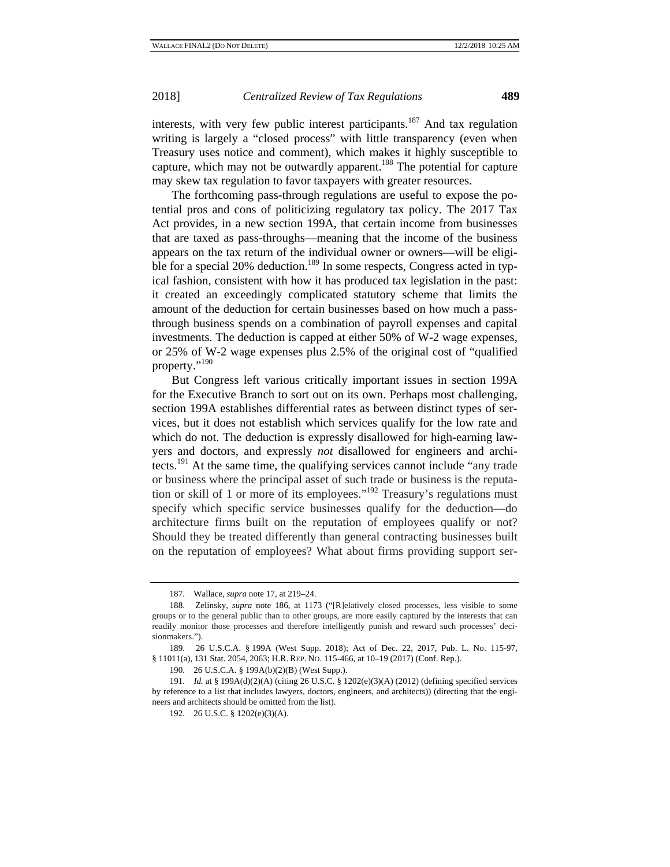interests, with very few public interest participants.<sup>187</sup> And tax regulation writing is largely a "closed process" with little transparency (even when Treasury uses notice and comment), which makes it highly susceptible to capture, which may not be outwardly apparent.<sup>188</sup> The potential for capture may skew tax regulation to favor taxpayers with greater resources.

The forthcoming pass-through regulations are useful to expose the potential pros and cons of politicizing regulatory tax policy. The 2017 Tax Act provides, in a new section 199A, that certain income from businesses that are taxed as pass-throughs—meaning that the income of the business appears on the tax return of the individual owner or owners—will be eligible for a special 20% deduction.<sup>189</sup> In some respects, Congress acted in typical fashion, consistent with how it has produced tax legislation in the past: it created an exceedingly complicated statutory scheme that limits the amount of the deduction for certain businesses based on how much a passthrough business spends on a combination of payroll expenses and capital investments. The deduction is capped at either 50% of W-2 wage expenses, or 25% of W-2 wage expenses plus 2.5% of the original cost of "qualified property."<sup>190</sup>

But Congress left various critically important issues in section 199A for the Executive Branch to sort out on its own. Perhaps most challenging, section 199A establishes differential rates as between distinct types of services, but it does not establish which services qualify for the low rate and which do not. The deduction is expressly disallowed for high-earning lawyers and doctors, and expressly *not* disallowed for engineers and architects.<sup>191</sup> At the same time, the qualifying services cannot include "any trade" or business where the principal asset of such trade or business is the reputation or skill of 1 or more of its employees."<sup>192</sup> Treasury's regulations must specify which specific service businesses qualify for the deduction—do architecture firms built on the reputation of employees qualify or not? Should they be treated differently than general contracting businesses built on the reputation of employees? What about firms providing support ser-

<sup>187.</sup> Wallace, *supra* note 17, at 219–24.

<sup>188.</sup> Zelinsky, *supra* note 186, at 1173 ("[R]elatively closed processes, less visible to some groups or to the general public than to other groups, are more easily captured by the interests that can readily monitor those processes and therefore intelligently punish and reward such processes' decisionmakers.").

<sup>189. 26</sup> U.S.C.A. § 199A (West Supp. 2018); Act of Dec. 22, 2017, Pub. L. No. 115-97, § 11011(a), 131 Stat. 2054, 2063; H.R. REP. NO. 115-466, at 10–19 (2017) (Conf. Rep.).

<sup>190. 26</sup> U.S.C.A. § 199A(b)(2)(B) (West Supp.).

<sup>191.</sup> *Id.* at § 199A(d)(2)(A) (citing 26 U.S.C. § 1202(e)(3)(A) (2012) (defining specified services by reference to a list that includes lawyers, doctors, engineers, and architects)) (directing that the engineers and architects should be omitted from the list).

<sup>192. 26</sup> U.S.C. § 1202(e)(3)(A).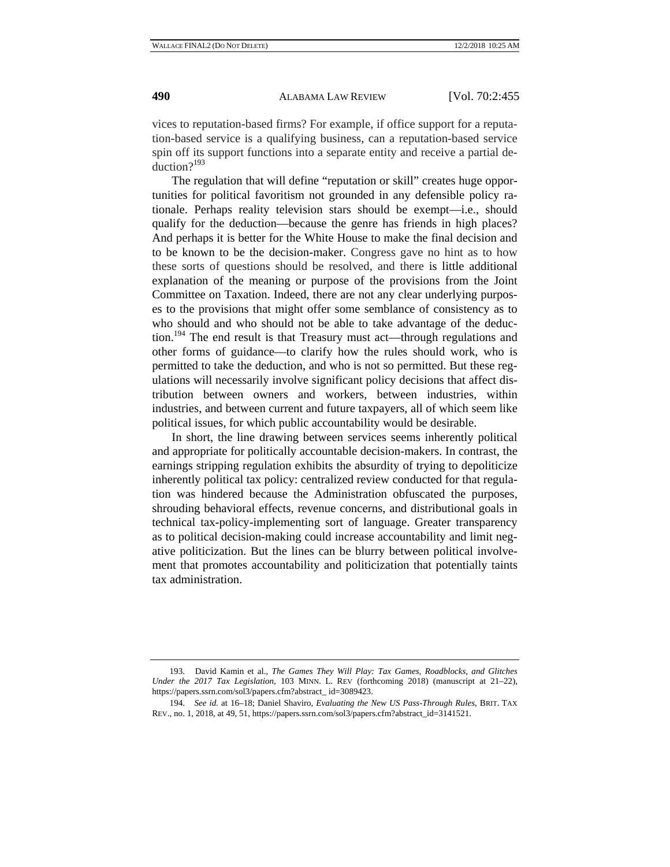vices to reputation-based firms? For example, if office support for a reputation-based service is a qualifying business, can a reputation-based service spin off its support functions into a separate entity and receive a partial deduction?193

The regulation that will define "reputation or skill" creates huge opportunities for political favoritism not grounded in any defensible policy rationale. Perhaps reality television stars should be exempt—i.e., should qualify for the deduction—because the genre has friends in high places? And perhaps it is better for the White House to make the final decision and to be known to be the decision-maker. Congress gave no hint as to how these sorts of questions should be resolved, and there is little additional explanation of the meaning or purpose of the provisions from the Joint Committee on Taxation. Indeed, there are not any clear underlying purposes to the provisions that might offer some semblance of consistency as to who should and who should not be able to take advantage of the deduction.<sup>194</sup> The end result is that Treasury must act—through regulations and other forms of guidance—to clarify how the rules should work, who is permitted to take the deduction, and who is not so permitted. But these regulations will necessarily involve significant policy decisions that affect distribution between owners and workers, between industries, within industries, and between current and future taxpayers, all of which seem like political issues, for which public accountability would be desirable.

In short, the line drawing between services seems inherently political and appropriate for politically accountable decision-makers. In contrast, the earnings stripping regulation exhibits the absurdity of trying to depoliticize inherently political tax policy: centralized review conducted for that regulation was hindered because the Administration obfuscated the purposes, shrouding behavioral effects, revenue concerns, and distributional goals in technical tax-policy-implementing sort of language. Greater transparency as to political decision-making could increase accountability and limit negative politicization. But the lines can be blurry between political involvement that promotes accountability and politicization that potentially taints tax administration.

<sup>193.</sup> David Kamin et al., *The Games They Will Play: Tax Games, Roadblocks, and Glitches Under the 2017 Tax Legislation*, 103 MINN. L. REV (forthcoming 2018) (manuscript at 21–22), https://papers.ssrn.com/sol3/papers.cfm?abstract\_ id=3089423.

<sup>194.</sup> *See id.* at 16–18; Daniel Shaviro, *Evaluating the New US Pass-Through Rules*, BRIT. TAX REV., no. 1, 2018, at 49, 51, https://papers.ssrn.com/sol3/papers.cfm?abstract\_id=3141521.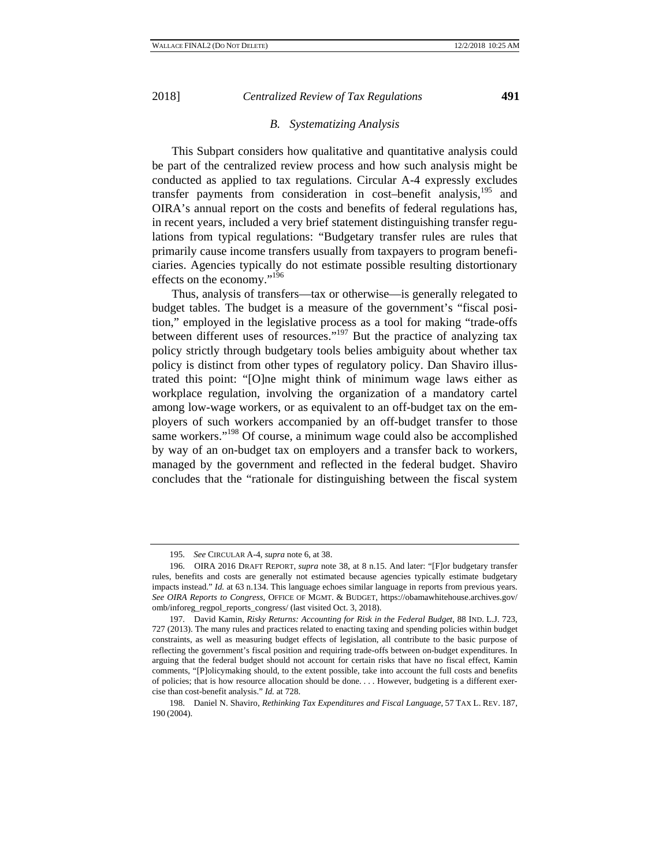#### *B. Systematizing Analysis*

This Subpart considers how qualitative and quantitative analysis could be part of the centralized review process and how such analysis might be conducted as applied to tax regulations. Circular A-4 expressly excludes transfer payments from consideration in cost–benefit analysis,<sup>195</sup> and OIRA's annual report on the costs and benefits of federal regulations has, in recent years, included a very brief statement distinguishing transfer regulations from typical regulations: "Budgetary transfer rules are rules that primarily cause income transfers usually from taxpayers to program beneficiaries. Agencies typically do not estimate possible resulting distortionary effects on the economy."196

Thus, analysis of transfers—tax or otherwise—is generally relegated to budget tables. The budget is a measure of the government's "fiscal position," employed in the legislative process as a tool for making "trade-offs between different uses of resources."<sup>197</sup> But the practice of analyzing tax policy strictly through budgetary tools belies ambiguity about whether tax policy is distinct from other types of regulatory policy. Dan Shaviro illustrated this point: "[O]ne might think of minimum wage laws either as workplace regulation, involving the organization of a mandatory cartel among low-wage workers, or as equivalent to an off-budget tax on the employers of such workers accompanied by an off-budget transfer to those same workers."<sup>198</sup> Of course, a minimum wage could also be accomplished by way of an on*-*budget tax on employers and a transfer back to workers, managed by the government and reflected in the federal budget. Shaviro concludes that the "rationale for distinguishing between the fiscal system

<sup>195.</sup> *See* CIRCULAR A-4, *supra* note 6, at 38.

<sup>196.</sup> OIRA 2016 DRAFT REPORT, *supra* note 38, at 8 n.15. And later: "[F]or budgetary transfer rules, benefits and costs are generally not estimated because agencies typically estimate budgetary impacts instead." *Id.* at 63 n.134. This language echoes similar language in reports from previous years. *See OIRA Reports to Congress*, OFFICE OF MGMT. & BUDGET, https://obamawhitehouse.archives.gov/ omb/inforeg\_regpol\_reports\_congress/ (last visited Oct. 3, 2018).

<sup>197.</sup> David Kamin, *Risky Returns: Accounting for Risk in the Federal Budget*, 88 IND. L.J. 723, 727 (2013). The many rules and practices related to enacting taxing and spending policies within budget constraints, as well as measuring budget effects of legislation, all contribute to the basic purpose of reflecting the government's fiscal position and requiring trade-offs between on-budget expenditures. In arguing that the federal budget should not account for certain risks that have no fiscal effect, Kamin comments, "[P]olicymaking should, to the extent possible, take into account the full costs and benefits of policies; that is how resource allocation should be done. . . . However, budgeting is a different exercise than cost-benefit analysis." *Id.* at 728.

<sup>198.</sup> Daniel N. Shaviro, *Rethinking Tax Expenditures and Fiscal Language*, 57 TAX L. REV. 187, 190 (2004).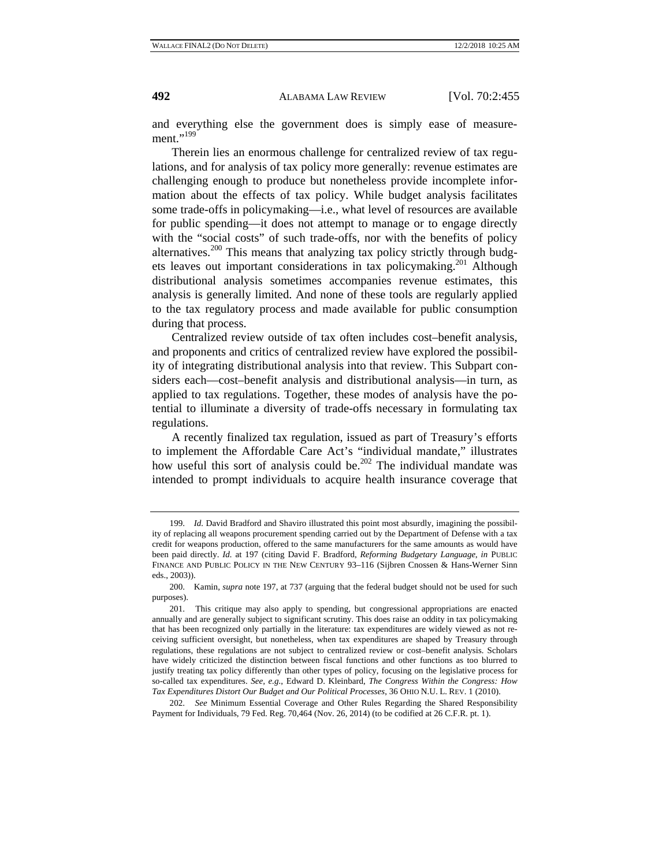and everything else the government does is simply ease of measure $ment. "199"$ 

Therein lies an enormous challenge for centralized review of tax regulations, and for analysis of tax policy more generally: revenue estimates are challenging enough to produce but nonetheless provide incomplete information about the effects of tax policy. While budget analysis facilitates some trade-offs in policymaking—i.e., what level of resources are available for public spending—it does not attempt to manage or to engage directly with the "social costs" of such trade-offs, nor with the benefits of policy alternatives.200 This means that analyzing tax policy strictly through budgets leaves out important considerations in tax policymaking.<sup>201</sup> Although distributional analysis sometimes accompanies revenue estimates, this analysis is generally limited. And none of these tools are regularly applied to the tax regulatory process and made available for public consumption during that process.

Centralized review outside of tax often includes cost–benefit analysis, and proponents and critics of centralized review have explored the possibility of integrating distributional analysis into that review. This Subpart considers each—cost–benefit analysis and distributional analysis—in turn, as applied to tax regulations. Together, these modes of analysis have the potential to illuminate a diversity of trade-offs necessary in formulating tax regulations.

A recently finalized tax regulation, issued as part of Treasury's efforts to implement the Affordable Care Act's "individual mandate," illustrates how useful this sort of analysis could be.<sup>202</sup> The individual mandate was intended to prompt individuals to acquire health insurance coverage that

202. *See* Minimum Essential Coverage and Other Rules Regarding the Shared Responsibility Payment for Individuals, 79 Fed. Reg. 70,464 (Nov. 26, 2014) (to be codified at 26 C.F.R. pt. 1).

<sup>199.</sup> *Id.* David Bradford and Shaviro illustrated this point most absurdly, imagining the possibility of replacing all weapons procurement spending carried out by the Department of Defense with a tax credit for weapons production, offered to the same manufacturers for the same amounts as would have been paid directly. *Id.* at 197 (citing David F. Bradford, *Reforming Budgetary Language*, *in* PUBLIC FINANCE AND PUBLIC POLICY IN THE NEW CENTURY 93–116 (Sijbren Cnossen & Hans-Werner Sinn eds., 2003)).

<sup>200.</sup> Kamin, *supra* note 197, at 737 (arguing that the federal budget should not be used for such purposes).

<sup>201.</sup> This critique may also apply to spending, but congressional appropriations are enacted annually and are generally subject to significant scrutiny. This does raise an oddity in tax policymaking that has been recognized only partially in the literature: tax expenditures are widely viewed as not receiving sufficient oversight, but nonetheless, when tax expenditures are shaped by Treasury through regulations, these regulations are not subject to centralized review or cost–benefit analysis. Scholars have widely criticized the distinction between fiscal functions and other functions as too blurred to justify treating tax policy differently than other types of policy, focusing on the legislative process for so-called tax expenditures. *See, e.g.*, Edward D. Kleinbard, *The Congress Within the Congress: How Tax Expenditures Distort Our Budget and Our Political Processes*, 36 OHIO N.U. L. REV. 1 (2010).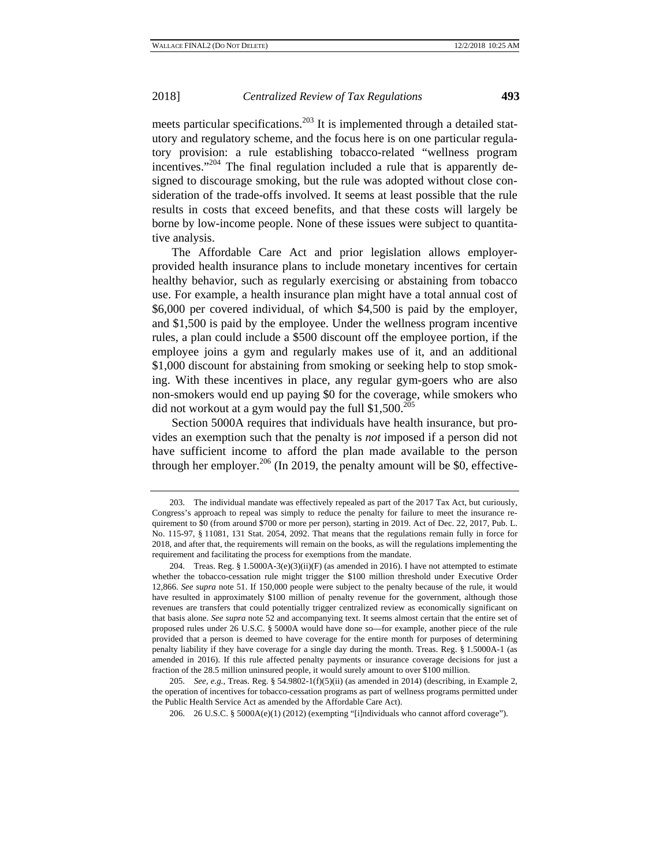meets particular specifications.<sup>203</sup> It is implemented through a detailed statutory and regulatory scheme, and the focus here is on one particular regulatory provision: a rule establishing tobacco-related "wellness program incentives." $204$  The final regulation included a rule that is apparently designed to discourage smoking, but the rule was adopted without close consideration of the trade-offs involved. It seems at least possible that the rule results in costs that exceed benefits, and that these costs will largely be borne by low-income people. None of these issues were subject to quantitative analysis.

The Affordable Care Act and prior legislation allows employerprovided health insurance plans to include monetary incentives for certain healthy behavior, such as regularly exercising or abstaining from tobacco use. For example, a health insurance plan might have a total annual cost of \$6,000 per covered individual, of which \$4,500 is paid by the employer, and \$1,500 is paid by the employee. Under the wellness program incentive rules, a plan could include a \$500 discount off the employee portion, if the employee joins a gym and regularly makes use of it, and an additional \$1,000 discount for abstaining from smoking or seeking help to stop smoking. With these incentives in place, any regular gym-goers who are also non-smokers would end up paying \$0 for the coverage, while smokers who did not workout at a gym would pay the full  $$1,500.^{205}$ 

Section 5000A requires that individuals have health insurance, but provides an exemption such that the penalty is *not* imposed if a person did not have sufficient income to afford the plan made available to the person through her employer.<sup>206</sup> (In 2019, the penalty amount will be \$0, effective-

<sup>203.</sup> The individual mandate was effectively repealed as part of the 2017 Tax Act, but curiously, Congress's approach to repeal was simply to reduce the penalty for failure to meet the insurance requirement to \$0 (from around \$700 or more per person), starting in 2019. Act of Dec. 22, 2017, Pub. L. No. 115-97, § 11081, 131 Stat. 2054, 2092. That means that the regulations remain fully in force for 2018, and after that, the requirements will remain on the books, as will the regulations implementing the requirement and facilitating the process for exemptions from the mandate.

<sup>204.</sup> Treas. Reg. §  $1.5000A-3(e)(3)(ii)(F)$  (as amended in 2016). I have not attempted to estimate whether the tobacco-cessation rule might trigger the \$100 million threshold under Executive Order 12,866. *See supra* note 51. If 150,000 people were subject to the penalty because of the rule, it would have resulted in approximately \$100 million of penalty revenue for the government, although those revenues are transfers that could potentially trigger centralized review as economically significant on that basis alone. *See supra* note 52 and accompanying text. It seems almost certain that the entire set of proposed rules under 26 U.S.C. § 5000A would have done so—for example, another piece of the rule provided that a person is deemed to have coverage for the entire month for purposes of determining penalty liability if they have coverage for a single day during the month. Treas. Reg. § 1.5000A-1 (as amended in 2016). If this rule affected penalty payments or insurance coverage decisions for just a fraction of the 28.5 million uninsured people, it would surely amount to over \$100 million.

<sup>205.</sup> *See, e.g.*, Treas. Reg. § 54.9802-1(f)(5)(ii) (as amended in 2014) (describing, in Example 2, the operation of incentives for tobacco-cessation programs as part of wellness programs permitted under the Public Health Service Act as amended by the Affordable Care Act).

<sup>206. 26</sup> U.S.C. § 5000A(e)(1) (2012) (exempting "[i]ndividuals who cannot afford coverage").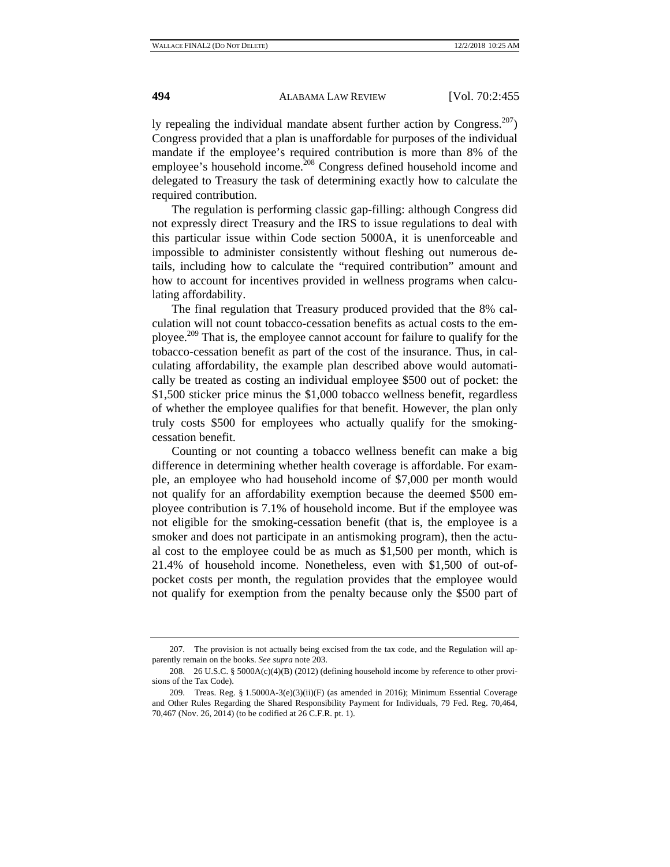ly repealing the individual mandate absent further action by Congress. $207$ ) Congress provided that a plan is unaffordable for purposes of the individual mandate if the employee's required contribution is more than 8% of the employee's household income.<sup>208</sup> Congress defined household income and delegated to Treasury the task of determining exactly how to calculate the required contribution.

The regulation is performing classic gap-filling: although Congress did not expressly direct Treasury and the IRS to issue regulations to deal with this particular issue within Code section 5000A, it is unenforceable and impossible to administer consistently without fleshing out numerous details, including how to calculate the "required contribution" amount and how to account for incentives provided in wellness programs when calculating affordability.

The final regulation that Treasury produced provided that the 8% calculation will not count tobacco-cessation benefits as actual costs to the employee.209 That is, the employee cannot account for failure to qualify for the tobacco-cessation benefit as part of the cost of the insurance. Thus, in calculating affordability, the example plan described above would automatically be treated as costing an individual employee \$500 out of pocket: the \$1,500 sticker price minus the \$1,000 tobacco wellness benefit, regardless of whether the employee qualifies for that benefit. However, the plan only truly costs \$500 for employees who actually qualify for the smokingcessation benefit.

Counting or not counting a tobacco wellness benefit can make a big difference in determining whether health coverage is affordable. For example, an employee who had household income of \$7,000 per month would not qualify for an affordability exemption because the deemed \$500 employee contribution is 7.1% of household income. But if the employee was not eligible for the smoking-cessation benefit (that is, the employee is a smoker and does not participate in an antismoking program), then the actual cost to the employee could be as much as \$1,500 per month, which is 21.4% of household income. Nonetheless, even with \$1,500 of out-ofpocket costs per month, the regulation provides that the employee would not qualify for exemption from the penalty because only the \$500 part of

<sup>207.</sup> The provision is not actually being excised from the tax code, and the Regulation will apparently remain on the books. *See supra* note 203.

<sup>208. 26</sup> U.S.C. § 5000A(c)(4)(B) (2012) (defining household income by reference to other provisions of the Tax Code).

<sup>209.</sup> Treas. Reg. § 1.5000A-3(e)(3)(ii)(F) (as amended in 2016); Minimum Essential Coverage and Other Rules Regarding the Shared Responsibility Payment for Individuals, 79 Fed. Reg. 70,464, 70,467 (Nov. 26, 2014) (to be codified at 26 C.F.R. pt. 1).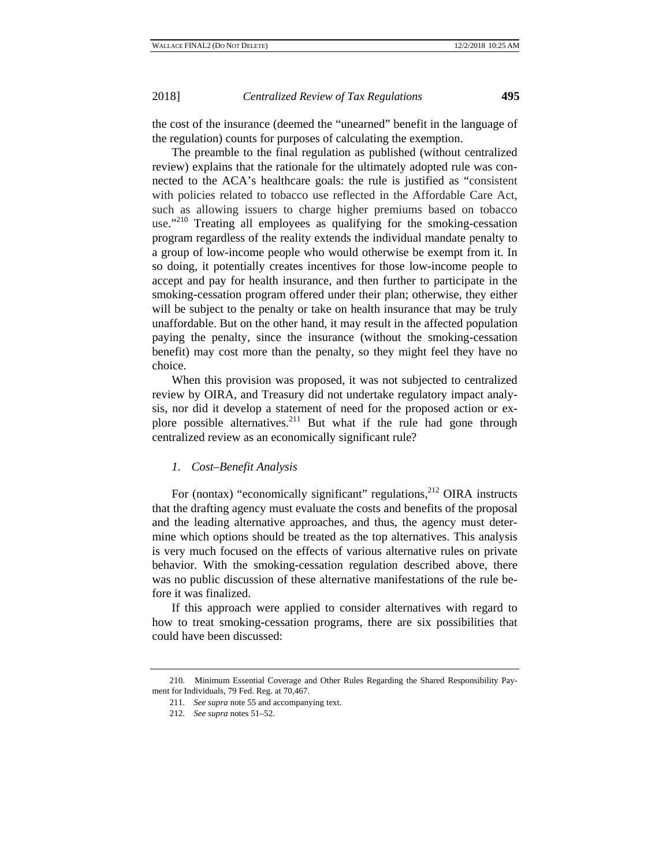the cost of the insurance (deemed the "unearned" benefit in the language of the regulation) counts for purposes of calculating the exemption.

The preamble to the final regulation as published (without centralized review) explains that the rationale for the ultimately adopted rule was connected to the ACA's healthcare goals: the rule is justified as "consistent with policies related to tobacco use reflected in the Affordable Care Act, such as allowing issuers to charge higher premiums based on tobacco use."<sup>210</sup> Treating all employees as qualifying for the smoking-cessation program regardless of the reality extends the individual mandate penalty to a group of low-income people who would otherwise be exempt from it. In so doing, it potentially creates incentives for those low-income people to accept and pay for health insurance, and then further to participate in the smoking-cessation program offered under their plan; otherwise, they either will be subject to the penalty or take on health insurance that may be truly unaffordable. But on the other hand, it may result in the affected population paying the penalty, since the insurance (without the smoking-cessation benefit) may cost more than the penalty, so they might feel they have no choice.

When this provision was proposed, it was not subjected to centralized review by OIRA, and Treasury did not undertake regulatory impact analysis, nor did it develop a statement of need for the proposed action or explore possible alternatives.<sup>211</sup> But what if the rule had gone through centralized review as an economically significant rule?

#### *1. Cost–Benefit Analysis*

For (nontax) "economically significant" regulations,<sup>212</sup> OIRA instructs that the drafting agency must evaluate the costs and benefits of the proposal and the leading alternative approaches, and thus, the agency must determine which options should be treated as the top alternatives. This analysis is very much focused on the effects of various alternative rules on private behavior. With the smoking-cessation regulation described above, there was no public discussion of these alternative manifestations of the rule before it was finalized.

If this approach were applied to consider alternatives with regard to how to treat smoking-cessation programs, there are six possibilities that could have been discussed:

<sup>210.</sup> Minimum Essential Coverage and Other Rules Regarding the Shared Responsibility Payment for Individuals, 79 Fed. Reg. at 70,467.

<sup>211.</sup> *See supra* note 55 and accompanying text.

<sup>212.</sup> *See supra* notes 51–52.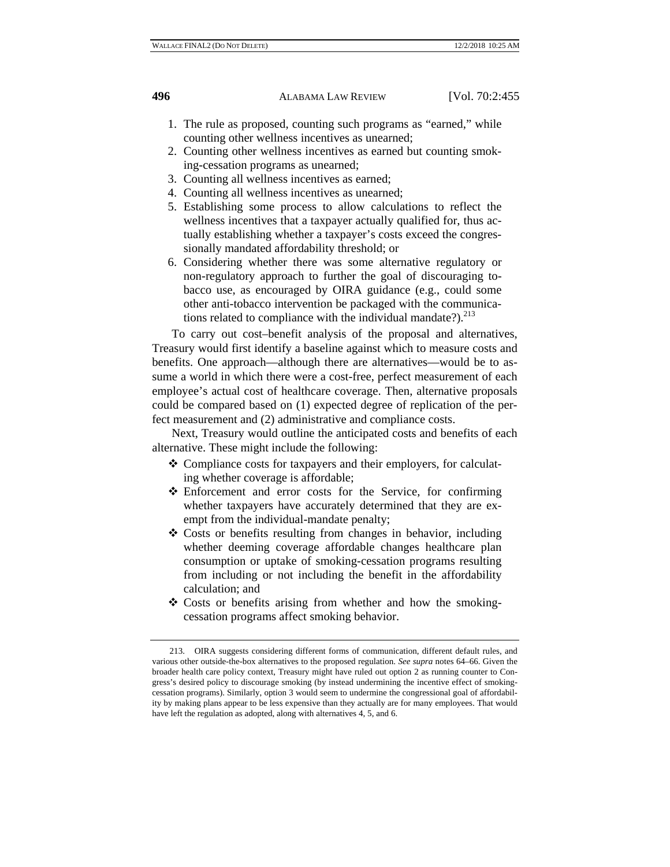- 1. The rule as proposed, counting such programs as "earned," while counting other wellness incentives as unearned;
- 2. Counting other wellness incentives as earned but counting smoking-cessation programs as unearned;
- 3. Counting all wellness incentives as earned;
- 4. Counting all wellness incentives as unearned;
- 5. Establishing some process to allow calculations to reflect the wellness incentives that a taxpayer actually qualified for, thus actually establishing whether a taxpayer's costs exceed the congressionally mandated affordability threshold; or
- 6. Considering whether there was some alternative regulatory or non-regulatory approach to further the goal of discouraging tobacco use, as encouraged by OIRA guidance (e.g., could some other anti-tobacco intervention be packaged with the communications related to compliance with the individual mandate?). $^{213}$

To carry out cost–benefit analysis of the proposal and alternatives, Treasury would first identify a baseline against which to measure costs and benefits. One approach—although there are alternatives—would be to assume a world in which there were a cost-free, perfect measurement of each employee's actual cost of healthcare coverage. Then, alternative proposals could be compared based on (1) expected degree of replication of the perfect measurement and (2) administrative and compliance costs.

Next, Treasury would outline the anticipated costs and benefits of each alternative. These might include the following:

- Compliance costs for taxpayers and their employers, for calculating whether coverage is affordable;
- Enforcement and error costs for the Service, for confirming whether taxpayers have accurately determined that they are exempt from the individual-mandate penalty;
- Costs or benefits resulting from changes in behavior, including whether deeming coverage affordable changes healthcare plan consumption or uptake of smoking-cessation programs resulting from including or not including the benefit in the affordability calculation; and
- Costs or benefits arising from whether and how the smokingcessation programs affect smoking behavior.

<sup>213.</sup> OIRA suggests considering different forms of communication, different default rules, and various other outside-the-box alternatives to the proposed regulation. *See supra* notes 64–66. Given the broader health care policy context, Treasury might have ruled out option 2 as running counter to Congress's desired policy to discourage smoking (by instead undermining the incentive effect of smokingcessation programs). Similarly, option 3 would seem to undermine the congressional goal of affordability by making plans appear to be less expensive than they actually are for many employees. That would have left the regulation as adopted, along with alternatives 4, 5, and 6.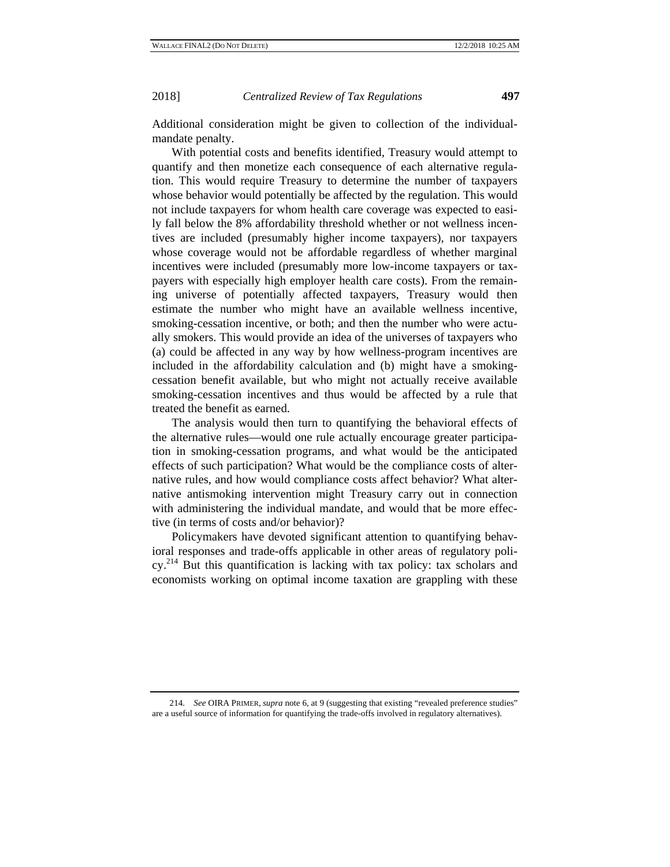Additional consideration might be given to collection of the individualmandate penalty.

With potential costs and benefits identified, Treasury would attempt to quantify and then monetize each consequence of each alternative regulation. This would require Treasury to determine the number of taxpayers whose behavior would potentially be affected by the regulation. This would not include taxpayers for whom health care coverage was expected to easily fall below the 8% affordability threshold whether or not wellness incentives are included (presumably higher income taxpayers), nor taxpayers whose coverage would not be affordable regardless of whether marginal incentives were included (presumably more low-income taxpayers or taxpayers with especially high employer health care costs). From the remaining universe of potentially affected taxpayers, Treasury would then estimate the number who might have an available wellness incentive, smoking-cessation incentive, or both; and then the number who were actually smokers. This would provide an idea of the universes of taxpayers who (a) could be affected in any way by how wellness-program incentives are included in the affordability calculation and (b) might have a smokingcessation benefit available, but who might not actually receive available smoking-cessation incentives and thus would be affected by a rule that treated the benefit as earned.

The analysis would then turn to quantifying the behavioral effects of the alternative rules—would one rule actually encourage greater participation in smoking-cessation programs, and what would be the anticipated effects of such participation? What would be the compliance costs of alternative rules, and how would compliance costs affect behavior? What alternative antismoking intervention might Treasury carry out in connection with administering the individual mandate, and would that be more effective (in terms of costs and/or behavior)?

Policymakers have devoted significant attention to quantifying behavioral responses and trade-offs applicable in other areas of regulatory policy.214 But this quantification is lacking with tax policy: tax scholars and economists working on optimal income taxation are grappling with these

<sup>214.</sup> *See* OIRA PRIMER, *supra* note 6, at 9 (suggesting that existing "revealed preference studies" are a useful source of information for quantifying the trade-offs involved in regulatory alternatives).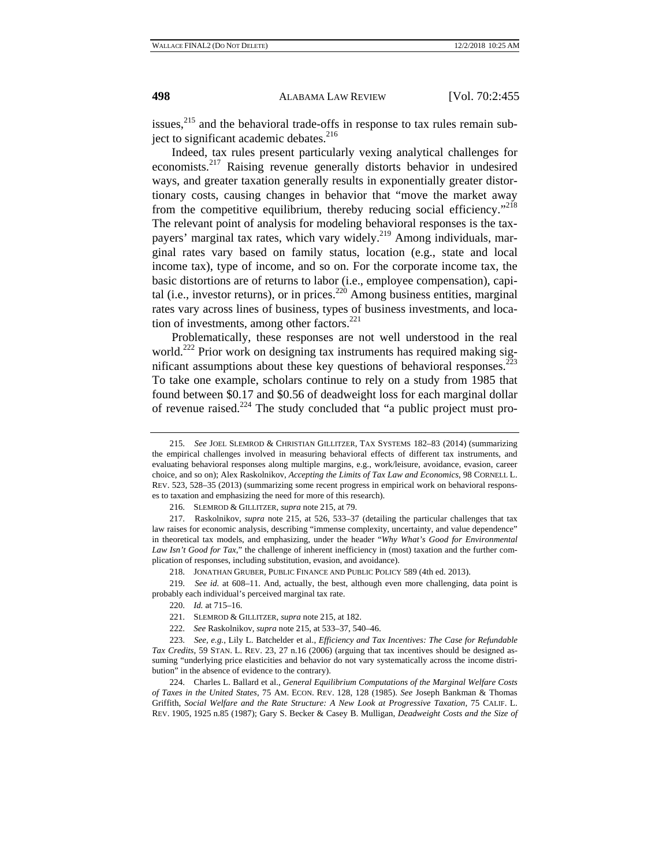issues, $^{215}$  and the behavioral trade-offs in response to tax rules remain subject to significant academic debates.<sup>216</sup>

Indeed, tax rules present particularly vexing analytical challenges for economists.<sup>217</sup> Raising revenue generally distorts behavior in undesired ways, and greater taxation generally results in exponentially greater distortionary costs, causing changes in behavior that "move the market away from the competitive equilibrium, thereby reducing social efficiency."<sup>218</sup> The relevant point of analysis for modeling behavioral responses is the taxpayers' marginal tax rates, which vary widely.<sup>219</sup> Among individuals, marginal rates vary based on family status, location (e.g., state and local income tax), type of income, and so on. For the corporate income tax, the basic distortions are of returns to labor (i.e., employee compensation), capital (i.e., investor returns), or in prices. $220$  Among business entities, marginal rates vary across lines of business, types of business investments, and location of investments, among other factors. $^{221}$ 

Problematically, these responses are not well understood in the real world.<sup>222</sup> Prior work on designing tax instruments has required making significant assumptions about these key questions of behavioral responses.<sup>223</sup> To take one example, scholars continue to rely on a study from 1985 that found between \$0.17 and \$0.56 of deadweight loss for each marginal dollar of revenue raised.<sup>224</sup> The study concluded that "a public project must pro-

<sup>215.</sup> *See* JOEL SLEMROD & CHRISTIAN GILLITZER, TAX SYSTEMS 182–83 (2014) (summarizing the empirical challenges involved in measuring behavioral effects of different tax instruments, and evaluating behavioral responses along multiple margins, e.g., work/leisure, avoidance, evasion, career choice, and so on); Alex Raskolnikov, *Accepting the Limits of Tax Law and Economics*, 98 CORNELL L. REV. 523, 528–35 (2013) (summarizing some recent progress in empirical work on behavioral responses to taxation and emphasizing the need for more of this research).

<sup>216.</sup> SLEMROD & GILLITZER, *supra* note 215, at 79.

<sup>217.</sup> Raskolnikov, *supra* note 215, at 526, 533–37 (detailing the particular challenges that tax law raises for economic analysis, describing "immense complexity, uncertainty, and value dependence" in theoretical tax models, and emphasizing, under the header "*Why What's Good for Environmental Law Isn't Good for Tax*," the challenge of inherent inefficiency in (most) taxation and the further complication of responses, including substitution, evasion, and avoidance).

<sup>218.</sup> JONATHAN GRUBER, PUBLIC FINANCE AND PUBLIC POLICY 589 (4th ed. 2013).

<sup>219.</sup> *See id.* at 608–11. And, actually, the best, although even more challenging, data point is probably each individual's perceived marginal tax rate.

<sup>220.</sup> *Id.* at 715–16.

<sup>221.</sup> SLEMROD & GILLITZER, *supra* note 215, at 182.

<sup>222.</sup> *See* Raskolnikov, *supra* note 215, at 533–37, 540–46.

<sup>223.</sup> *See, e.g.*, Lily L. Batchelder et al., *Efficiency and Tax Incentives: The Case for Refundable Tax Credits*, 59 STAN. L. REV. 23, 27 n.16 (2006) (arguing that tax incentives should be designed assuming "underlying price elasticities and behavior do not vary systematically across the income distribution" in the absence of evidence to the contrary).

<sup>224.</sup> Charles L. Ballard et al., *General Equilibrium Computations of the Marginal Welfare Costs of Taxes in the United States*, 75 AM. ECON. REV. 128, 128 (1985). *See* Joseph Bankman & Thomas Griffith, *Social Welfare and the Rate Structure: A New Look at Progressive Taxation*, 75 CALIF. L. REV. 1905, 1925 n.85 (1987); Gary S. Becker & Casey B. Mulligan, *Deadweight Costs and the Size of*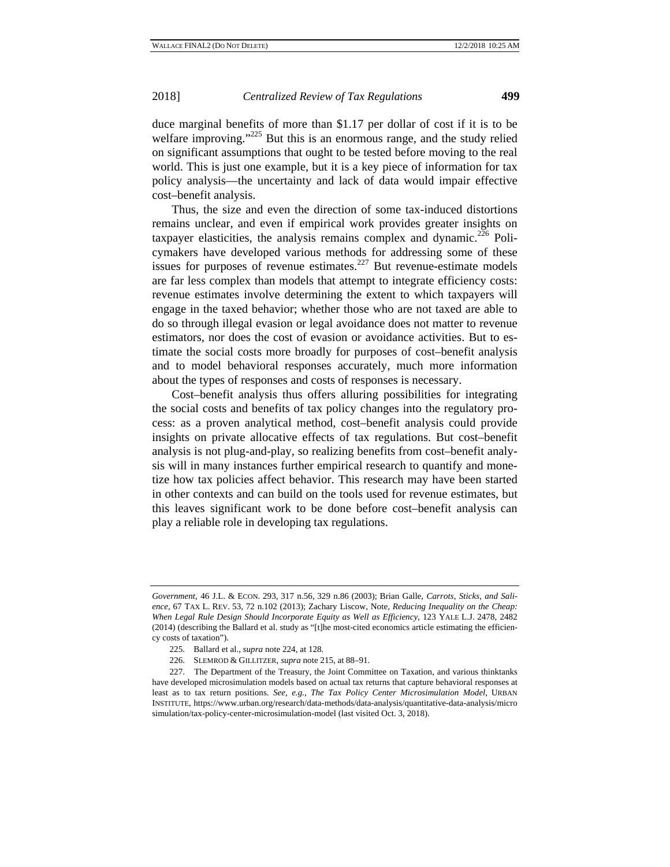### 2018] *Centralized Review of Tax Regulations* **499**

duce marginal benefits of more than \$1.17 per dollar of cost if it is to be welfare improving."<sup>225</sup> But this is an enormous range, and the study relied on significant assumptions that ought to be tested before moving to the real world. This is just one example, but it is a key piece of information for tax policy analysis—the uncertainty and lack of data would impair effective cost–benefit analysis.

Thus, the size and even the direction of some tax-induced distortions remains unclear, and even if empirical work provides greater insights on taxpayer elasticities, the analysis remains complex and dynamic.<sup>226</sup> Policymakers have developed various methods for addressing some of these issues for purposes of revenue estimates.<sup>227</sup> But revenue-estimate models are far less complex than models that attempt to integrate efficiency costs: revenue estimates involve determining the extent to which taxpayers will engage in the taxed behavior; whether those who are not taxed are able to do so through illegal evasion or legal avoidance does not matter to revenue estimators, nor does the cost of evasion or avoidance activities. But to estimate the social costs more broadly for purposes of cost–benefit analysis and to model behavioral responses accurately, much more information about the types of responses and costs of responses is necessary.

Cost–benefit analysis thus offers alluring possibilities for integrating the social costs and benefits of tax policy changes into the regulatory process: as a proven analytical method, cost–benefit analysis could provide insights on private allocative effects of tax regulations. But cost–benefit analysis is not plug-and-play, so realizing benefits from cost–benefit analysis will in many instances further empirical research to quantify and monetize how tax policies affect behavior. This research may have been started in other contexts and can build on the tools used for revenue estimates, but this leaves significant work to be done before cost–benefit analysis can play a reliable role in developing tax regulations.

*Government*, 46 J.L. & ECON. 293, 317 n.56, 329 n.86 (2003); Brian Galle, *Carrots, Sticks, and Salience*, 67 TAX L. REV. 53, 72 n.102 (2013); Zachary Liscow, Note, *Reducing Inequality on the Cheap: When Legal Rule Design Should Incorporate Equity as Well as Efficiency*, 123 YALE L.J. 2478, 2482 (2014) (describing the Ballard et al. study as "[t]he most-cited economics article estimating the efficiency costs of taxation").

<sup>225.</sup> Ballard et al., *supra* note 224, at 128.

<sup>226.</sup> SLEMROD & GILLITZER, *supra* note 215, at 88–91.

<sup>227.</sup> The Department of the Treasury, the Joint Committee on Taxation, and various thinktanks have developed microsimulation models based on actual tax returns that capture behavioral responses at least as to tax return positions. *See, e.g.*, *The Tax Policy Center Microsimulation Model*, URBAN INSTITUTE, https://www.urban.org/research/data-methods/data-analysis/quantitative-data-analysis/micro simulation/tax-policy-center-microsimulation-model (last visited Oct. 3, 2018).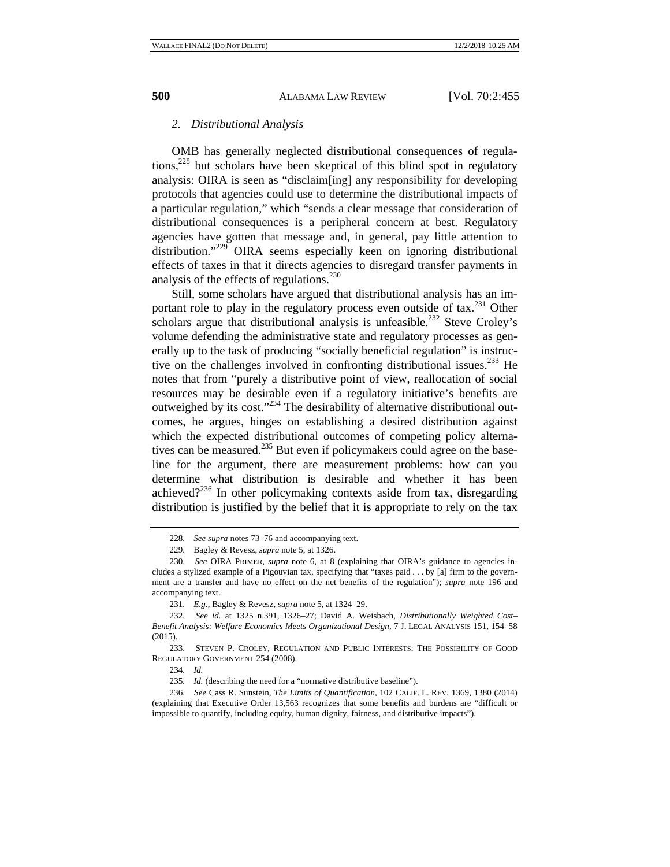#### *2. Distributional Analysis*

OMB has generally neglected distributional consequences of regulations,  $228$  but scholars have been skeptical of this blind spot in regulatory analysis: OIRA is seen as "disclaim[ing] any responsibility for developing protocols that agencies could use to determine the distributional impacts of a particular regulation," which "sends a clear message that consideration of distributional consequences is a peripheral concern at best. Regulatory agencies have gotten that message and, in general, pay little attention to distribution."<sup>229</sup> OIRA seems especially keen on ignoring distributional effects of taxes in that it directs agencies to disregard transfer payments in analysis of the effects of regulations.<sup>230</sup>

Still, some scholars have argued that distributional analysis has an important role to play in the regulatory process even outside of tax.<sup>231</sup> Other scholars argue that distributional analysis is unfeasible.<sup>232</sup> Steve Croley's volume defending the administrative state and regulatory processes as generally up to the task of producing "socially beneficial regulation" is instructive on the challenges involved in confronting distributional issues.<sup>233</sup> He notes that from "purely a distributive point of view, reallocation of social resources may be desirable even if a regulatory initiative's benefits are outweighed by its cost."<sup>234</sup> The desirability of alternative distributional outcomes, he argues, hinges on establishing a desired distribution against which the expected distributional outcomes of competing policy alternatives can be measured.<sup>235</sup> But even if policymakers could agree on the baseline for the argument, there are measurement problems: how can you determine what distribution is desirable and whether it has been achieved? $2^{236}$  In other policymaking contexts aside from tax, disregarding distribution is justified by the belief that it is appropriate to rely on the tax

<sup>228.</sup> *See supra* notes 73–76 and accompanying text.

<sup>229.</sup> Bagley & Revesz, *supra* note 5, at 1326.

<sup>230.</sup> *See* OIRA PRIMER, *supra* note 6, at 8 (explaining that OIRA's guidance to agencies includes a stylized example of a Pigouvian tax, specifying that "taxes paid . . . by [a] firm to the government are a transfer and have no effect on the net benefits of the regulation"); *supra* note 196 and accompanying text.

<sup>231.</sup> *E.g.*, Bagley & Revesz, *supra* note 5, at 1324–29.

<sup>232.</sup> *See id.* at 1325 n.391, 1326–27; David A. Weisbach, *Distributionally Weighted Cost– Benefit Analysis: Welfare Economics Meets Organizational Design*, 7 J. LEGAL ANALYSIS 151, 154–58 (2015).

<sup>233.</sup> STEVEN P. CROLEY, REGULATION AND PUBLIC INTERESTS: THE POSSIBILITY OF GOOD REGULATORY GOVERNMENT 254 (2008).

<sup>234.</sup> *Id.*

<sup>235.</sup> *Id.* (describing the need for a "normative distributive baseline").

<sup>236.</sup> *See* Cass R. Sunstein, *The Limits of Quantification*, 102 CALIF. L. REV. 1369, 1380 (2014) (explaining that Executive Order 13,563 recognizes that some benefits and burdens are "difficult or impossible to quantify, including equity, human dignity, fairness, and distributive impacts").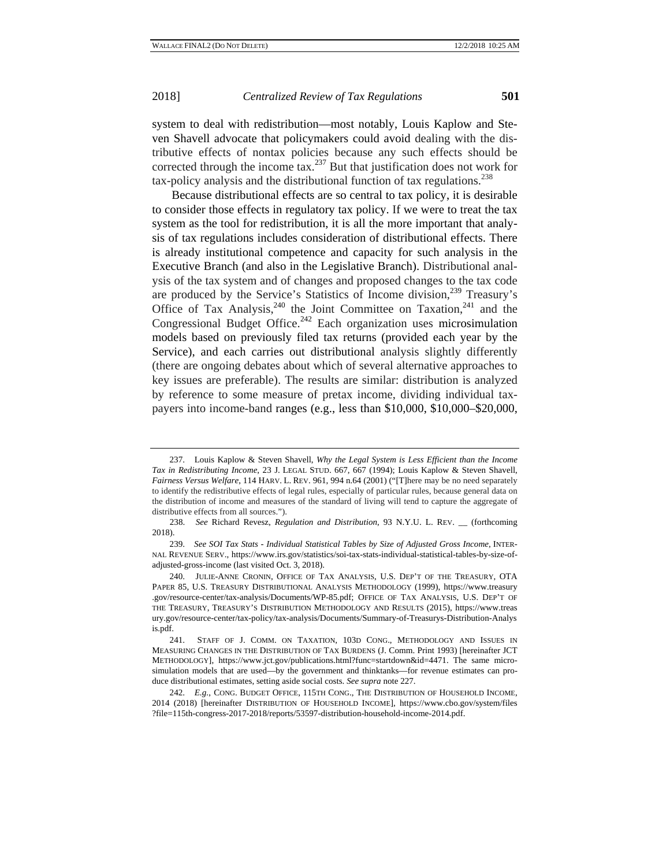system to deal with redistribution—most notably, Louis Kaplow and Steven Shavell advocate that policymakers could avoid dealing with the distributive effects of nontax policies because any such effects should be corrected through the income tax.<sup>237</sup> But that justification does not work for  $\mu$  tax-policy analysis and the distributional function of tax regulations.<sup>238</sup>

Because distributional effects are so central to tax policy, it is desirable to consider those effects in regulatory tax policy. If we were to treat the tax system as the tool for redistribution, it is all the more important that analysis of tax regulations includes consideration of distributional effects. There is already institutional competence and capacity for such analysis in the Executive Branch (and also in the Legislative Branch). Distributional analysis of the tax system and of changes and proposed changes to the tax code are produced by the Service's Statistics of Income division,<sup>239</sup> Treasury's Office of Tax Analysis, $240$  the Joint Committee on Taxation, $241$  and the Congressional Budget Office.<sup>242</sup> Each organization uses microsimulation models based on previously filed tax returns (provided each year by the Service), and each carries out distributional analysis slightly differently (there are ongoing debates about which of several alternative approaches to key issues are preferable). The results are similar: distribution is analyzed by reference to some measure of pretax income, dividing individual taxpayers into income-band ranges (e.g., less than \$10,000, \$10,000–\$20,000,

<sup>237.</sup> Louis Kaplow & Steven Shavell, *Why the Legal System is Less Efficient than the Income Tax in Redistributing Income*, 23 J. LEGAL STUD. 667, 667 (1994); Louis Kaplow & Steven Shavell, *Fairness Versus Welfare*, 114 HARV. L. REV. 961, 994 n.64 (2001) ("[T]here may be no need separately to identify the redistributive effects of legal rules, especially of particular rules, because general data on the distribution of income and measures of the standard of living will tend to capture the aggregate of distributive effects from all sources.").

<sup>238.</sup> *See* Richard Revesz, *Regulation and Distribution*, 93 N.Y.U. L. REV. \_\_ (forthcoming 2018).

<sup>239.</sup> *See SOI Tax Stats - Individual Statistical Tables by Size of Adjusted Gross Income*, INTER-NAL REVENUE SERV., https://www.irs.gov/statistics/soi-tax-stats-individual-statistical-tables-by-size-ofadjusted-gross-income (last visited Oct. 3, 2018).

<sup>240.</sup> JULIE-ANNE CRONIN, OFFICE OF TAX ANALYSIS, U.S. DEP'T OF THE TREASURY, OTA PAPER 85, U.S. TREASURY DISTRIBUTIONAL ANALYSIS METHODOLOGY (1999), https://www.treasury .gov/resource-center/tax-analysis/Documents/WP-85.pdf; OFFICE OF TAX ANALYSIS, U.S. DEP'T OF THE TREASURY, TREASURY'S DISTRIBUTION METHODOLOGY AND RESULTS (2015), https://www.treas ury.gov/resource-center/tax-policy/tax-analysis/Documents/Summary-of-Treasurys-Distribution-Analys is.pdf.

<sup>241.</sup> STAFF OF J. COMM. ON TAXATION, 103D CONG., METHODOLOGY AND ISSUES IN MEASURING CHANGES IN THE DISTRIBUTION OF TAX BURDENS (J. Comm. Print 1993) [hereinafter JCT METHODOLOGY], https://www.jct.gov/publications.html?func=startdown&id=4471. The same microsimulation models that are used—by the government and thinktanks—for revenue estimates can produce distributional estimates, setting aside social costs. *See supra* note 227.

<sup>242.</sup> *E.g.*, CONG. BUDGET OFFICE, 115TH CONG., THE DISTRIBUTION OF HOUSEHOLD INCOME, 2014 (2018) [hereinafter DISTRIBUTION OF HOUSEHOLD INCOME], https://www.cbo.gov/system/files ?file=115th-congress-2017-2018/reports/53597-distribution-household-income-2014.pdf.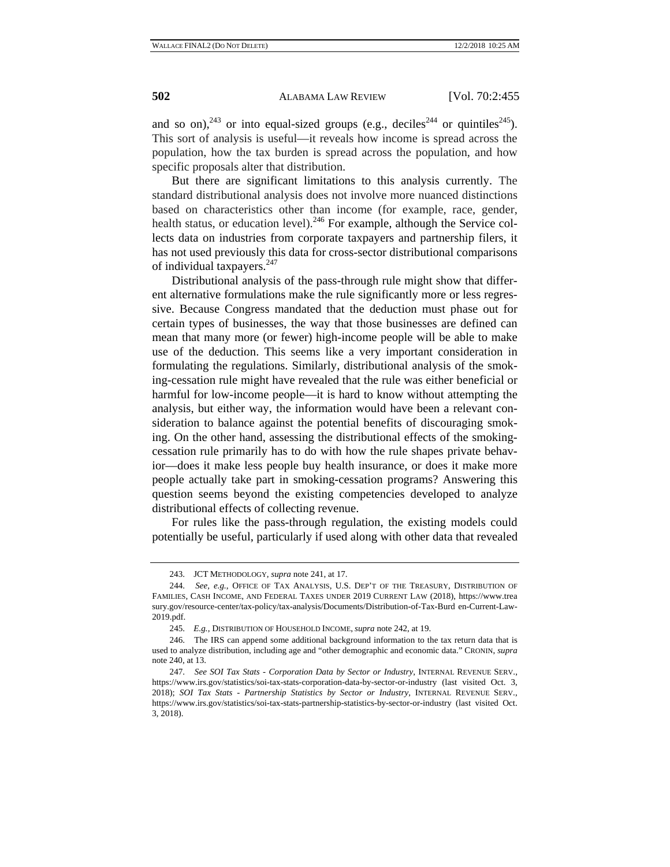and so on),<sup>243</sup> or into equal-sized groups (e.g., deciles<sup>244</sup> or quintiles<sup>245</sup>). This sort of analysis is useful—it reveals how income is spread across the population, how the tax burden is spread across the population, and how specific proposals alter that distribution.

But there are significant limitations to this analysis currently. The standard distributional analysis does not involve more nuanced distinctions based on characteristics other than income (for example, race, gender, health status, or education level).<sup>246</sup> For example, although the Service collects data on industries from corporate taxpayers and partnership filers, it has not used previously this data for cross-sector distributional comparisons of individual taxpayers.<sup>247</sup>

Distributional analysis of the pass-through rule might show that different alternative formulations make the rule significantly more or less regressive. Because Congress mandated that the deduction must phase out for certain types of businesses, the way that those businesses are defined can mean that many more (or fewer) high-income people will be able to make use of the deduction. This seems like a very important consideration in formulating the regulations. Similarly, distributional analysis of the smoking-cessation rule might have revealed that the rule was either beneficial or harmful for low-income people—it is hard to know without attempting the analysis, but either way, the information would have been a relevant consideration to balance against the potential benefits of discouraging smoking. On the other hand, assessing the distributional effects of the smokingcessation rule primarily has to do with how the rule shapes private behavior—does it make less people buy health insurance, or does it make more people actually take part in smoking-cessation programs? Answering this question seems beyond the existing competencies developed to analyze distributional effects of collecting revenue.

For rules like the pass-through regulation, the existing models could potentially be useful, particularly if used along with other data that revealed

<sup>243.</sup> JCT METHODOLOGY, *supra* note 241, at 17.

<sup>244.</sup> *See, e.g.*, OFFICE OF TAX ANALYSIS, U.S. DEP'T OF THE TREASURY, DISTRIBUTION OF FAMILIES, CASH INCOME, AND FEDERAL TAXES UNDER 2019 CURRENT LAW (2018), https://www.trea sury.gov/resource-center/tax-policy/tax-analysis/Documents/Distribution-of-Tax-Burd en-Current-Law-2019.pdf.

<sup>245.</sup> *E.g.*, DISTRIBUTION OF HOUSEHOLD INCOME, *supra* note 242, at 19.

<sup>246.</sup> The IRS can append some additional background information to the tax return data that is used to analyze distribution, including age and "other demographic and economic data." CRONIN, *supra* note 240, at 13.

<sup>247.</sup> *See SOI Tax Stats - Corporation Data by Sector or Industry*, INTERNAL REVENUE SERV., https://www.irs.gov/statistics/soi-tax-stats-corporation-data-by-sector-or-industry (last visited Oct. 3, 2018); *SOI Tax Stats - Partnership Statistics by Sector or Industry*, INTERNAL REVENUE SERV., https://www.irs.gov/statistics/soi-tax-stats-partnership-statistics-by-sector-or-industry (last visited Oct. 3, 2018).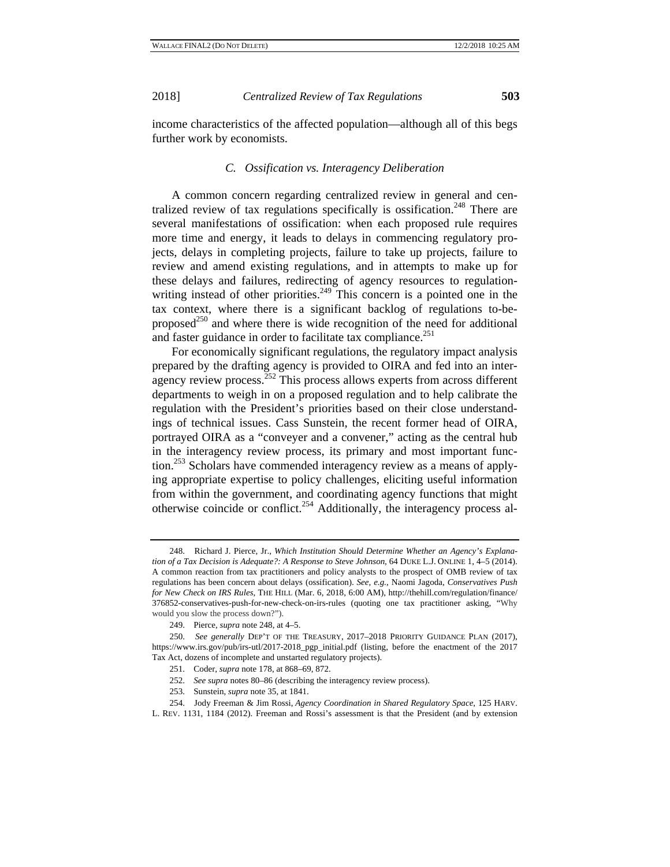income characteristics of the affected population—although all of this begs further work by economists.

### *C. Ossification vs. Interagency Deliberation*

A common concern regarding centralized review in general and centralized review of tax regulations specifically is ossification.<sup>248</sup> There are several manifestations of ossification: when each proposed rule requires more time and energy, it leads to delays in commencing regulatory projects, delays in completing projects, failure to take up projects, failure to review and amend existing regulations, and in attempts to make up for these delays and failures, redirecting of agency resources to regulationwriting instead of other priorities.<sup>249</sup> This concern is a pointed one in the tax context, where there is a significant backlog of regulations to-beproposed<sup>250</sup> and where there is wide recognition of the need for additional and faster guidance in order to facilitate tax compliance.<sup>251</sup>

For economically significant regulations, the regulatory impact analysis prepared by the drafting agency is provided to OIRA and fed into an interagency review process.<sup>252</sup> This process allows experts from across different departments to weigh in on a proposed regulation and to help calibrate the regulation with the President's priorities based on their close understandings of technical issues. Cass Sunstein, the recent former head of OIRA, portrayed OIRA as a "conveyer and a convener," acting as the central hub in the interagency review process, its primary and most important function.<sup>253</sup> Scholars have commended interagency review as a means of applying appropriate expertise to policy challenges, eliciting useful information from within the government, and coordinating agency functions that might otherwise coincide or conflict.<sup>254</sup> Additionally, the interagency process al-

- 252. *See supra* notes 80–86 (describing the interagency review process).
- 253. Sunstein, *supra* note 35, at 1841.
- 254. Jody Freeman & Jim Rossi, *Agency Coordination in Shared Regulatory Space*, 125 HARV.
- L. REV. 1131, 1184 (2012). Freeman and Rossi's assessment is that the President (and by extension

<sup>248.</sup> Richard J. Pierce, Jr., *Which Institution Should Determine Whether an Agency's Explanation of a Tax Decision is Adequate?: A Response to Steve Johnson*, 64 DUKE L.J. ONLINE 1, 4–5 (2014). A common reaction from tax practitioners and policy analysts to the prospect of OMB review of tax regulations has been concern about delays (ossification). *See, e.g.*, Naomi Jagoda, *Conservatives Push for New Check on IRS Rules*, THE HILL (Mar. 6, 2018, 6:00 AM), http://thehill.com/regulation/finance/ 376852-conservatives-push-for-new-check-on-irs-rules (quoting one tax practitioner asking, "Why would you slow the process down?").

<sup>249.</sup> Pierce, *supra* note 248, at 4–5.

<sup>250.</sup> *See generally* DEP'T OF THE TREASURY, 2017–2018 PRIORITY GUIDANCE PLAN (2017), https://www.irs.gov/pub/irs-utl/2017-2018\_pgp\_initial.pdf (listing, before the enactment of the 2017 Tax Act, dozens of incomplete and unstarted regulatory projects).

<sup>251.</sup> Coder, *supra* note 178, at 868–69, 872.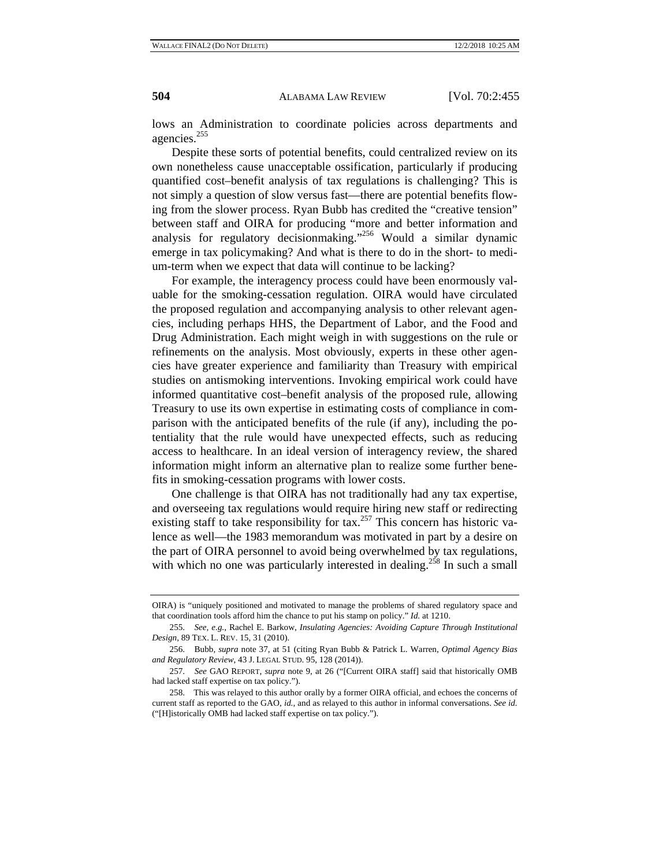lows an Administration to coordinate policies across departments and agencies.<sup>255</sup>

Despite these sorts of potential benefits, could centralized review on its own nonetheless cause unacceptable ossification, particularly if producing quantified cost–benefit analysis of tax regulations is challenging? This is not simply a question of slow versus fast—there are potential benefits flowing from the slower process. Ryan Bubb has credited the "creative tension" between staff and OIRA for producing "more and better information and analysis for regulatory decisionmaking."256 Would a similar dynamic emerge in tax policymaking? And what is there to do in the short- to medium-term when we expect that data will continue to be lacking?

For example, the interagency process could have been enormously valuable for the smoking-cessation regulation. OIRA would have circulated the proposed regulation and accompanying analysis to other relevant agencies, including perhaps HHS, the Department of Labor, and the Food and Drug Administration. Each might weigh in with suggestions on the rule or refinements on the analysis. Most obviously, experts in these other agencies have greater experience and familiarity than Treasury with empirical studies on antismoking interventions. Invoking empirical work could have informed quantitative cost–benefit analysis of the proposed rule, allowing Treasury to use its own expertise in estimating costs of compliance in comparison with the anticipated benefits of the rule (if any), including the potentiality that the rule would have unexpected effects, such as reducing access to healthcare. In an ideal version of interagency review, the shared information might inform an alternative plan to realize some further benefits in smoking-cessation programs with lower costs.

One challenge is that OIRA has not traditionally had any tax expertise, and overseeing tax regulations would require hiring new staff or redirecting existing staff to take responsibility for tax.<sup>257</sup> This concern has historic valence as well—the 1983 memorandum was motivated in part by a desire on the part of OIRA personnel to avoid being overwhelmed by tax regulations, with which no one was particularly interested in dealing.<sup>258</sup> In such a small

OIRA) is "uniquely positioned and motivated to manage the problems of shared regulatory space and that coordination tools afford him the chance to put his stamp on policy." *Id.* at 1210.

<sup>255.</sup> *See, e.g.*, Rachel E. Barkow, *Insulating Agencies: Avoiding Capture Through Institutional Design*, 89 TEX. L. REV. 15, 31 (2010).

<sup>256.</sup> Bubb, *supra* note 37, at 51 (citing Ryan Bubb & Patrick L. Warren, *Optimal Agency Bias and Regulatory Review*, 43 J. LEGAL STUD. 95, 128 (2014)).

<sup>257.</sup> *See* GAO REPORT, *supra* note 9, at 26 ("[Current OIRA staff] said that historically OMB had lacked staff expertise on tax policy.").

<sup>258.</sup> This was relayed to this author orally by a former OIRA official, and echoes the concerns of current staff as reported to the GAO, *id.*, and as relayed to this author in informal conversations. *See id.*  ("[H]istorically OMB had lacked staff expertise on tax policy.").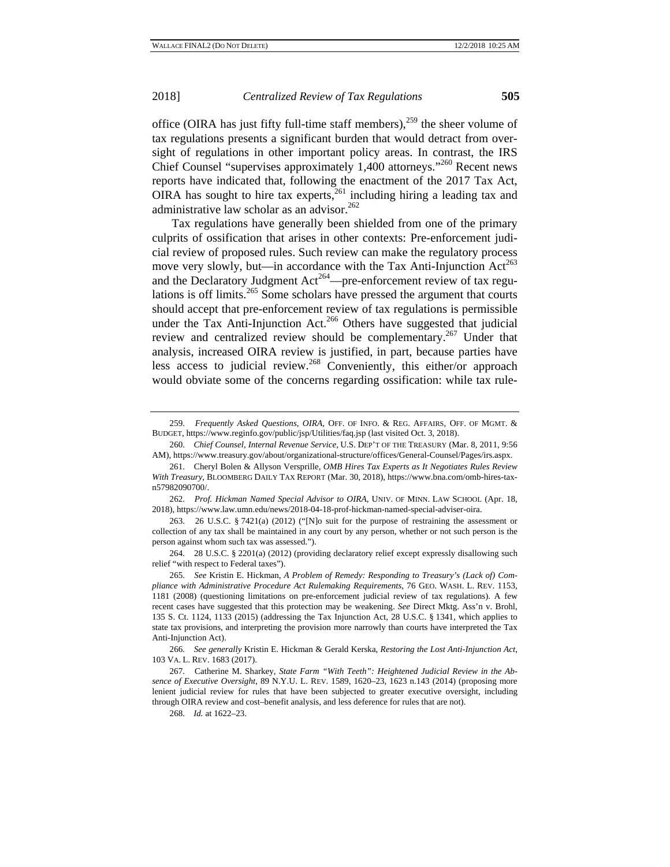office (OIRA has just fifty full-time staff members),  $259$  the sheer volume of tax regulations presents a significant burden that would detract from oversight of regulations in other important policy areas. In contrast, the IRS Chief Counsel "supervises approximately 1,400 attorneys."260 Recent news reports have indicated that, following the enactment of the 2017 Tax Act, OIRA has sought to hire tax experts,<sup>261</sup> including hiring a leading tax and administrative law scholar as an advisor.<sup>262</sup>

Tax regulations have generally been shielded from one of the primary culprits of ossification that arises in other contexts: Pre-enforcement judicial review of proposed rules. Such review can make the regulatory process move very slowly, but—in accordance with the Tax Anti-Injunction  $Act^{263}$ and the Declaratory Judgment  $Act^{264}$ —pre-enforcement review of tax regulations is off limits.<sup>265</sup> Some scholars have pressed the argument that courts should accept that pre-enforcement review of tax regulations is permissible under the Tax Anti-Injunction Act.<sup>266</sup> Others have suggested that judicial review and centralized review should be complementary.<sup>267</sup> Under that analysis, increased OIRA review is justified, in part, because parties have less access to judicial review.<sup>268</sup> Conveniently, this either/or approach would obviate some of the concerns regarding ossification: while tax rule-

261. Cheryl Bolen & Allyson Versprille, *OMB Hires Tax Experts as It Negotiates Rules Review With Treasury*, BLOOMBERG DAILY TAX REPORT (Mar. 30, 2018), https://www.bna.com/omb-hires-taxn57982090700/.

262. *Prof. Hickman Named Special Advisor to OIRA*, UNIV. OF MINN. LAW SCHOOL (Apr. 18, 2018), https://www.law.umn.edu/news/2018-04-18-prof-hickman-named-special-adviser-oira.

263. 26 U.S.C. § 7421(a) (2012) ("[N]o suit for the purpose of restraining the assessment or collection of any tax shall be maintained in any court by any person, whether or not such person is the person against whom such tax was assessed.").

264. 28 U.S.C. § 2201(a) (2012) (providing declaratory relief except expressly disallowing such relief "with respect to Federal taxes").

265. *See* Kristin E. Hickman, *A Problem of Remedy: Responding to Treasury's (Lack of) Compliance with Administrative Procedure Act Rulemaking Requirements*, 76 GEO. WASH. L. REV. 1153, 1181 (2008) (questioning limitations on pre-enforcement judicial review of tax regulations). A few recent cases have suggested that this protection may be weakening. *See* Direct Mktg. Ass'n v. Brohl, 135 S. Ct. 1124, 1133 (2015) (addressing the Tax Injunction Act, 28 U.S.C. § 1341, which applies to state tax provisions, and interpreting the provision more narrowly than courts have interpreted the Tax Anti-Injunction Act).

266. *See generally* Kristin E. Hickman & Gerald Kerska, *Restoring the Lost Anti-Injunction Act*, 103 VA. L. REV. 1683 (2017).

267. Catherine M. Sharkey, *State Farm "With Teeth": Heightened Judicial Review in the Absence of Executive Oversight*, 89 N.Y.U. L. REV. 1589, 1620–23, 1623 n.143 (2014) (proposing more lenient judicial review for rules that have been subjected to greater executive oversight, including through OIRA review and cost–benefit analysis, and less deference for rules that are not).

268. *Id.* at 1622–23.

<sup>259.</sup> *Frequently Asked Questions*, *OIRA*, OFF. OF INFO. & REG. AFFAIRS, OFF. OF MGMT. & BUDGET, https://www.reginfo.gov/public/jsp/Utilities/faq.jsp (last visited Oct. 3, 2018).

<sup>260.</sup> *Chief Counsel, Internal Revenue Service*, U.S. DEP'T OF THE TREASURY (Mar. 8, 2011, 9:56 AM), https://www.treasury.gov/about/organizational-structure/offices/General-Counsel/Pages/irs.aspx.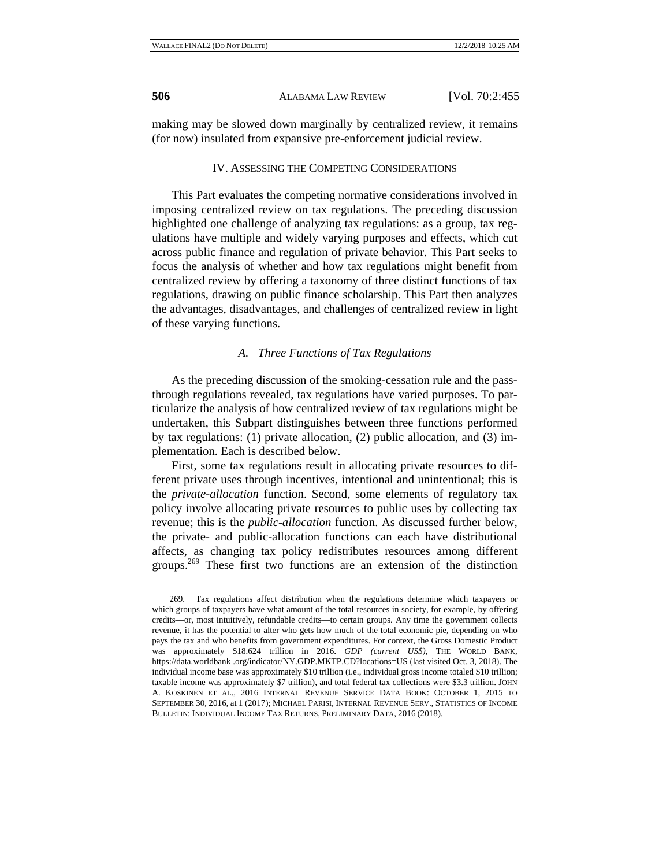making may be slowed down marginally by centralized review, it remains (for now) insulated from expansive pre-enforcement judicial review.

#### IV. ASSESSING THE COMPETING CONSIDERATIONS

This Part evaluates the competing normative considerations involved in imposing centralized review on tax regulations. The preceding discussion highlighted one challenge of analyzing tax regulations: as a group, tax regulations have multiple and widely varying purposes and effects, which cut across public finance and regulation of private behavior. This Part seeks to focus the analysis of whether and how tax regulations might benefit from centralized review by offering a taxonomy of three distinct functions of tax regulations, drawing on public finance scholarship. This Part then analyzes the advantages, disadvantages, and challenges of centralized review in light of these varying functions.

#### *A. Three Functions of Tax Regulations*

As the preceding discussion of the smoking-cessation rule and the passthrough regulations revealed, tax regulations have varied purposes. To particularize the analysis of how centralized review of tax regulations might be undertaken, this Subpart distinguishes between three functions performed by tax regulations: (1) private allocation, (2) public allocation, and (3) implementation. Each is described below.

First, some tax regulations result in allocating private resources to different private uses through incentives, intentional and unintentional; this is the *private-allocation* function. Second, some elements of regulatory tax policy involve allocating private resources to public uses by collecting tax revenue; this is the *public-allocation* function. As discussed further below, the private- and public-allocation functions can each have distributional affects, as changing tax policy redistributes resources among different groups.<sup>269</sup> These first two functions are an extension of the distinction

<sup>269.</sup> Tax regulations affect distribution when the regulations determine which taxpayers or which groups of taxpayers have what amount of the total resources in society, for example, by offering credits—or, most intuitively, refundable credits—to certain groups. Any time the government collects revenue, it has the potential to alter who gets how much of the total economic pie, depending on who pays the tax and who benefits from government expenditures. For context, the Gross Domestic Product was approximately \$18.624 trillion in 2016. *GDP (current US\$)*, THE WORLD BANK, https://data.worldbank .org/indicator/NY.GDP.MKTP.CD?locations=US (last visited Oct. 3, 2018). The individual income base was approximately \$10 trillion (i.e., individual gross income totaled \$10 trillion; taxable income was approximately \$7 trillion), and total federal tax collections were \$3.3 trillion. JOHN A. KOSKINEN ET AL., 2016 INTERNAL REVENUE SERVICE DATA BOOK: OCTOBER 1, 2015 TO SEPTEMBER 30, 2016, at 1 (2017); MICHAEL PARISI, INTERNAL REVENUE SERV., STATISTICS OF INCOME BULLETIN: INDIVIDUAL INCOME TAX RETURNS, PRELIMINARY DATA, 2016 (2018).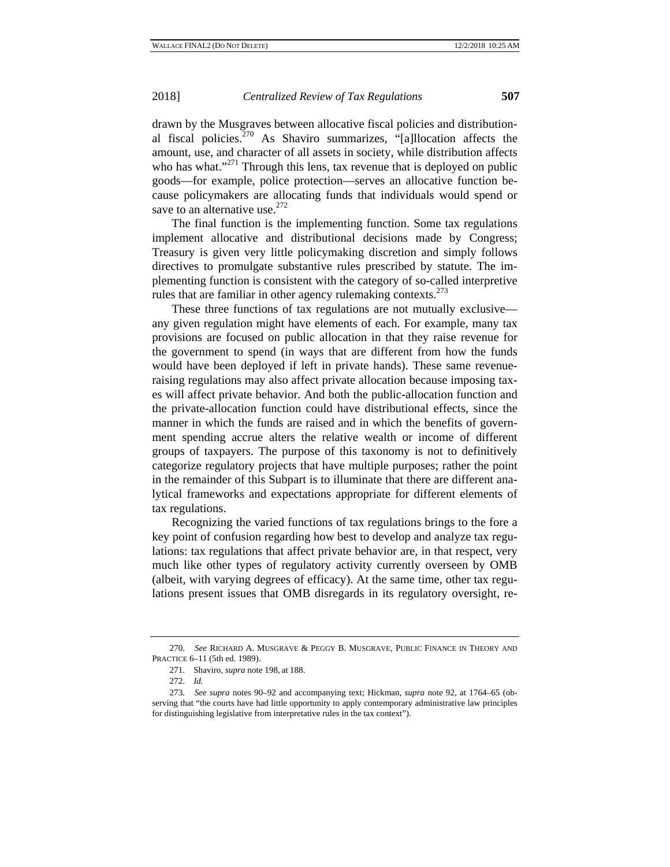drawn by the Musgraves between allocative fiscal policies and distributional fiscal policies.<sup>270</sup> As Shaviro summarizes,  $\cdot$ <sup>6</sup>[a]llocation affects the amount, use, and character of all assets in society, while distribution affects who has what." $2^{71}$  Through this lens, tax revenue that is deployed on public goods—for example, police protection—serves an allocative function because policymakers are allocating funds that individuals would spend or save to an alternative use. $272$ 

The final function is the implementing function. Some tax regulations implement allocative and distributional decisions made by Congress; Treasury is given very little policymaking discretion and simply follows directives to promulgate substantive rules prescribed by statute. The implementing function is consistent with the category of so-called interpretive rules that are familiar in other agency rulemaking contexts. $273$ 

These three functions of tax regulations are not mutually exclusive any given regulation might have elements of each. For example, many tax provisions are focused on public allocation in that they raise revenue for the government to spend (in ways that are different from how the funds would have been deployed if left in private hands). These same revenueraising regulations may also affect private allocation because imposing taxes will affect private behavior. And both the public-allocation function and the private-allocation function could have distributional effects, since the manner in which the funds are raised and in which the benefits of government spending accrue alters the relative wealth or income of different groups of taxpayers. The purpose of this taxonomy is not to definitively categorize regulatory projects that have multiple purposes; rather the point in the remainder of this Subpart is to illuminate that there are different analytical frameworks and expectations appropriate for different elements of tax regulations.

Recognizing the varied functions of tax regulations brings to the fore a key point of confusion regarding how best to develop and analyze tax regulations: tax regulations that affect private behavior are, in that respect, very much like other types of regulatory activity currently overseen by OMB (albeit, with varying degrees of efficacy). At the same time, other tax regulations present issues that OMB disregards in its regulatory oversight, re-

<sup>270.</sup> *See* RICHARD A. MUSGRAVE & PEGGY B. MUSGRAVE, PUBLIC FINANCE IN THEORY AND PRACTICE 6–11 (5th ed. 1989).

<sup>271.</sup> Shaviro, *supra* note 198, at 188.

<sup>272.</sup> *Id.*

<sup>273.</sup> *See supra* notes 90–92 and accompanying text; Hickman, *supra* note 92, at 1764–65 (observing that "the courts have had little opportunity to apply contemporary administrative law principles for distinguishing legislative from interpretative rules in the tax context").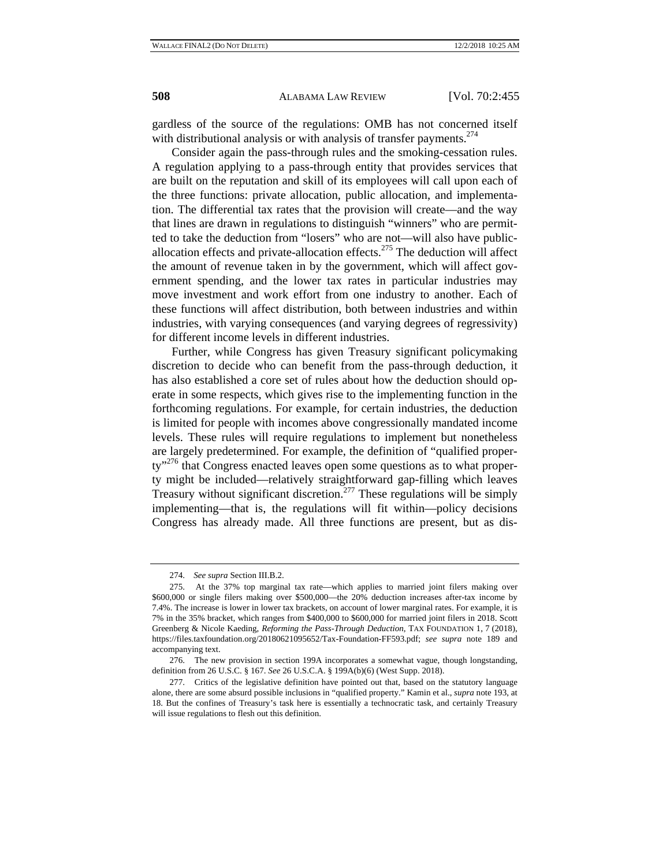gardless of the source of the regulations: OMB has not concerned itself with distributional analysis or with analysis of transfer payments.<sup> $274$ </sup>

Consider again the pass-through rules and the smoking-cessation rules. A regulation applying to a pass-through entity that provides services that are built on the reputation and skill of its employees will call upon each of the three functions: private allocation, public allocation, and implementation. The differential tax rates that the provision will create—and the way that lines are drawn in regulations to distinguish "winners" who are permitted to take the deduction from "losers" who are not—will also have publicallocation effects and private-allocation effects.<sup>275</sup> The deduction will affect the amount of revenue taken in by the government, which will affect government spending, and the lower tax rates in particular industries may move investment and work effort from one industry to another. Each of these functions will affect distribution, both between industries and within industries, with varying consequences (and varying degrees of regressivity) for different income levels in different industries.

Further, while Congress has given Treasury significant policymaking discretion to decide who can benefit from the pass-through deduction, it has also established a core set of rules about how the deduction should operate in some respects, which gives rise to the implementing function in the forthcoming regulations. For example, for certain industries, the deduction is limited for people with incomes above congressionally mandated income levels. These rules will require regulations to implement but nonetheless are largely predetermined. For example, the definition of "qualified proper $ty''^{276}$  that Congress enacted leaves open some questions as to what property might be included—relatively straightforward gap-filling which leaves Treasury without significant discretion.277 These regulations will be simply implementing—that is, the regulations will fit within—policy decisions Congress has already made. All three functions are present, but as dis-

<sup>274.</sup> *See supra* Section III.B.2.

<sup>275.</sup> At the 37% top marginal tax rate—which applies to married joint filers making over \$600,000 or single filers making over \$500,000—the 20% deduction increases after-tax income by 7.4%. The increase is lower in lower tax brackets, on account of lower marginal rates. For example, it is 7% in the 35% bracket, which ranges from \$400,000 to \$600,000 for married joint filers in 2018. Scott Greenberg & Nicole Kaeding, *Reforming the Pass-Through Deduction*, TAX FOUNDATION 1, 7 (2018), https://files.taxfoundation.org/20180621095652/Tax-Foundation-FF593.pdf; *see supra* note 189 and accompanying text.

<sup>276.</sup> The new provision in section 199A incorporates a somewhat vague, though longstanding, definition from 26 U.S.C. § 167. *See* 26 U.S.C.A. § 199A(b)(6) (West Supp. 2018).

<sup>277.</sup> Critics of the legislative definition have pointed out that, based on the statutory language alone, there are some absurd possible inclusions in "qualified property." Kamin et al., *supra* note 193, at 18. But the confines of Treasury's task here is essentially a technocratic task, and certainly Treasury will issue regulations to flesh out this definition.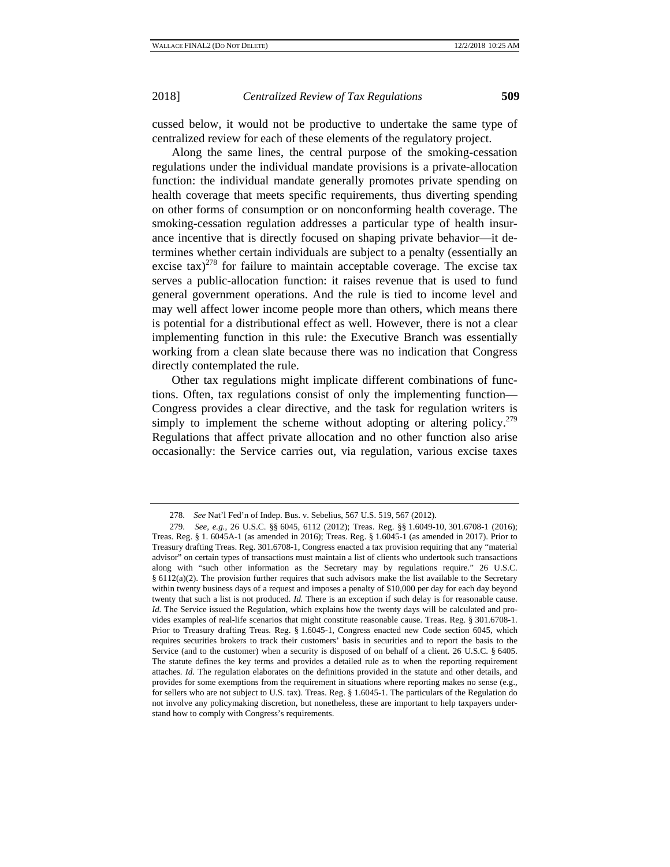cussed below, it would not be productive to undertake the same type of centralized review for each of these elements of the regulatory project.

Along the same lines, the central purpose of the smoking-cessation regulations under the individual mandate provisions is a private-allocation function: the individual mandate generally promotes private spending on health coverage that meets specific requirements, thus diverting spending on other forms of consumption or on nonconforming health coverage. The smoking-cessation regulation addresses a particular type of health insurance incentive that is directly focused on shaping private behavior—it determines whether certain individuals are subject to a penalty (essentially an excise tax)<sup>278</sup> for failure to maintain acceptable coverage. The excise tax serves a public-allocation function: it raises revenue that is used to fund general government operations. And the rule is tied to income level and may well affect lower income people more than others, which means there is potential for a distributional effect as well. However, there is not a clear implementing function in this rule: the Executive Branch was essentially working from a clean slate because there was no indication that Congress directly contemplated the rule.

Other tax regulations might implicate different combinations of functions. Often, tax regulations consist of only the implementing function— Congress provides a clear directive, and the task for regulation writers is simply to implement the scheme without adopting or altering policy.<sup>279</sup> Regulations that affect private allocation and no other function also arise occasionally: the Service carries out, via regulation, various excise taxes

<sup>278.</sup> *See* Nat'l Fed'n of Indep. Bus. v. Sebelius, 567 U.S. 519, 567 (2012).

<sup>279.</sup> *See, e.g.*, 26 U.S.C. §§ 6045, 6112 (2012); Treas. Reg. §§ 1.6049-10, 301.6708-1 (2016); Treas. Reg. § 1. 6045A-1 (as amended in 2016); Treas. Reg. § 1.6045-1 (as amended in 2017). Prior to Treasury drafting Treas. Reg. 301.6708-1, Congress enacted a tax provision requiring that any "material advisor" on certain types of transactions must maintain a list of clients who undertook such transactions along with "such other information as the Secretary may by regulations require." 26 U.S.C. § 6112(a)(2). The provision further requires that such advisors make the list available to the Secretary within twenty business days of a request and imposes a penalty of \$10,000 per day for each day beyond twenty that such a list is not produced. *Id.* There is an exception if such delay is for reasonable cause. *Id.* The Service issued the Regulation, which explains how the twenty days will be calculated and provides examples of real-life scenarios that might constitute reasonable cause. Treas. Reg. § 301.6708-1. Prior to Treasury drafting Treas. Reg. § 1.6045-1, Congress enacted new Code section 6045, which requires securities brokers to track their customers' basis in securities and to report the basis to the Service (and to the customer) when a security is disposed of on behalf of a client. 26 U.S.C. § 6405. The statute defines the key terms and provides a detailed rule as to when the reporting requirement attaches. *Id.* The regulation elaborates on the definitions provided in the statute and other details, and provides for some exemptions from the requirement in situations where reporting makes no sense (e.g., for sellers who are not subject to U.S. tax). Treas. Reg. § 1.6045-1. The particulars of the Regulation do not involve any policymaking discretion, but nonetheless, these are important to help taxpayers understand how to comply with Congress's requirements.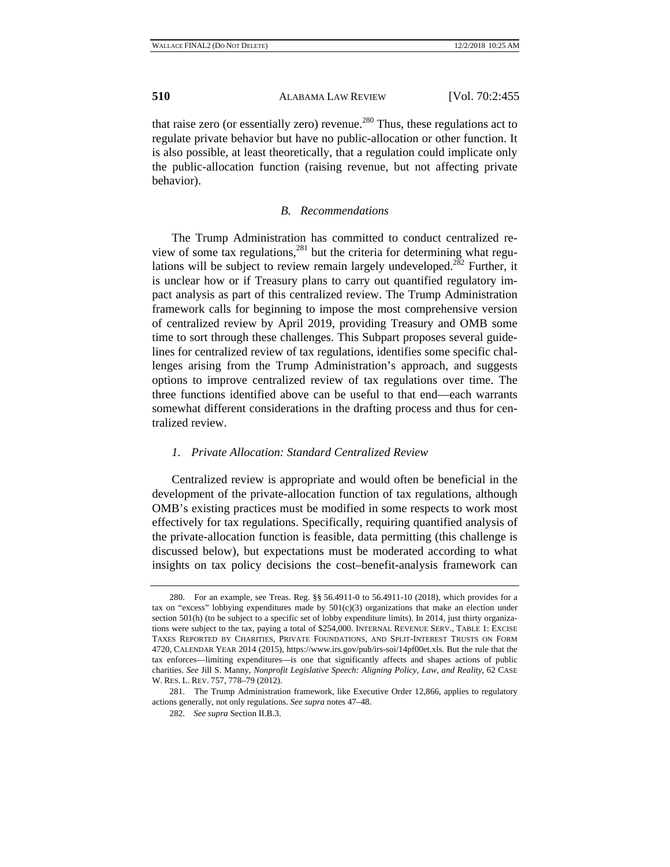that raise zero (or essentially zero) revenue.<sup>280</sup> Thus, these regulations act to regulate private behavior but have no public-allocation or other function. It is also possible, at least theoretically, that a regulation could implicate only the public-allocation function (raising revenue, but not affecting private behavior).

#### *B. Recommendations*

The Trump Administration has committed to conduct centralized review of some tax regulations, $281$  but the criteria for determining what regulations will be subject to review remain largely undeveloped.<sup>282</sup> Further, it is unclear how or if Treasury plans to carry out quantified regulatory impact analysis as part of this centralized review. The Trump Administration framework calls for beginning to impose the most comprehensive version of centralized review by April 2019, providing Treasury and OMB some time to sort through these challenges. This Subpart proposes several guidelines for centralized review of tax regulations, identifies some specific challenges arising from the Trump Administration's approach, and suggests options to improve centralized review of tax regulations over time. The three functions identified above can be useful to that end—each warrants somewhat different considerations in the drafting process and thus for centralized review.

#### *1. Private Allocation: Standard Centralized Review*

Centralized review is appropriate and would often be beneficial in the development of the private-allocation function of tax regulations, although OMB's existing practices must be modified in some respects to work most effectively for tax regulations. Specifically, requiring quantified analysis of the private-allocation function is feasible, data permitting (this challenge is discussed below), but expectations must be moderated according to what insights on tax policy decisions the cost–benefit-analysis framework can

<sup>280.</sup> For an example, see Treas. Reg. §§ 56.4911-0 to 56.4911-10 (2018), which provides for a tax on "excess" lobbying expenditures made by  $501(c)(3)$  organizations that make an election under section 501(h) (to be subject to a specific set of lobby expenditure limits). In 2014, just thirty organizations were subject to the tax, paying a total of \$254,000. INTERNAL REVENUE SERV., TABLE 1: EXCISE TAXES REPORTED BY CHARITIES, PRIVATE FOUNDATIONS, AND SPLIT-INTEREST TRUSTS ON FORM 4720, CALENDAR YEAR 2014 (2015), https://www.irs.gov/pub/irs-soi/14pf00et.xls. But the rule that the tax enforces—limiting expenditures—is one that significantly affects and shapes actions of public charities. *See* Jill S. Manny, *Nonprofit Legislative Speech: Aligning Policy, Law, and Reality*, 62 CASE W. RES. L. REV. 757, 778–79 (2012).

<sup>281.</sup> The Trump Administration framework, like Executive Order 12,866, applies to regulatory actions generally, not only regulations. *See supra* notes 47–48.

<sup>282.</sup> *See supra* Section II.B.3.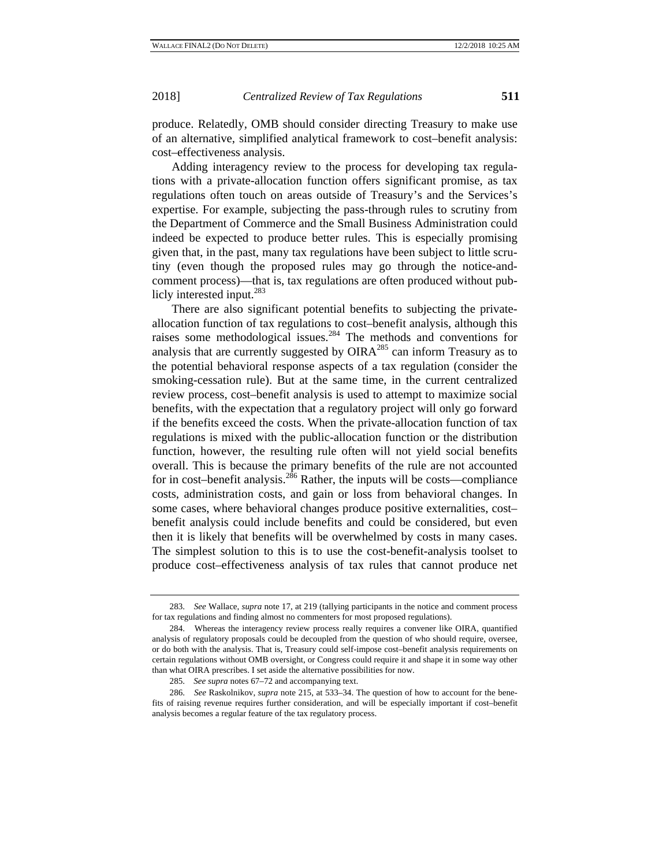produce. Relatedly, OMB should consider directing Treasury to make use of an alternative, simplified analytical framework to cost–benefit analysis: cost–effectiveness analysis.

Adding interagency review to the process for developing tax regulations with a private-allocation function offers significant promise, as tax regulations often touch on areas outside of Treasury's and the Services's expertise. For example, subjecting the pass-through rules to scrutiny from the Department of Commerce and the Small Business Administration could indeed be expected to produce better rules. This is especially promising given that, in the past, many tax regulations have been subject to little scrutiny (even though the proposed rules may go through the notice-andcomment process)—that is, tax regulations are often produced without publicly interested input.<sup>283</sup>

There are also significant potential benefits to subjecting the privateallocation function of tax regulations to cost–benefit analysis, although this raises some methodological issues.284 The methods and conventions for analysis that are currently suggested by  $OIRA<sup>285</sup>$  can inform Treasury as to the potential behavioral response aspects of a tax regulation (consider the smoking-cessation rule). But at the same time, in the current centralized review process, cost–benefit analysis is used to attempt to maximize social benefits, with the expectation that a regulatory project will only go forward if the benefits exceed the costs. When the private-allocation function of tax regulations is mixed with the public-allocation function or the distribution function, however, the resulting rule often will not yield social benefits overall. This is because the primary benefits of the rule are not accounted for in cost–benefit analysis.<sup>286</sup> Rather, the inputs will be costs—compliance costs, administration costs, and gain or loss from behavioral changes. In some cases, where behavioral changes produce positive externalities, cost– benefit analysis could include benefits and could be considered, but even then it is likely that benefits will be overwhelmed by costs in many cases. The simplest solution to this is to use the cost-benefit-analysis toolset to produce cost–effectiveness analysis of tax rules that cannot produce net

<sup>283.</sup> *See* Wallace, *supra* note 17, at 219 (tallying participants in the notice and comment process for tax regulations and finding almost no commenters for most proposed regulations).

<sup>284.</sup> Whereas the interagency review process really requires a convener like OIRA, quantified analysis of regulatory proposals could be decoupled from the question of who should require, oversee, or do both with the analysis. That is, Treasury could self-impose cost–benefit analysis requirements on certain regulations without OMB oversight, or Congress could require it and shape it in some way other than what OIRA prescribes. I set aside the alternative possibilities for now.

<sup>285.</sup> *See supra* notes 67–72 and accompanying text.

<sup>286.</sup> *See* Raskolnikov, *supra* note 215, at 533–34. The question of how to account for the benefits of raising revenue requires further consideration, and will be especially important if cost–benefit analysis becomes a regular feature of the tax regulatory process.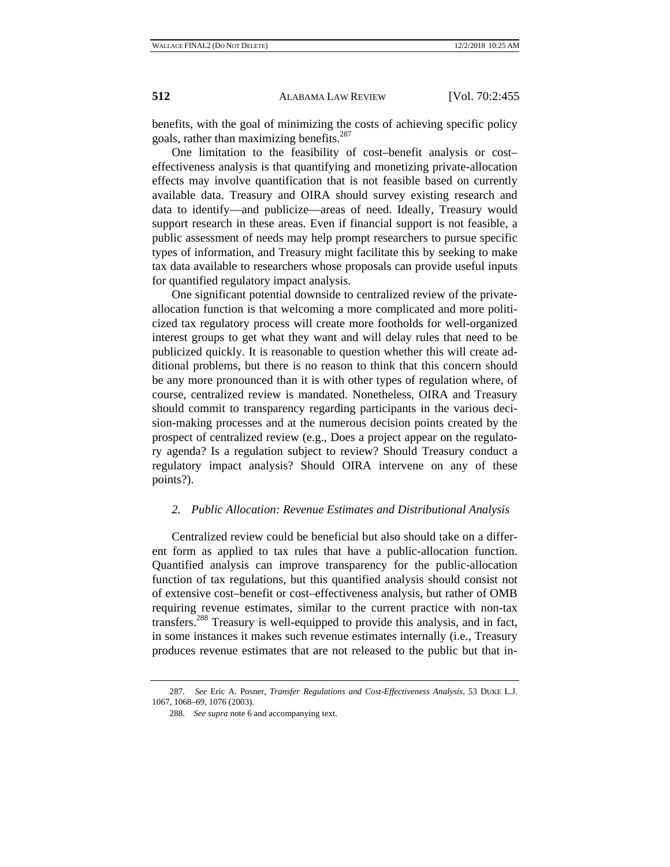benefits, with the goal of minimizing the costs of achieving specific policy goals, rather than maximizing benefits.<sup>287</sup>

One limitation to the feasibility of cost–benefit analysis or cost– effectiveness analysis is that quantifying and monetizing private-allocation effects may involve quantification that is not feasible based on currently available data. Treasury and OIRA should survey existing research and data to identify—and publicize—areas of need. Ideally, Treasury would support research in these areas. Even if financial support is not feasible, a public assessment of needs may help prompt researchers to pursue specific types of information, and Treasury might facilitate this by seeking to make tax data available to researchers whose proposals can provide useful inputs for quantified regulatory impact analysis.

One significant potential downside to centralized review of the privateallocation function is that welcoming a more complicated and more politicized tax regulatory process will create more footholds for well-organized interest groups to get what they want and will delay rules that need to be publicized quickly. It is reasonable to question whether this will create additional problems, but there is no reason to think that this concern should be any more pronounced than it is with other types of regulation where, of course, centralized review is mandated. Nonetheless, OIRA and Treasury should commit to transparency regarding participants in the various decision-making processes and at the numerous decision points created by the prospect of centralized review (e.g., Does a project appear on the regulatory agenda? Is a regulation subject to review? Should Treasury conduct a regulatory impact analysis? Should OIRA intervene on any of these points?).

#### *2. Public Allocation: Revenue Estimates and Distributional Analysis*

Centralized review could be beneficial but also should take on a different form as applied to tax rules that have a public-allocation function. Quantified analysis can improve transparency for the public-allocation function of tax regulations, but this quantified analysis should consist not of extensive cost–benefit or cost–effectiveness analysis, but rather of OMB requiring revenue estimates, similar to the current practice with non-tax transfers.288 Treasury is well-equipped to provide this analysis, and in fact, in some instances it makes such revenue estimates internally (i.e., Treasury produces revenue estimates that are not released to the public but that in-

<sup>287.</sup> *See* Eric A. Posner, *Transfer Regulations and Cost-Effectiveness Analysis*, 53 DUKE L.J. 1067, 1068–69, 1076 (2003).

<sup>288.</sup> *See supra* note 6 and accompanying text.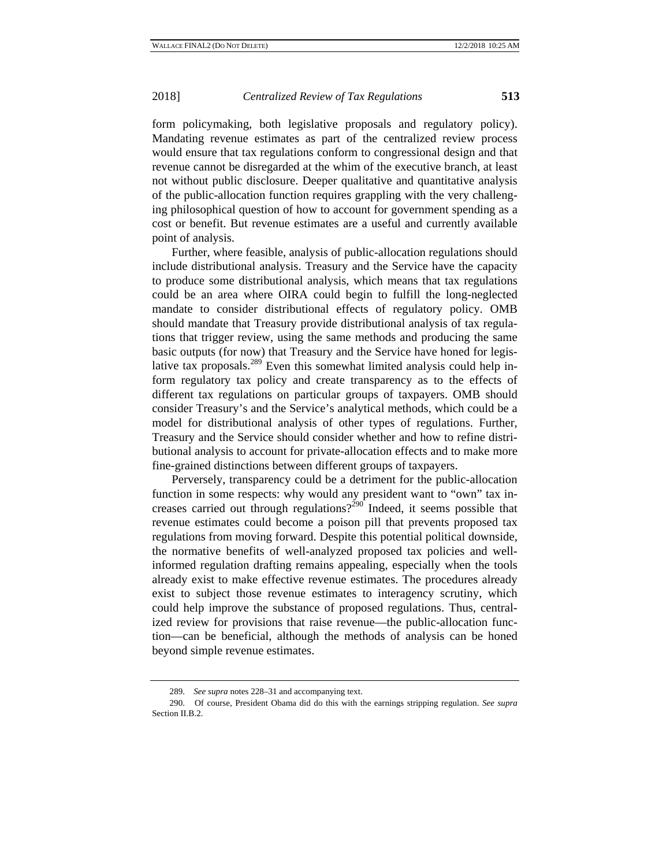form policymaking, both legislative proposals and regulatory policy). Mandating revenue estimates as part of the centralized review process would ensure that tax regulations conform to congressional design and that revenue cannot be disregarded at the whim of the executive branch, at least not without public disclosure. Deeper qualitative and quantitative analysis of the public-allocation function requires grappling with the very challenging philosophical question of how to account for government spending as a cost or benefit. But revenue estimates are a useful and currently available point of analysis.

Further, where feasible, analysis of public-allocation regulations should include distributional analysis. Treasury and the Service have the capacity to produce some distributional analysis, which means that tax regulations could be an area where OIRA could begin to fulfill the long-neglected mandate to consider distributional effects of regulatory policy. OMB should mandate that Treasury provide distributional analysis of tax regulations that trigger review, using the same methods and producing the same basic outputs (for now) that Treasury and the Service have honed for legislative tax proposals.<sup>289</sup> Even this somewhat limited analysis could help inform regulatory tax policy and create transparency as to the effects of different tax regulations on particular groups of taxpayers. OMB should consider Treasury's and the Service's analytical methods, which could be a model for distributional analysis of other types of regulations. Further, Treasury and the Service should consider whether and how to refine distributional analysis to account for private-allocation effects and to make more fine-grained distinctions between different groups of taxpayers.

Perversely, transparency could be a detriment for the public-allocation function in some respects: why would any president want to "own" tax increases carried out through regulations?<sup>290</sup> Indeed, it seems possible that revenue estimates could become a poison pill that prevents proposed tax regulations from moving forward. Despite this potential political downside, the normative benefits of well-analyzed proposed tax policies and wellinformed regulation drafting remains appealing, especially when the tools already exist to make effective revenue estimates. The procedures already exist to subject those revenue estimates to interagency scrutiny, which could help improve the substance of proposed regulations. Thus, centralized review for provisions that raise revenue—the public-allocation function—can be beneficial, although the methods of analysis can be honed beyond simple revenue estimates.

<sup>289.</sup> *See supra* notes 228–31 and accompanying text.

<sup>290.</sup> Of course, President Obama did do this with the earnings stripping regulation. *See supra*  Section II.B.2.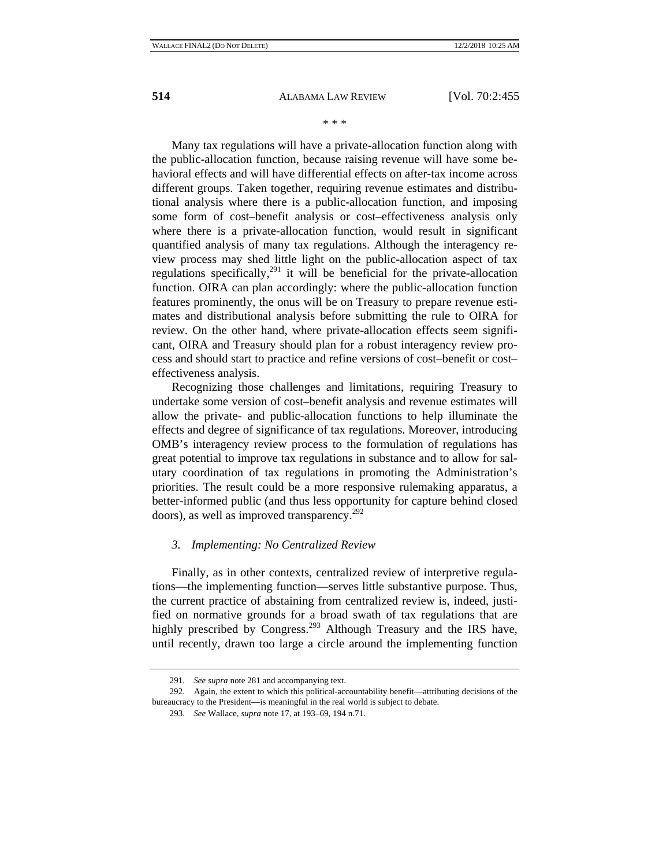#### \* \* \*

Many tax regulations will have a private-allocation function along with the public-allocation function, because raising revenue will have some behavioral effects and will have differential effects on after-tax income across different groups. Taken together, requiring revenue estimates and distributional analysis where there is a public-allocation function, and imposing some form of cost–benefit analysis or cost–effectiveness analysis only where there is a private-allocation function, would result in significant quantified analysis of many tax regulations. Although the interagency review process may shed little light on the public-allocation aspect of tax regulations specifically, $291$  it will be beneficial for the private-allocation function. OIRA can plan accordingly: where the public-allocation function features prominently, the onus will be on Treasury to prepare revenue estimates and distributional analysis before submitting the rule to OIRA for review. On the other hand, where private-allocation effects seem significant, OIRA and Treasury should plan for a robust interagency review process and should start to practice and refine versions of cost–benefit or cost– effectiveness analysis.

Recognizing those challenges and limitations, requiring Treasury to undertake some version of cost–benefit analysis and revenue estimates will allow the private- and public-allocation functions to help illuminate the effects and degree of significance of tax regulations. Moreover, introducing OMB's interagency review process to the formulation of regulations has great potential to improve tax regulations in substance and to allow for salutary coordination of tax regulations in promoting the Administration's priorities. The result could be a more responsive rulemaking apparatus, a better-informed public (and thus less opportunity for capture behind closed doors), as well as improved transparency.<sup>292</sup>

### *3. Implementing: No Centralized Review*

Finally, as in other contexts, centralized review of interpretive regulations—the implementing function—serves little substantive purpose. Thus, the current practice of abstaining from centralized review is, indeed, justified on normative grounds for a broad swath of tax regulations that are highly prescribed by Congress.<sup>293</sup> Although Treasury and the IRS have, until recently, drawn too large a circle around the implementing function

<sup>291.</sup> *See supra* note 281 and accompanying text.

<sup>292.</sup> Again, the extent to which this political-accountability benefit—attributing decisions of the bureaucracy to the President—is meaningful in the real world is subject to debate.

<sup>293.</sup> *See* Wallace, *supra* note 17, at 193–69, 194 n.71.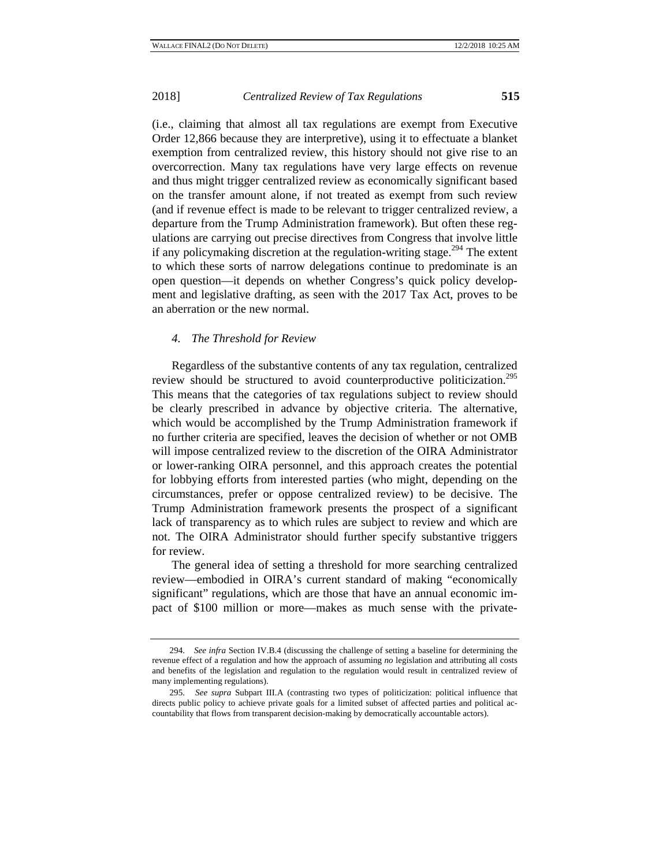(i.e., claiming that almost all tax regulations are exempt from Executive Order 12,866 because they are interpretive), using it to effectuate a blanket exemption from centralized review, this history should not give rise to an overcorrection. Many tax regulations have very large effects on revenue and thus might trigger centralized review as economically significant based on the transfer amount alone, if not treated as exempt from such review (and if revenue effect is made to be relevant to trigger centralized review, a departure from the Trump Administration framework). But often these regulations are carrying out precise directives from Congress that involve little if any policymaking discretion at the regulation-writing stage.<sup>294</sup> The extent to which these sorts of narrow delegations continue to predominate is an open question—it depends on whether Congress's quick policy development and legislative drafting, as seen with the 2017 Tax Act, proves to be an aberration or the new normal.

#### *4. The Threshold for Review*

Regardless of the substantive contents of any tax regulation, centralized review should be structured to avoid counterproductive politicization.<sup>295</sup> This means that the categories of tax regulations subject to review should be clearly prescribed in advance by objective criteria. The alternative, which would be accomplished by the Trump Administration framework if no further criteria are specified, leaves the decision of whether or not OMB will impose centralized review to the discretion of the OIRA Administrator or lower-ranking OIRA personnel, and this approach creates the potential for lobbying efforts from interested parties (who might, depending on the circumstances, prefer or oppose centralized review) to be decisive. The Trump Administration framework presents the prospect of a significant lack of transparency as to which rules are subject to review and which are not. The OIRA Administrator should further specify substantive triggers for review.

The general idea of setting a threshold for more searching centralized review—embodied in OIRA's current standard of making "economically significant" regulations, which are those that have an annual economic impact of \$100 million or more—makes as much sense with the private-

<sup>294.</sup> *See infra* Section IV.B.4 (discussing the challenge of setting a baseline for determining the revenue effect of a regulation and how the approach of assuming *no* legislation and attributing all costs and benefits of the legislation and regulation to the regulation would result in centralized review of many implementing regulations).

<sup>295.</sup> *See supra* Subpart III.A (contrasting two types of politicization: political influence that directs public policy to achieve private goals for a limited subset of affected parties and political accountability that flows from transparent decision-making by democratically accountable actors).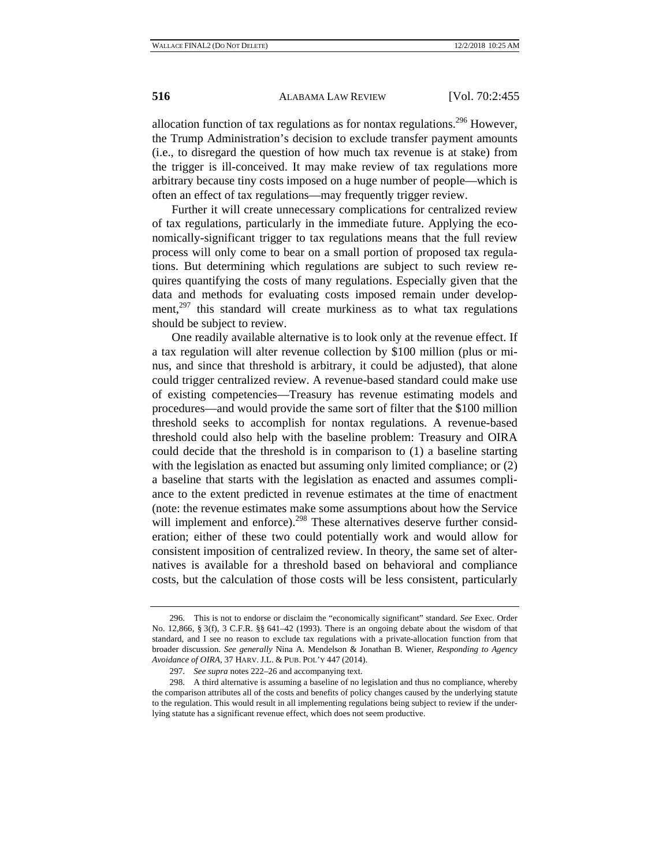allocation function of tax regulations as for nontax regulations.<sup>296</sup> However, the Trump Administration's decision to exclude transfer payment amounts (i.e., to disregard the question of how much tax revenue is at stake) from the trigger is ill-conceived. It may make review of tax regulations more arbitrary because tiny costs imposed on a huge number of people—which is often an effect of tax regulations—may frequently trigger review.

Further it will create unnecessary complications for centralized review of tax regulations, particularly in the immediate future. Applying the economically-significant trigger to tax regulations means that the full review process will only come to bear on a small portion of proposed tax regulations. But determining which regulations are subject to such review requires quantifying the costs of many regulations. Especially given that the data and methods for evaluating costs imposed remain under development, $297$  this standard will create murkiness as to what tax regulations should be subject to review.

One readily available alternative is to look only at the revenue effect. If a tax regulation will alter revenue collection by \$100 million (plus or minus, and since that threshold is arbitrary, it could be adjusted), that alone could trigger centralized review. A revenue-based standard could make use of existing competencies—Treasury has revenue estimating models and procedures—and would provide the same sort of filter that the \$100 million threshold seeks to accomplish for nontax regulations. A revenue-based threshold could also help with the baseline problem: Treasury and OIRA could decide that the threshold is in comparison to (1) a baseline starting with the legislation as enacted but assuming only limited compliance; or  $(2)$ a baseline that starts with the legislation as enacted and assumes compliance to the extent predicted in revenue estimates at the time of enactment (note: the revenue estimates make some assumptions about how the Service will implement and enforce).<sup>298</sup> These alternatives deserve further consideration; either of these two could potentially work and would allow for consistent imposition of centralized review. In theory, the same set of alternatives is available for a threshold based on behavioral and compliance costs, but the calculation of those costs will be less consistent, particularly

<sup>296.</sup> This is not to endorse or disclaim the "economically significant" standard. *See* Exec. Order No. 12,866, § 3(f), 3 C.F.R. §§ 641–42 (1993). There is an ongoing debate about the wisdom of that standard, and I see no reason to exclude tax regulations with a private-allocation function from that broader discussion. *See generally* Nina A. Mendelson & Jonathan B. Wiener, *Responding to Agency Avoidance of OIRA*, 37 HARV. J.L. & PUB. POL'Y 447 (2014).

<sup>297.</sup> *See supra* notes 222–26 and accompanying text.

<sup>298.</sup> A third alternative is assuming a baseline of no legislation and thus no compliance, whereby the comparison attributes all of the costs and benefits of policy changes caused by the underlying statute to the regulation. This would result in all implementing regulations being subject to review if the underlying statute has a significant revenue effect, which does not seem productive.